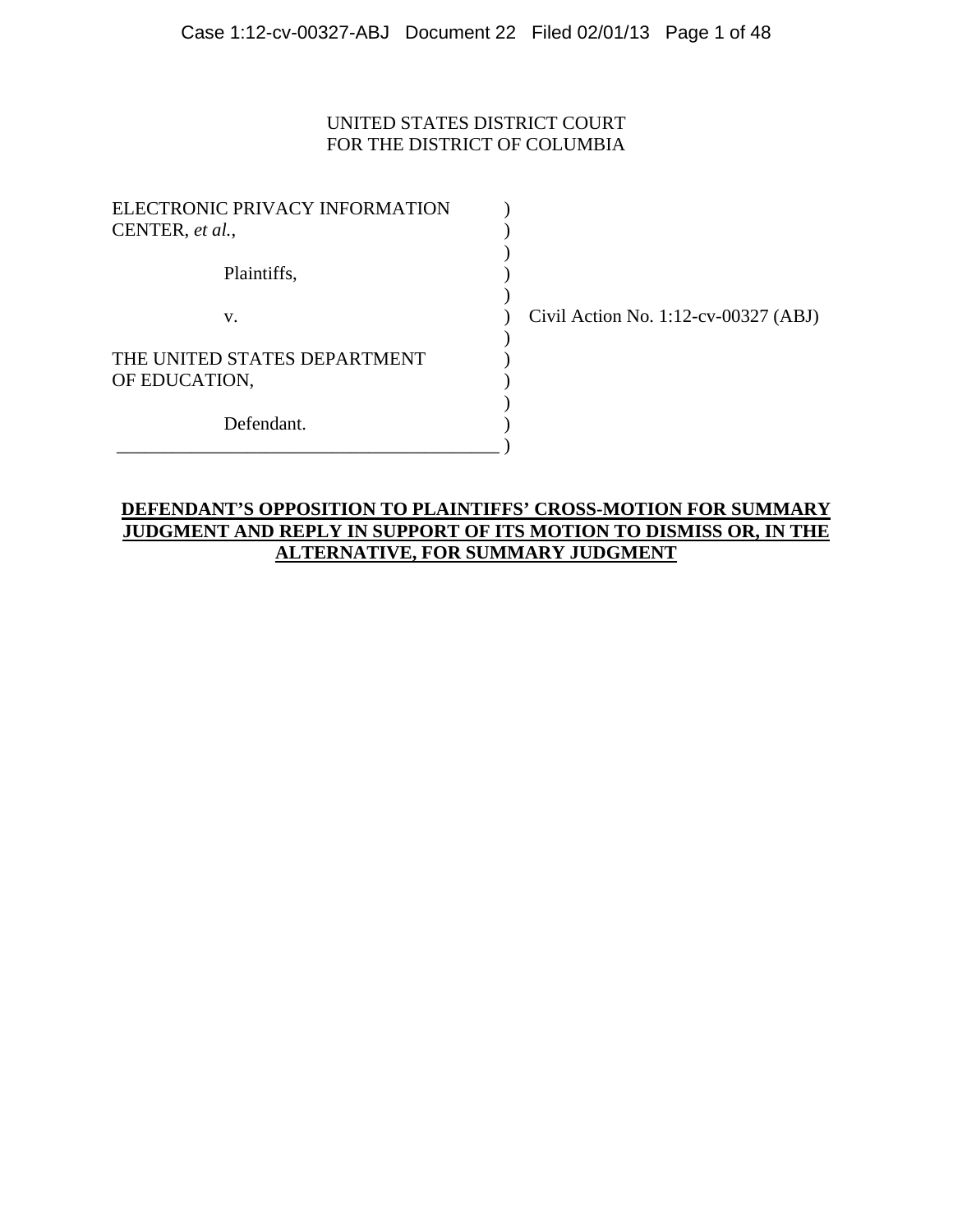### UNITED STATES DISTRICT COURT FOR THE DISTRICT OF COLUMBIA

| ELECTRONIC PRIVACY INFORMATION<br>CENTER, et al., |  |
|---------------------------------------------------|--|
| Plaintiffs,                                       |  |
| V.                                                |  |
| THE UNITED STATES DEPARTMENT<br>OF EDUCATION,     |  |
| Defendant.                                        |  |

 $\vee$  Civil Action No. 1:12-cv-00327 (ABJ)

### **DEFENDANT'S OPPOSITION TO PLAINTIFFS' CROSS-MOTION FOR SUMMARY JUDGMENT AND REPLY IN SUPPORT OF ITS MOTION TO DISMISS OR, IN THE ALTERNATIVE, FOR SUMMARY JUDGMENT**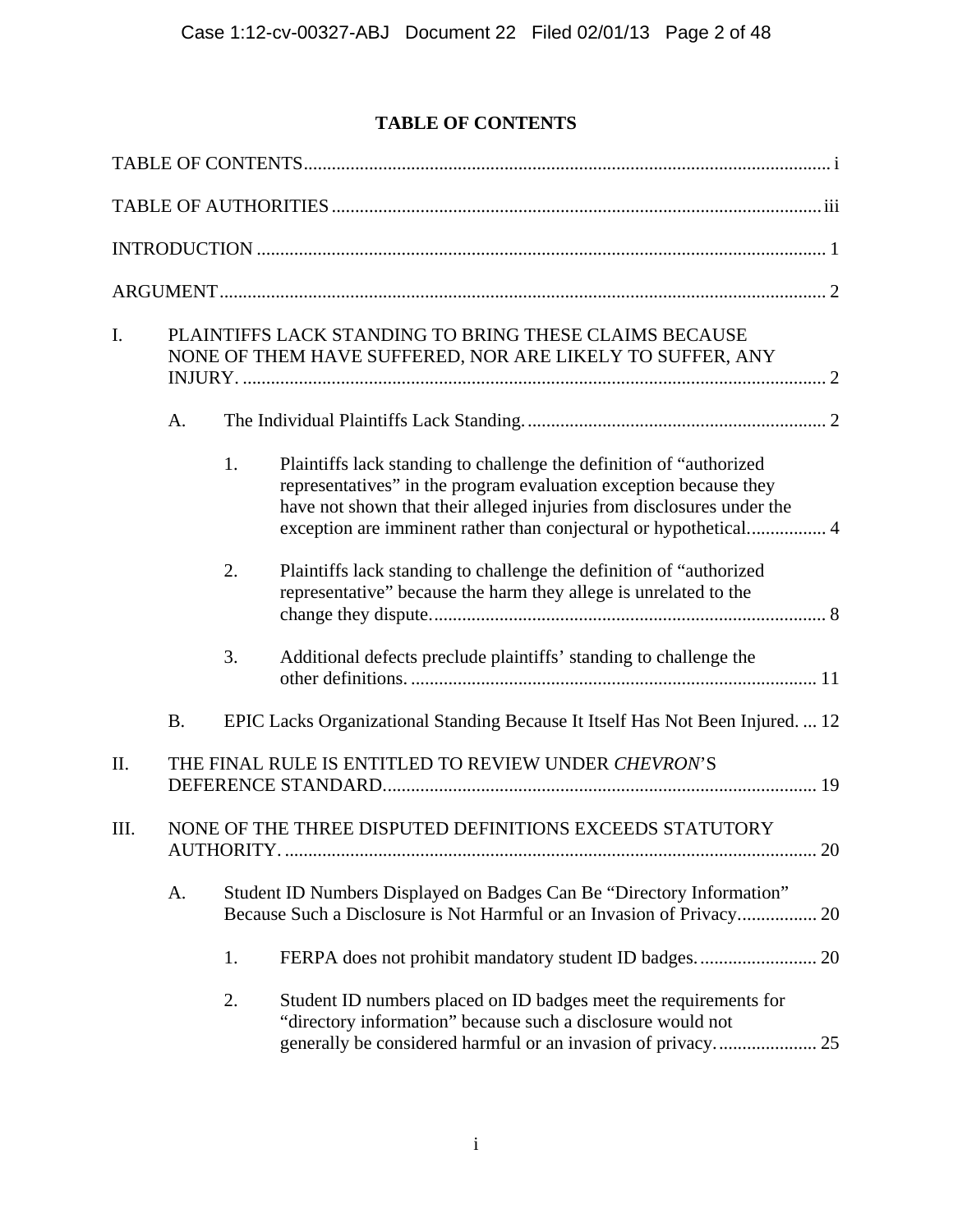# **TABLE OF CONTENTS**

| I.   |           | PLAINTIFFS LACK STANDING TO BRING THESE CLAIMS BECAUSE<br>NONE OF THEM HAVE SUFFERED, NOR ARE LIKELY TO SUFFER, ANY |                                                                                                                                                                                                                    |
|------|-----------|---------------------------------------------------------------------------------------------------------------------|--------------------------------------------------------------------------------------------------------------------------------------------------------------------------------------------------------------------|
|      | A.        |                                                                                                                     |                                                                                                                                                                                                                    |
|      |           | 1.                                                                                                                  | Plaintiffs lack standing to challenge the definition of "authorized"<br>representatives" in the program evaluation exception because they<br>have not shown that their alleged injuries from disclosures under the |
|      |           | 2.                                                                                                                  | Plaintiffs lack standing to challenge the definition of "authorized<br>representative" because the harm they allege is unrelated to the                                                                            |
|      |           | 3.                                                                                                                  | Additional defects preclude plaintiffs' standing to challenge the                                                                                                                                                  |
|      | <b>B.</b> |                                                                                                                     | EPIC Lacks Organizational Standing Because It Itself Has Not Been Injured.  12                                                                                                                                     |
| II.  |           |                                                                                                                     | THE FINAL RULE IS ENTITLED TO REVIEW UNDER CHEVRON'S                                                                                                                                                               |
| III. |           |                                                                                                                     | NONE OF THE THREE DISPUTED DEFINITIONS EXCEEDS STATUTORY                                                                                                                                                           |
|      | A.        |                                                                                                                     | Student ID Numbers Displayed on Badges Can Be "Directory Information"<br>Because Such a Disclosure is Not Harmful or an Invasion of Privacy 20                                                                     |
|      |           | 1.                                                                                                                  |                                                                                                                                                                                                                    |
|      |           | 2.                                                                                                                  | Student ID numbers placed on ID badges meet the requirements for<br>"directory information" because such a disclosure would not                                                                                    |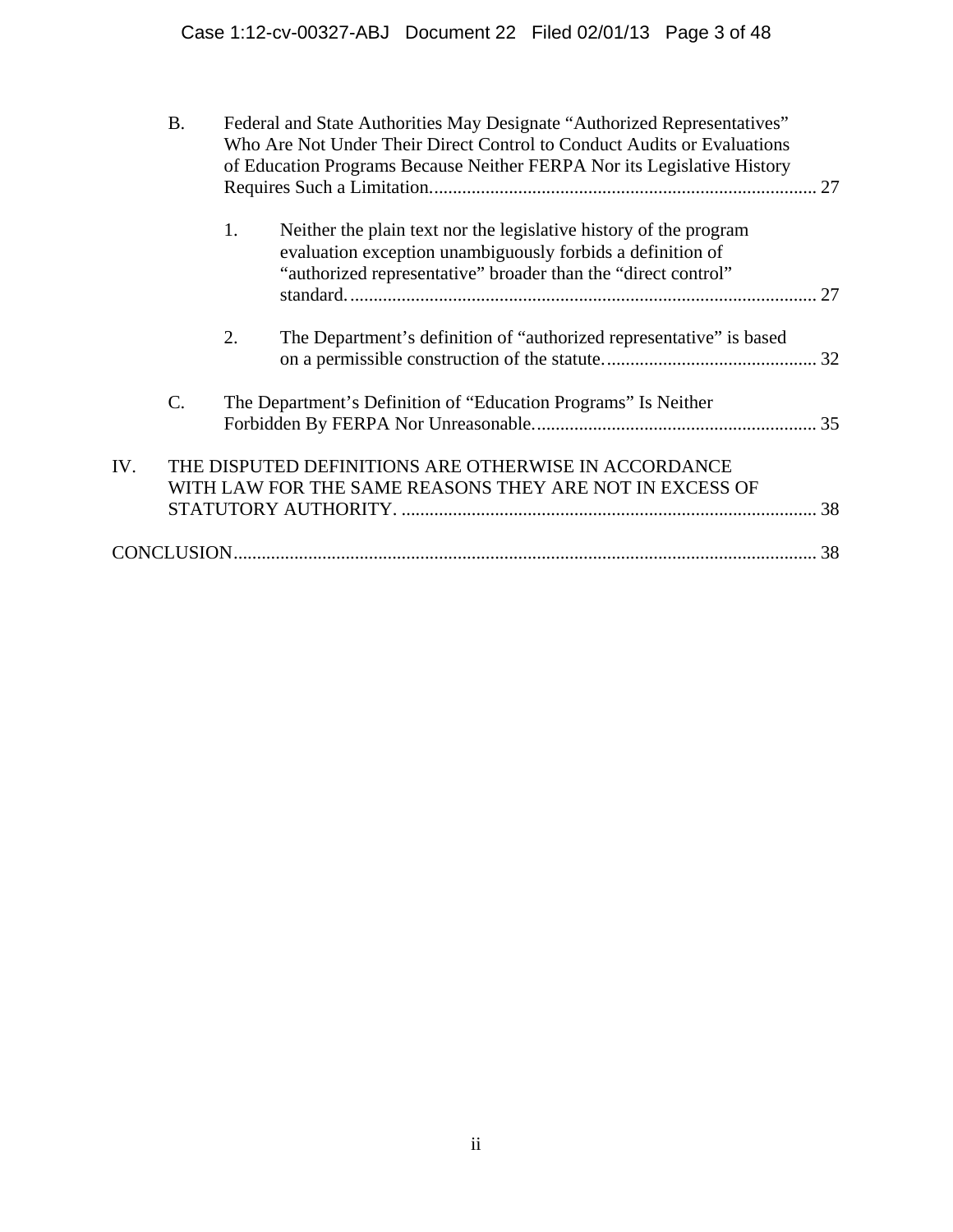| 1.<br>Neither the plain text nor the legislative history of the program<br>evaluation exception unambiguously forbids a definition of<br>"authorized representative" broader than the "direct control"<br>2.<br>The Department's definition of "authorized representative" is based<br>$\mathcal{C}$ .<br>The Department's Definition of "Education Programs" Is Neither<br>IV.<br>THE DISPUTED DEFINITIONS ARE OTHERWISE IN ACCORDANCE<br>WITH LAW FOR THE SAME REASONS THEY ARE NOT IN EXCESS OF | <b>B.</b> | Federal and State Authorities May Designate "Authorized Representatives"<br>Who Are Not Under Their Direct Control to Conduct Audits or Evaluations<br>of Education Programs Because Neither FERPA Nor its Legislative History |  |  |
|----------------------------------------------------------------------------------------------------------------------------------------------------------------------------------------------------------------------------------------------------------------------------------------------------------------------------------------------------------------------------------------------------------------------------------------------------------------------------------------------------|-----------|--------------------------------------------------------------------------------------------------------------------------------------------------------------------------------------------------------------------------------|--|--|
|                                                                                                                                                                                                                                                                                                                                                                                                                                                                                                    |           |                                                                                                                                                                                                                                |  |  |
|                                                                                                                                                                                                                                                                                                                                                                                                                                                                                                    |           |                                                                                                                                                                                                                                |  |  |
|                                                                                                                                                                                                                                                                                                                                                                                                                                                                                                    |           |                                                                                                                                                                                                                                |  |  |
|                                                                                                                                                                                                                                                                                                                                                                                                                                                                                                    |           |                                                                                                                                                                                                                                |  |  |
|                                                                                                                                                                                                                                                                                                                                                                                                                                                                                                    |           |                                                                                                                                                                                                                                |  |  |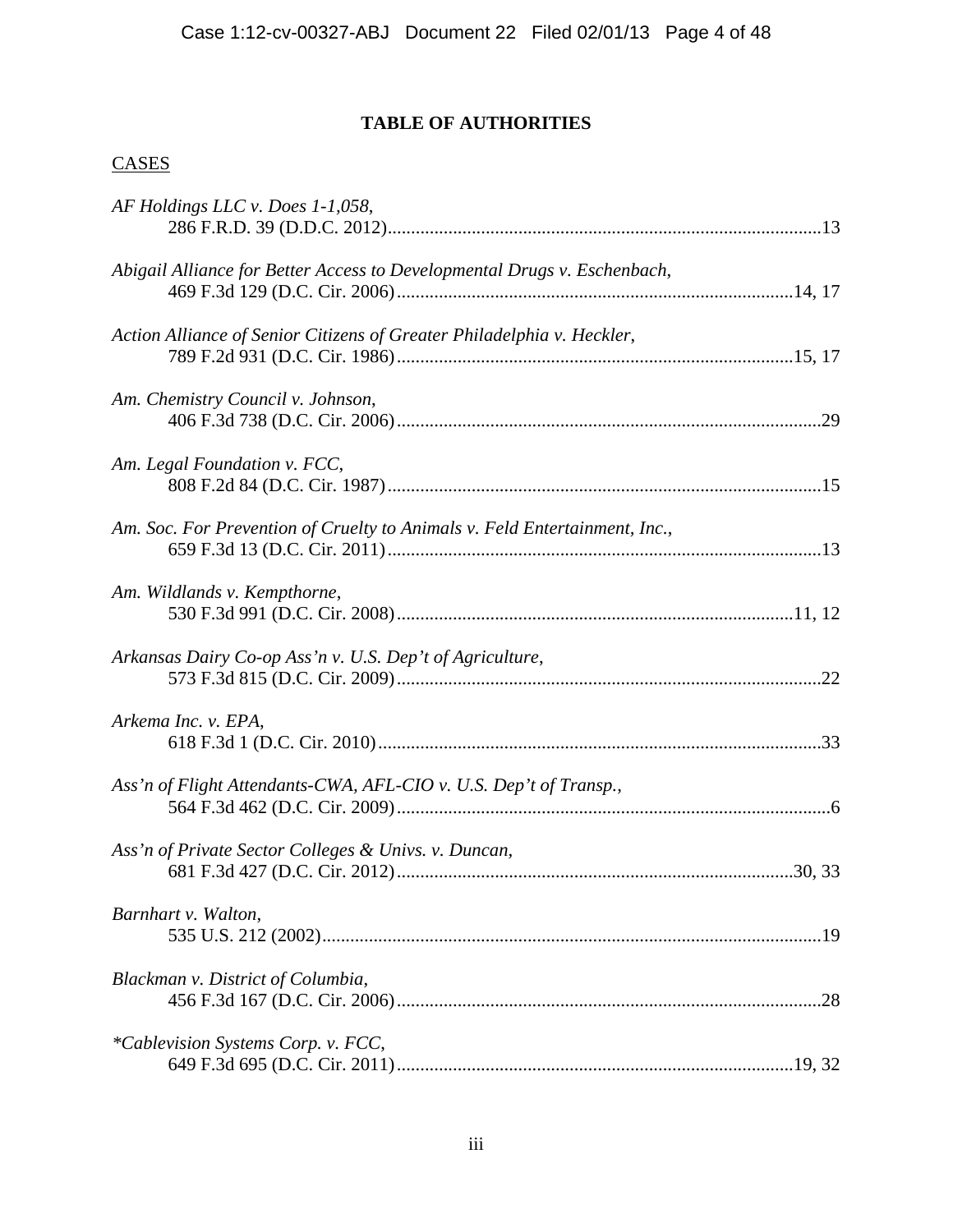## **TABLE OF AUTHORITIES**

## **CASES**

| AF Holdings LLC v. Does 1-1,058,                                           |  |
|----------------------------------------------------------------------------|--|
| Abigail Alliance for Better Access to Developmental Drugs v. Eschenbach,   |  |
| Action Alliance of Senior Citizens of Greater Philadelphia v. Heckler,     |  |
| Am. Chemistry Council v. Johnson,                                          |  |
| Am. Legal Foundation v. FCC,                                               |  |
| Am. Soc. For Prevention of Cruelty to Animals v. Feld Entertainment, Inc., |  |
| Am. Wildlands v. Kempthorne,                                               |  |
| Arkansas Dairy Co-op Ass'n v. U.S. Dep't of Agriculture,                   |  |
| Arkema Inc. v. EPA,                                                        |  |
| Ass'n of Flight Attendants-CWA, AFL-CIO v. U.S. Dep't of Transp.,          |  |
| Ass'n of Private Sector Colleges & Univs. v. Duncan,                       |  |
| Barnhart v. Walton,                                                        |  |
| Blackman v. District of Columbia,                                          |  |
| <i>*Cablevision Systems Corp. v. FCC,</i>                                  |  |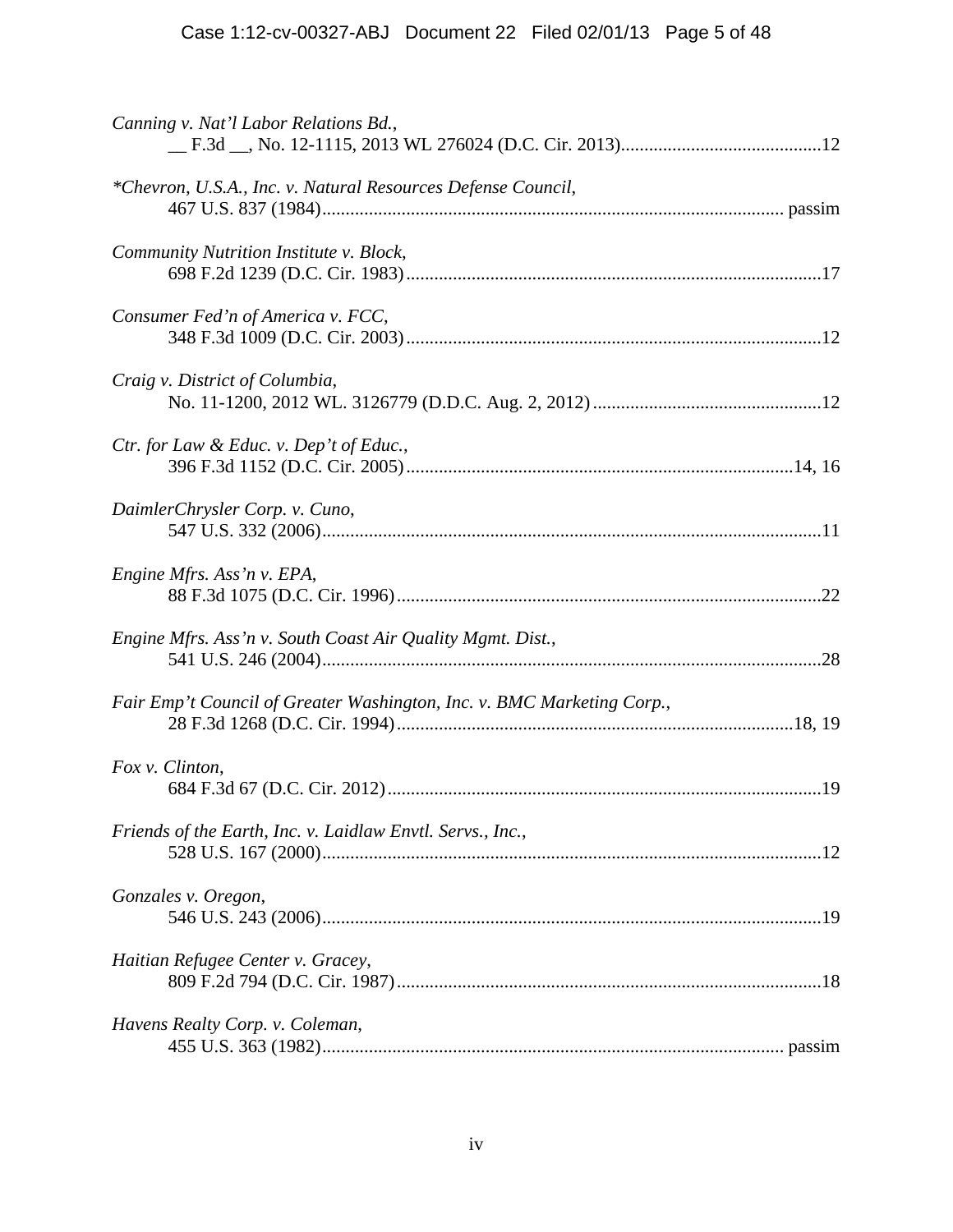| Canning v. Nat'l Labor Relations Bd.,                                  |  |
|------------------------------------------------------------------------|--|
| *Chevron, U.S.A., Inc. v. Natural Resources Defense Council,           |  |
| Community Nutrition Institute v. Block,                                |  |
| Consumer Fed'n of America v. FCC,                                      |  |
| Craig v. District of Columbia,                                         |  |
| Ctr. for Law & Educ. v. Dep't of Educ.,                                |  |
| DaimlerChrysler Corp. v. Cuno,                                         |  |
| Engine Mfrs. Ass'n v. EPA,                                             |  |
| Engine Mfrs. Ass'n v. South Coast Air Quality Mgmt. Dist.,             |  |
| Fair Emp't Council of Greater Washington, Inc. v. BMC Marketing Corp., |  |
| Fox v. Clinton,                                                        |  |
| Friends of the Earth, Inc. v. Laidlaw Envtl. Servs., Inc.,             |  |
| Gonzales v. Oregon,                                                    |  |
| Haitian Refugee Center v. Gracey,                                      |  |
| Havens Realty Corp. v. Coleman,                                        |  |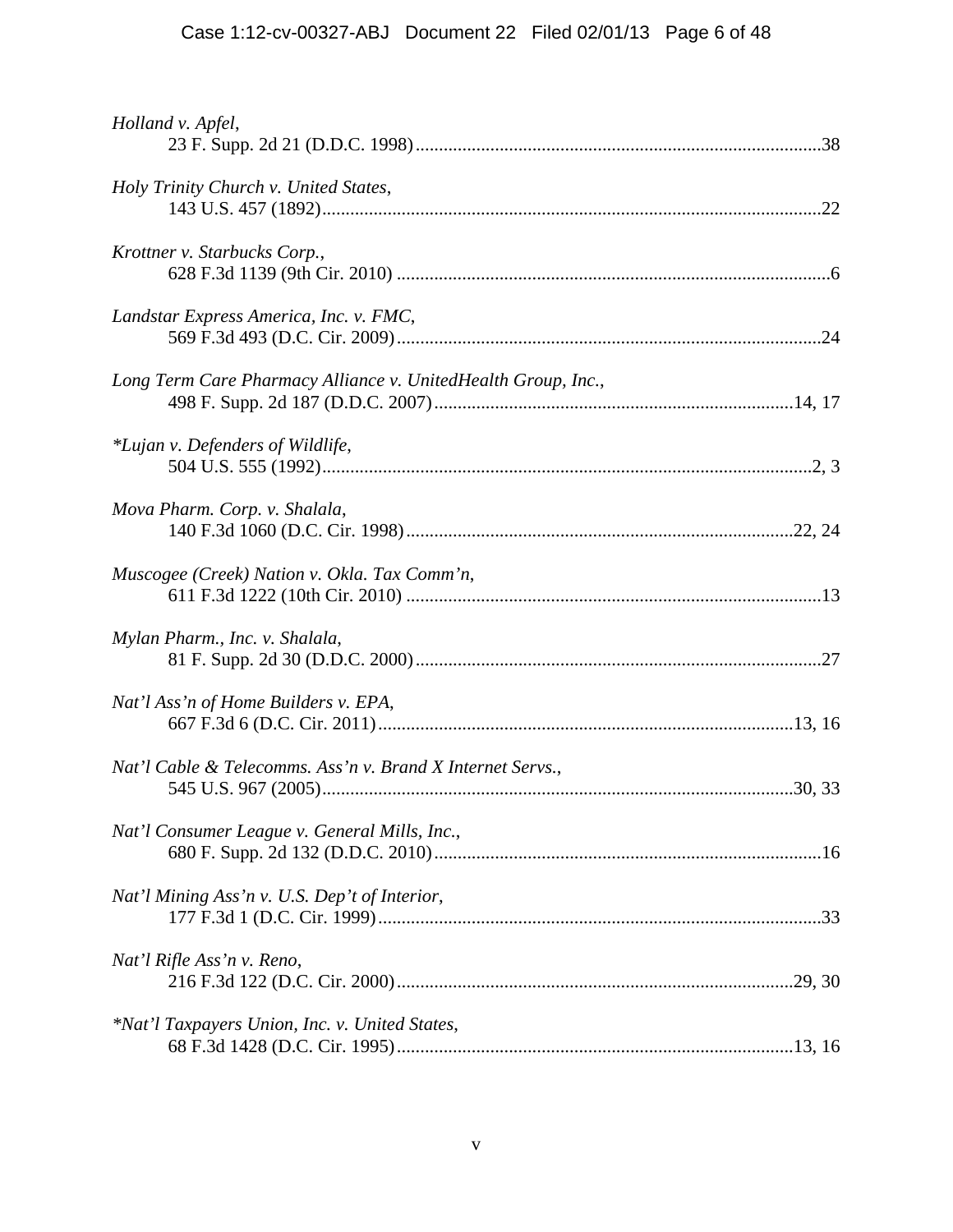| Holland v. Apfel,                                             |  |
|---------------------------------------------------------------|--|
| Holy Trinity Church v. United States,                         |  |
| Krottner v. Starbucks Corp.,                                  |  |
| Landstar Express America, Inc. v. FMC,                        |  |
| Long Term Care Pharmacy Alliance v. UnitedHealth Group, Inc., |  |
| *Lujan v. Defenders of Wildlife,                              |  |
| Mova Pharm. Corp. v. Shalala,                                 |  |
| Muscogee (Creek) Nation v. Okla. Tax Comm'n,                  |  |
| Mylan Pharm., Inc. v. Shalala,                                |  |
| Nat'l Ass'n of Home Builders v. EPA,                          |  |
| Nat'l Cable & Telecomms. Ass'n v. Brand X Internet Servs.,    |  |
| Nat'l Consumer League v. General Mills, Inc.,                 |  |
| Nat'l Mining Ass'n v. U.S. Dep't of Interior,                 |  |
| Nat'l Rifle Ass'n v. Reno,                                    |  |
| *Nat'l Taxpayers Union, Inc. v. United States,                |  |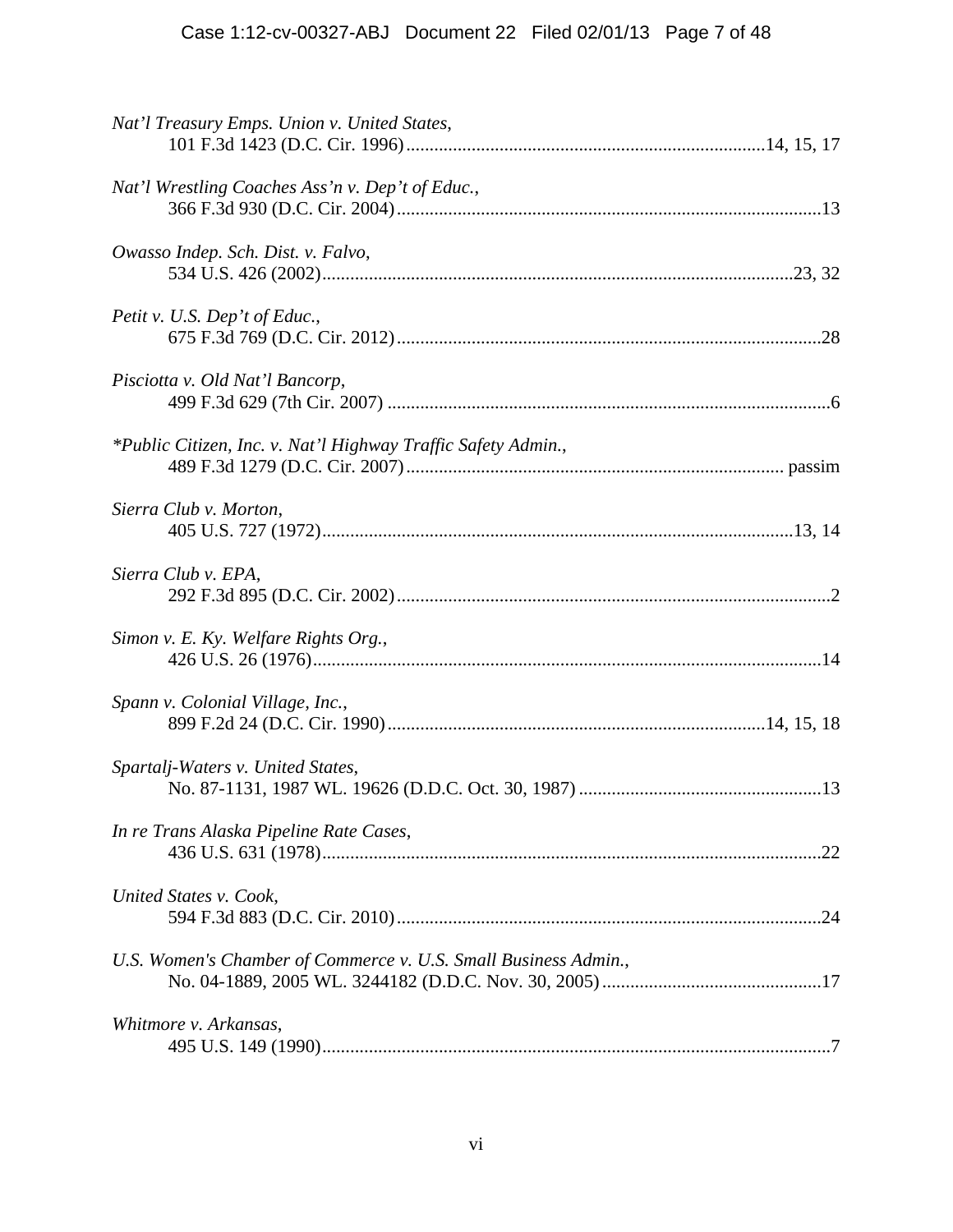| Nat'l Treasury Emps. Union v. United States,                    |
|-----------------------------------------------------------------|
| Nat'l Wrestling Coaches Ass'n v. Dep't of Educ.,                |
| Owasso Indep. Sch. Dist. v. Falvo,                              |
| Petit v. U.S. Dep't of Educ.,                                   |
| Pisciotta v. Old Nat'l Bancorp,                                 |
| *Public Citizen, Inc. v. Nat'l Highway Traffic Safety Admin.,   |
| Sierra Club v. Morton,                                          |
| Sierra Club v. EPA,                                             |
| Simon v. E. Ky. Welfare Rights Org.,                            |
| Spann v. Colonial Village, Inc.,                                |
| Spartalj-Waters v. United States,                               |
| In re Trans Alaska Pipeline Rate Cases,                         |
| United States v. Cook,                                          |
| U.S. Women's Chamber of Commerce v. U.S. Small Business Admin., |
| Whitmore v. Arkansas,                                           |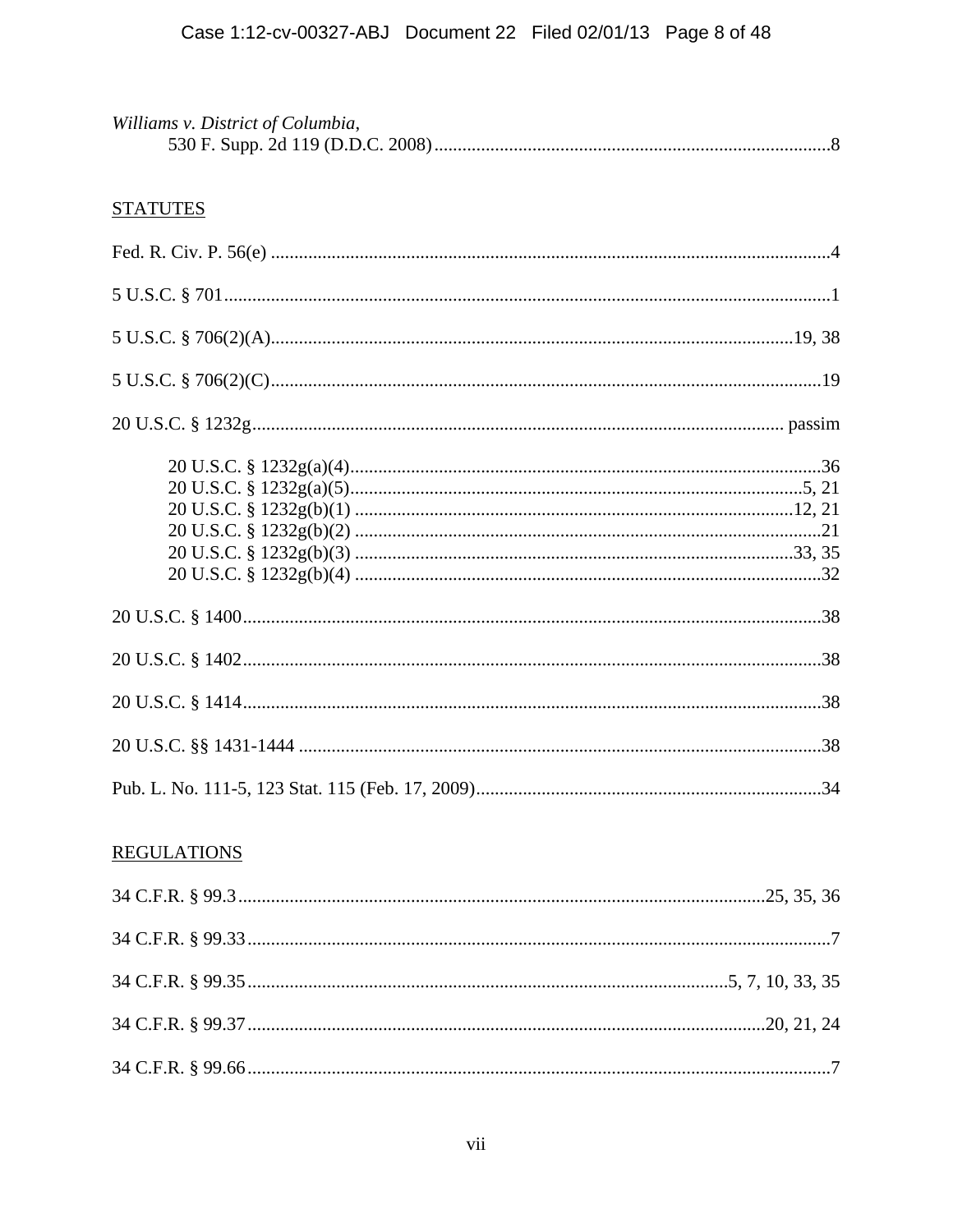| Williams v. District of Columbia, |  |
|-----------------------------------|--|
|                                   |  |

# **STATUTES**

| <b>REGULATIONS</b> |
|--------------------|
|                    |
|                    |
|                    |
|                    |
|                    |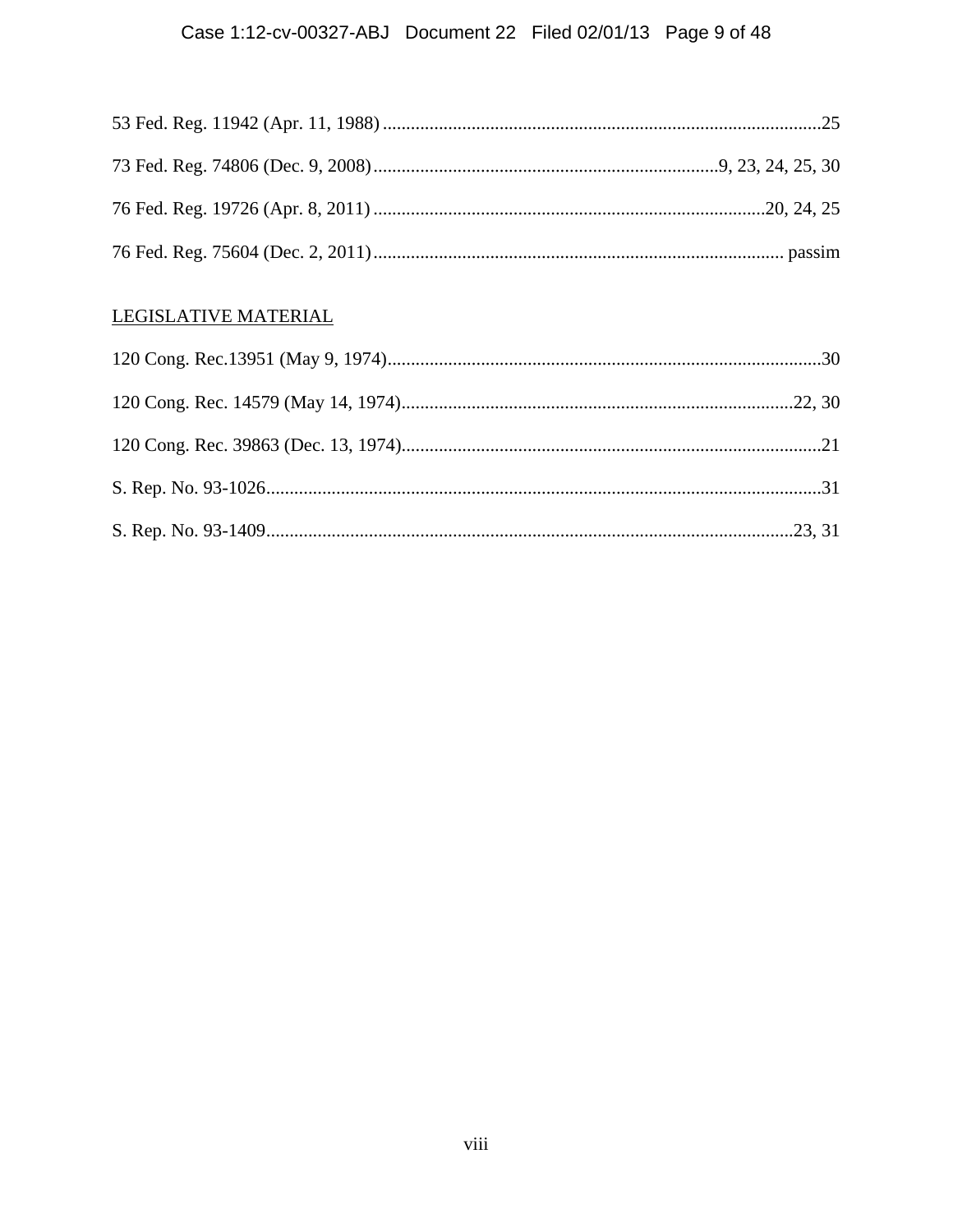# Case 1:12-cv-00327-ABJ Document 22 Filed 02/01/13 Page 9 of 48

# LEGISLATIVE MATERIAL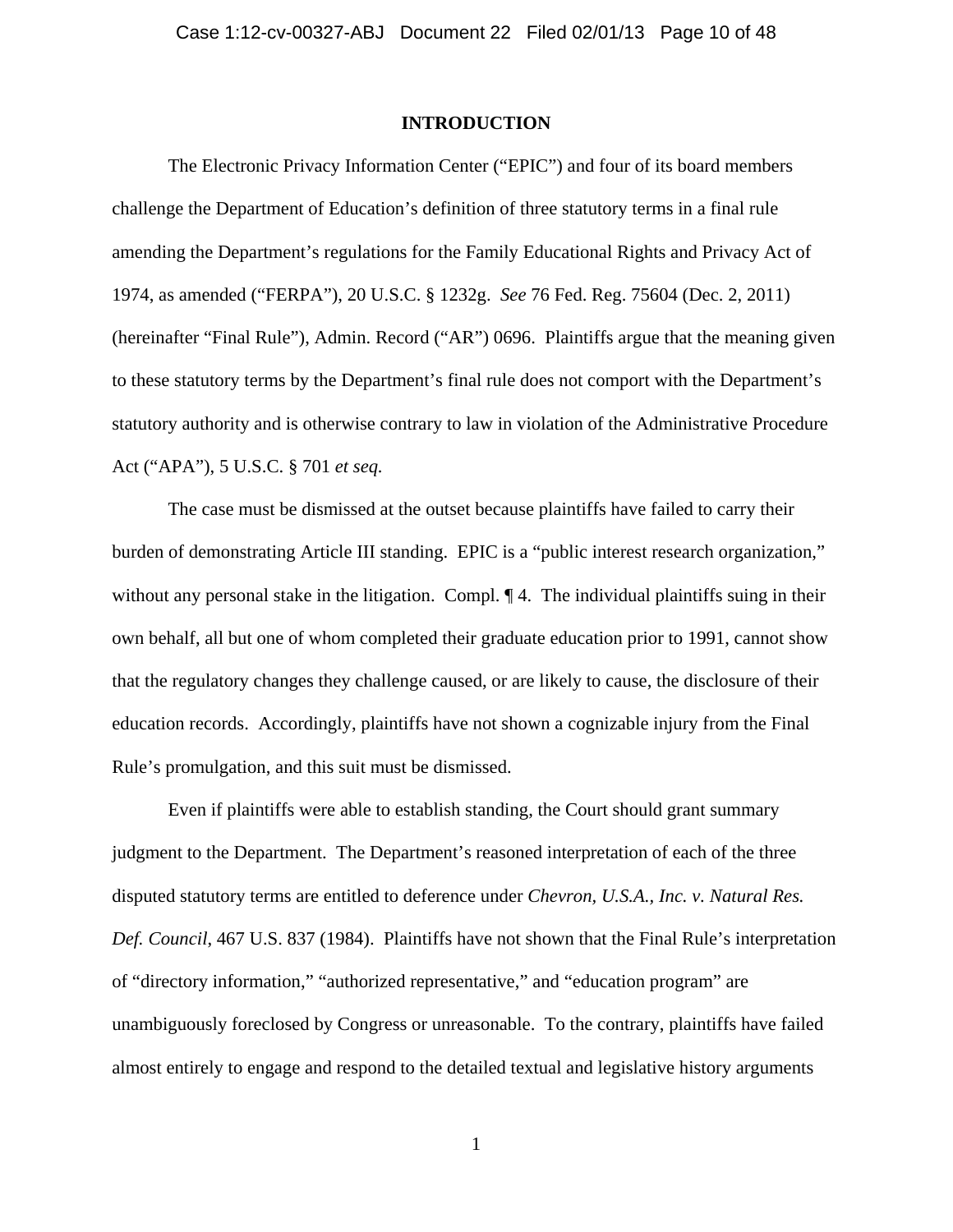### **INTRODUCTION**

The Electronic Privacy Information Center ("EPIC") and four of its board members challenge the Department of Education's definition of three statutory terms in a final rule amending the Department's regulations for the Family Educational Rights and Privacy Act of 1974, as amended ("FERPA"), 20 U.S.C. § 1232g. *See* 76 Fed. Reg. 75604 (Dec. 2, 2011) (hereinafter "Final Rule"), Admin. Record ("AR") 0696. Plaintiffs argue that the meaning given to these statutory terms by the Department's final rule does not comport with the Department's statutory authority and is otherwise contrary to law in violation of the Administrative Procedure Act ("APA"), 5 U.S.C. § 701 *et seq.*

The case must be dismissed at the outset because plaintiffs have failed to carry their burden of demonstrating Article III standing. EPIC is a "public interest research organization," without any personal stake in the litigation. Compl.  $\P$  4. The individual plaintiffs suing in their own behalf, all but one of whom completed their graduate education prior to 1991, cannot show that the regulatory changes they challenge caused, or are likely to cause, the disclosure of their education records. Accordingly, plaintiffs have not shown a cognizable injury from the Final Rule's promulgation, and this suit must be dismissed.

Even if plaintiffs were able to establish standing, the Court should grant summary judgment to the Department. The Department's reasoned interpretation of each of the three disputed statutory terms are entitled to deference under *Chevron, U.S.A., Inc. v. Natural Res. Def. Council*, 467 U.S. 837 (1984). Plaintiffs have not shown that the Final Rule's interpretation of "directory information," "authorized representative," and "education program" are unambiguously foreclosed by Congress or unreasonable. To the contrary, plaintiffs have failed almost entirely to engage and respond to the detailed textual and legislative history arguments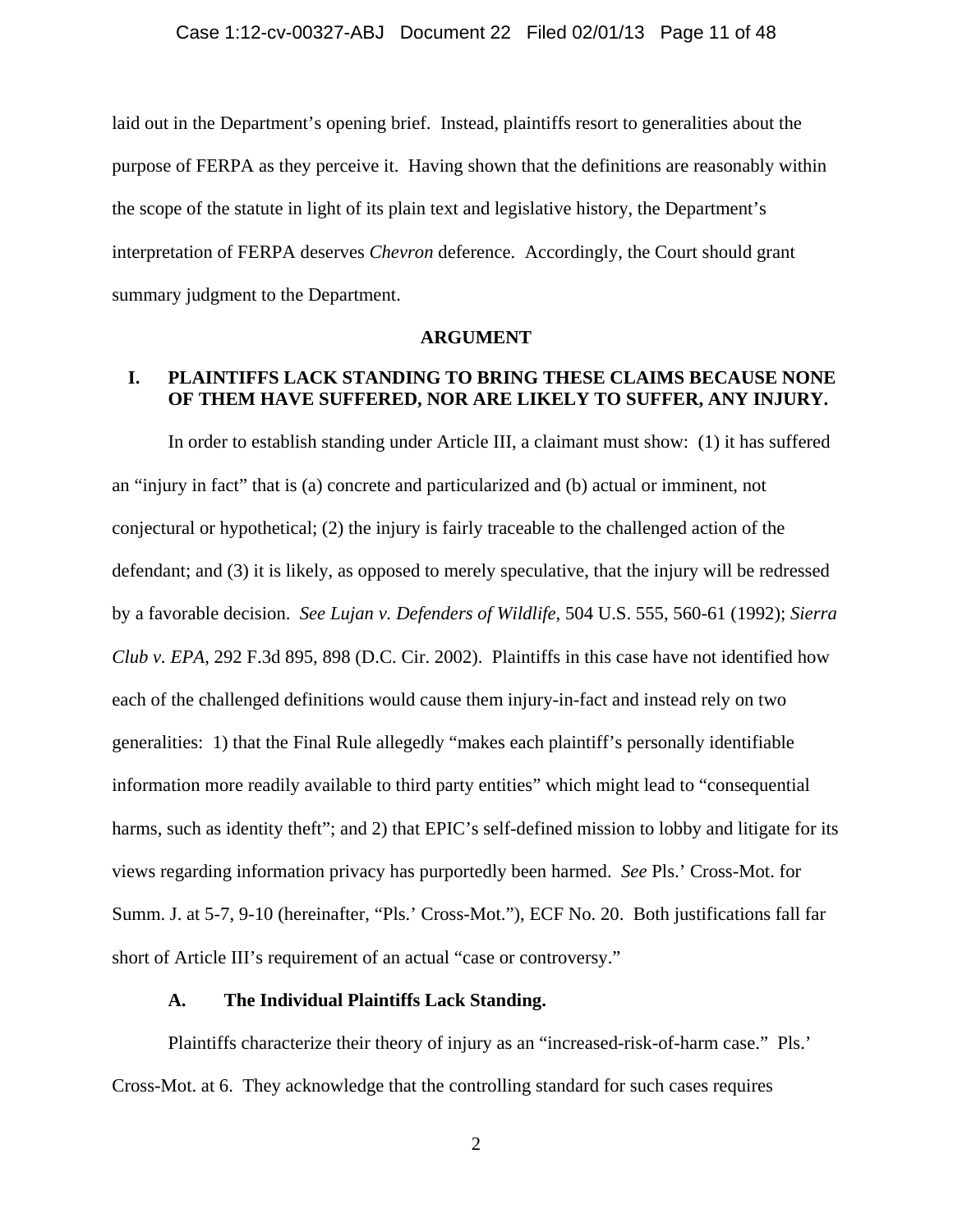laid out in the Department's opening brief. Instead, plaintiffs resort to generalities about the purpose of FERPA as they perceive it. Having shown that the definitions are reasonably within the scope of the statute in light of its plain text and legislative history, the Department's interpretation of FERPA deserves *Chevron* deference. Accordingly, the Court should grant summary judgment to the Department.

#### **ARGUMENT**

### **I. PLAINTIFFS LACK STANDING TO BRING THESE CLAIMS BECAUSE NONE OF THEM HAVE SUFFERED, NOR ARE LIKELY TO SUFFER, ANY INJURY.**

 In order to establish standing under Article III, a claimant must show: (1) it has suffered an "injury in fact" that is (a) concrete and particularized and (b) actual or imminent, not conjectural or hypothetical; (2) the injury is fairly traceable to the challenged action of the defendant; and (3) it is likely, as opposed to merely speculative, that the injury will be redressed by a favorable decision. *See Lujan v. Defenders of Wildlife*, 504 U.S. 555, 560-61 (1992); *Sierra Club v. EPA*, 292 F.3d 895, 898 (D.C. Cir. 2002). Plaintiffs in this case have not identified how each of the challenged definitions would cause them injury-in-fact and instead rely on two generalities: 1) that the Final Rule allegedly "makes each plaintiff's personally identifiable information more readily available to third party entities" which might lead to "consequential harms, such as identity theft"; and 2) that EPIC's self-defined mission to lobby and litigate for its views regarding information privacy has purportedly been harmed. *See* Pls.' Cross-Mot. for Summ. J. at 5-7, 9-10 (hereinafter, "Pls.' Cross-Mot."), ECF No. 20. Both justifications fall far short of Article III's requirement of an actual "case or controversy."

### **A. The Individual Plaintiffs Lack Standing.**

Plaintiffs characterize their theory of injury as an "increased-risk-of-harm case." Pls.' Cross-Mot. at 6. They acknowledge that the controlling standard for such cases requires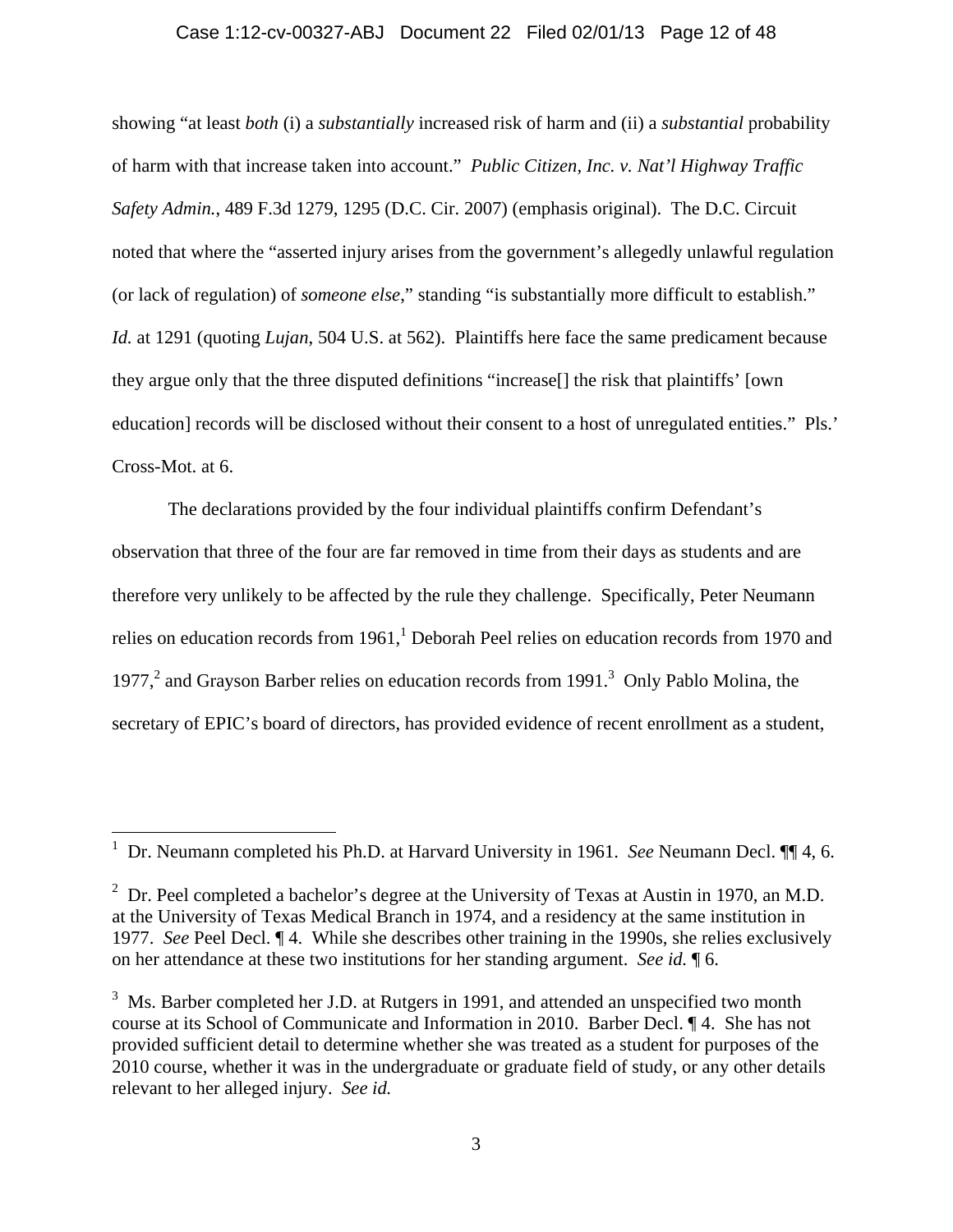### Case 1:12-cv-00327-ABJ Document 22 Filed 02/01/13 Page 12 of 48

showing "at least *both* (i) a *substantially* increased risk of harm and (ii) a *substantial* probability of harm with that increase taken into account." *Public Citizen, Inc. v. Nat'l Highway Traffic Safety Admin.*, 489 F.3d 1279, 1295 (D.C. Cir. 2007) (emphasis original). The D.C. Circuit noted that where the "asserted injury arises from the government's allegedly unlawful regulation (or lack of regulation) of *someone else*," standing "is substantially more difficult to establish." *Id.* at 1291 (quoting *Lujan*, 504 U.S. at 562). Plaintiffs here face the same predicament because they argue only that the three disputed definitions "increase[] the risk that plaintiffs' [own education] records will be disclosed without their consent to a host of unregulated entities." Pls.' Cross-Mot. at 6.

The declarations provided by the four individual plaintiffs confirm Defendant's observation that three of the four are far removed in time from their days as students and are therefore very unlikely to be affected by the rule they challenge. Specifically, Peter Neumann relies on education records from 1961,<sup>1</sup> Deborah Peel relies on education records from 1970 and 1977, $^2$  and Grayson Barber relies on education records from 1991.<sup>3</sup> Only Pablo Molina, the secretary of EPIC's board of directors, has provided evidence of recent enrollment as a student,

<sup>1</sup> Dr. Neumann completed his Ph.D. at Harvard University in 1961. *See* Neumann Decl. ¶¶ 4, 6.

<sup>&</sup>lt;sup>2</sup> Dr. Peel completed a bachelor's degree at the University of Texas at Austin in 1970, an M.D. at the University of Texas Medical Branch in 1974, and a residency at the same institution in 1977. *See* Peel Decl. ¶ 4. While she describes other training in the 1990s, she relies exclusively on her attendance at these two institutions for her standing argument. *See id.* ¶ 6.

 $3 \text{ Ms. Barber completed her J.D. at Rutgers in 1991, and attended an unspecified two month}$ course at its School of Communicate and Information in 2010. Barber Decl. ¶ 4. She has not provided sufficient detail to determine whether she was treated as a student for purposes of the 2010 course, whether it was in the undergraduate or graduate field of study, or any other details relevant to her alleged injury. *See id.*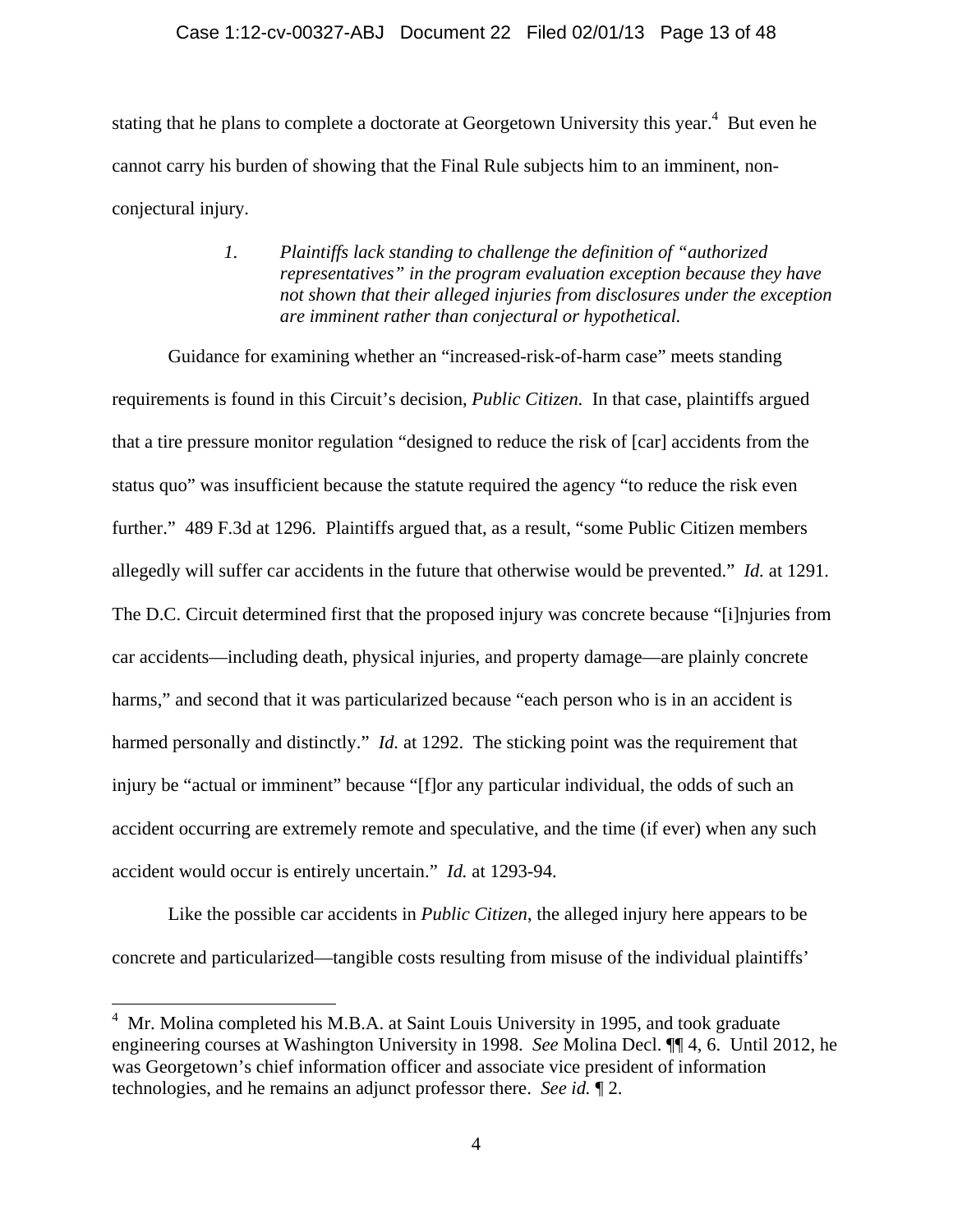### Case 1:12-cv-00327-ABJ Document 22 Filed 02/01/13 Page 13 of 48

stating that he plans to complete a doctorate at Georgetown University this year.<sup>4</sup> But even he cannot carry his burden of showing that the Final Rule subjects him to an imminent, nonconjectural injury.

### *1. Plaintiffs lack standing to challenge the definition of "authorized representatives" in the program evaluation exception because they have not shown that their alleged injuries from disclosures under the exception are imminent rather than conjectural or hypothetical.*

Guidance for examining whether an "increased-risk-of-harm case" meets standing requirements is found in this Circuit's decision, *Public Citizen*. In that case, plaintiffs argued that a tire pressure monitor regulation "designed to reduce the risk of [car] accidents from the status quo" was insufficient because the statute required the agency "to reduce the risk even further." 489 F.3d at 1296. Plaintiffs argued that, as a result, "some Public Citizen members allegedly will suffer car accidents in the future that otherwise would be prevented." *Id.* at 1291. The D.C. Circuit determined first that the proposed injury was concrete because "[i]njuries from car accidents—including death, physical injuries, and property damage—are plainly concrete harms," and second that it was particularized because "each person who is in an accident is harmed personally and distinctly." *Id.* at 1292. The sticking point was the requirement that injury be "actual or imminent" because "[f]or any particular individual, the odds of such an accident occurring are extremely remote and speculative, and the time (if ever) when any such accident would occur is entirely uncertain." *Id.* at 1293-94.

Like the possible car accidents in *Public Citizen*, the alleged injury here appears to be concrete and particularized—tangible costs resulting from misuse of the individual plaintiffs'

 $4$  Mr. Molina completed his M.B.A. at Saint Louis University in 1995, and took graduate engineering courses at Washington University in 1998. *See* Molina Decl. ¶¶ 4, 6. Until 2012, he was Georgetown's chief information officer and associate vice president of information technologies, and he remains an adjunct professor there. *See id.* ¶ 2.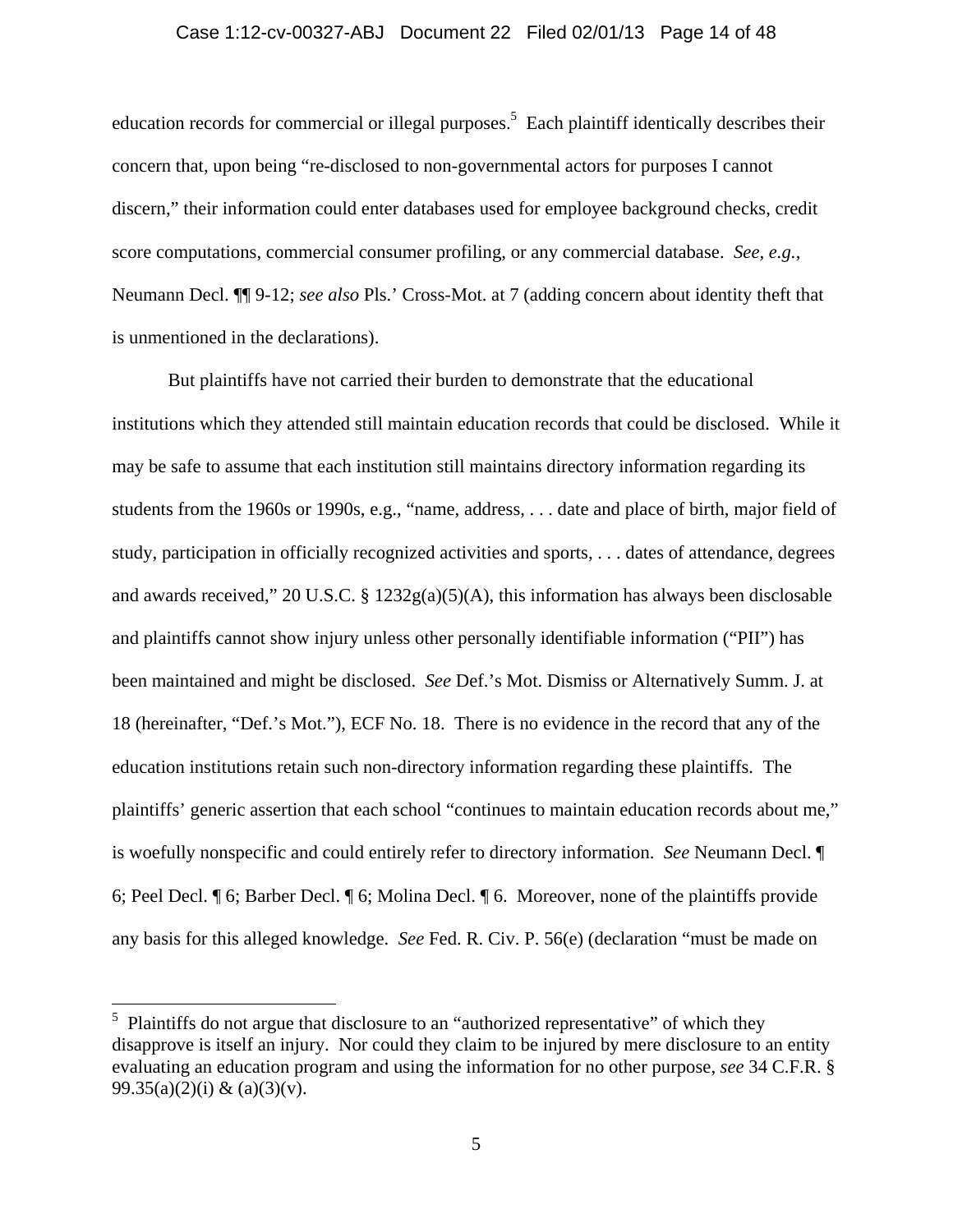### Case 1:12-cv-00327-ABJ Document 22 Filed 02/01/13 Page 14 of 48

education records for commercial or illegal purposes.<sup>5</sup> Each plaintiff identically describes their concern that, upon being "re-disclosed to non-governmental actors for purposes I cannot discern," their information could enter databases used for employee background checks, credit score computations, commercial consumer profiling, or any commercial database. *See, e.g.*, Neumann Decl. ¶¶ 9-12; *see also* Pls.' Cross-Mot. at 7 (adding concern about identity theft that is unmentioned in the declarations).

But plaintiffs have not carried their burden to demonstrate that the educational institutions which they attended still maintain education records that could be disclosed. While it may be safe to assume that each institution still maintains directory information regarding its students from the 1960s or 1990s, e.g., "name, address, . . . date and place of birth, major field of study, participation in officially recognized activities and sports, . . . dates of attendance, degrees and awards received," 20 U.S.C. § 1232g(a)(5)(A), this information has always been disclosable and plaintiffs cannot show injury unless other personally identifiable information ("PII") has been maintained and might be disclosed. *See* Def.'s Mot. Dismiss or Alternatively Summ. J. at 18 (hereinafter, "Def.'s Mot."), ECF No. 18. There is no evidence in the record that any of the education institutions retain such non-directory information regarding these plaintiffs. The plaintiffs' generic assertion that each school "continues to maintain education records about me," is woefully nonspecific and could entirely refer to directory information. *See* Neumann Decl. ¶ 6; Peel Decl. ¶ 6; Barber Decl. ¶ 6; Molina Decl. ¶ 6. Moreover, none of the plaintiffs provide any basis for this alleged knowledge.*See* Fed. R. Civ. P. 56(e) (declaration "must be made on

<sup>&</sup>lt;sup>5</sup> Plaintiffs do not argue that disclosure to an "authorized representative" of which they disapprove is itself an injury. Nor could they claim to be injured by mere disclosure to an entity evaluating an education program and using the information for no other purpose, *see* 34 C.F.R. § 99.35(a)(2)(i) & (a)(3)(v).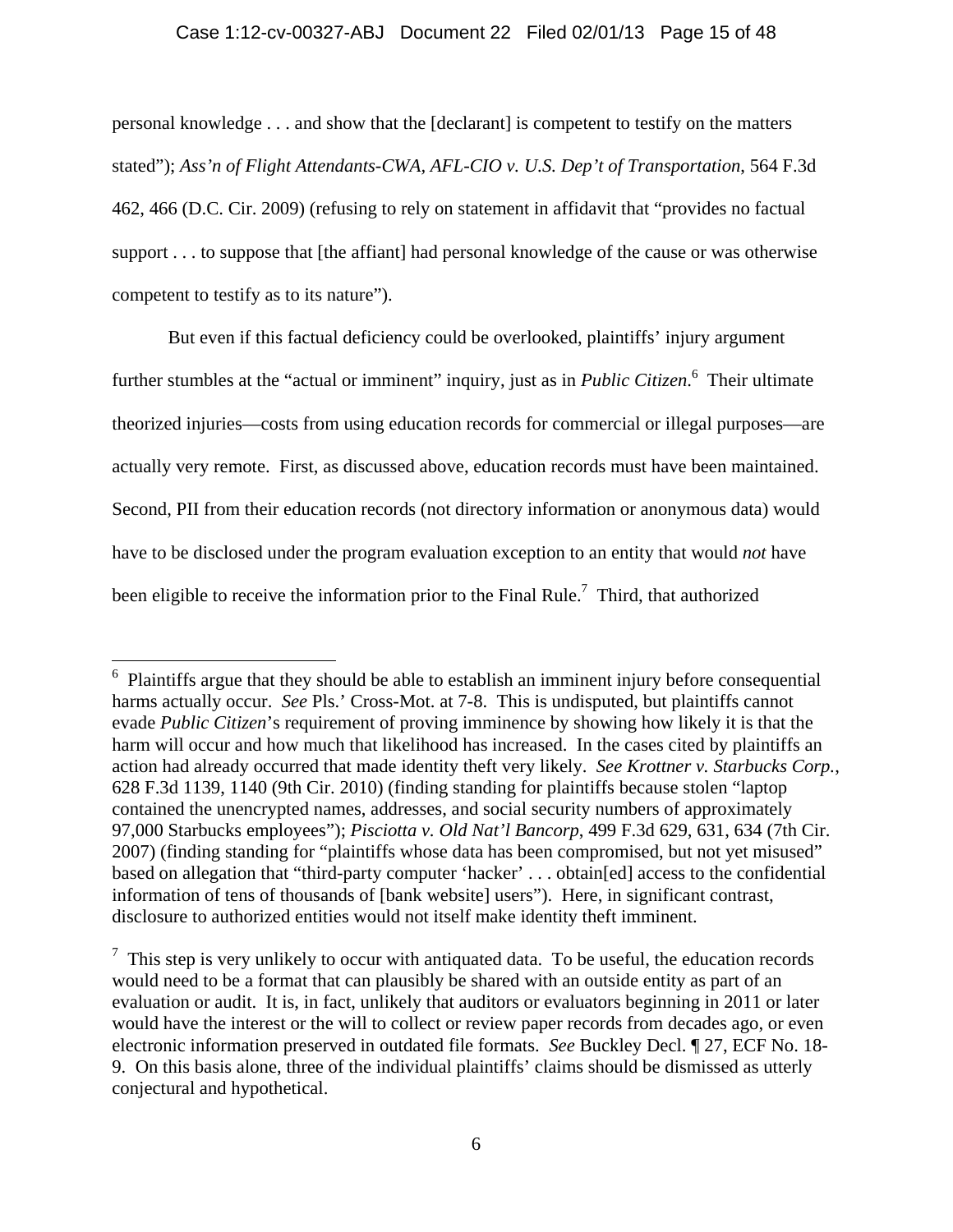### Case 1:12-cv-00327-ABJ Document 22 Filed 02/01/13 Page 15 of 48

personal knowledge . . . and show that the [declarant] is competent to testify on the matters stated"); *Ass'n of Flight Attendants-CWA, AFL-CIO v. U.S. Dep't of Transportation*, 564 F.3d 462, 466 (D.C. Cir. 2009) (refusing to rely on statement in affidavit that "provides no factual support . . . to suppose that [the affiant] had personal knowledge of the cause or was otherwise competent to testify as to its nature").

But even if this factual deficiency could be overlooked, plaintiffs' injury argument further stumbles at the "actual or imminent" inquiry, just as in *Public Citizen*. 6 Their ultimate theorized injuries—costs from using education records for commercial or illegal purposes—are actually very remote. First, as discussed above, education records must have been maintained. Second, PII from their education records (not directory information or anonymous data) would have to be disclosed under the program evaluation exception to an entity that would *not* have been eligible to receive the information prior to the Final Rule.<sup>7</sup> Third, that authorized

 $6$  Plaintiffs argue that they should be able to establish an imminent injury before consequential harms actually occur. *See* Pls.' Cross-Mot. at 7-8. This is undisputed, but plaintiffs cannot evade *Public Citizen*'s requirement of proving imminence by showing how likely it is that the harm will occur and how much that likelihood has increased. In the cases cited by plaintiffs an action had already occurred that made identity theft very likely. *See Krottner v. Starbucks Corp.*, 628 F.3d 1139, 1140 (9th Cir. 2010) (finding standing for plaintiffs because stolen "laptop contained the unencrypted names, addresses, and social security numbers of approximately 97,000 Starbucks employees"); *Pisciotta v. Old Nat'l Bancorp*, 499 F.3d 629, 631, 634 (7th Cir. 2007) (finding standing for "plaintiffs whose data has been compromised, but not yet misused" based on allegation that "third-party computer 'hacker' . . . obtain[ed] access to the confidential information of tens of thousands of [bank website] users"). Here, in significant contrast, disclosure to authorized entities would not itself make identity theft imminent.

 $\frac{7}{1}$  This step is very unlikely to occur with antiquated data. To be useful, the education records would need to be a format that can plausibly be shared with an outside entity as part of an evaluation or audit. It is, in fact, unlikely that auditors or evaluators beginning in 2011 or later would have the interest or the will to collect or review paper records from decades ago, or even electronic information preserved in outdated file formats. *See* Buckley Decl. ¶ 27, ECF No. 18- 9. On this basis alone, three of the individual plaintiffs' claims should be dismissed as utterly conjectural and hypothetical.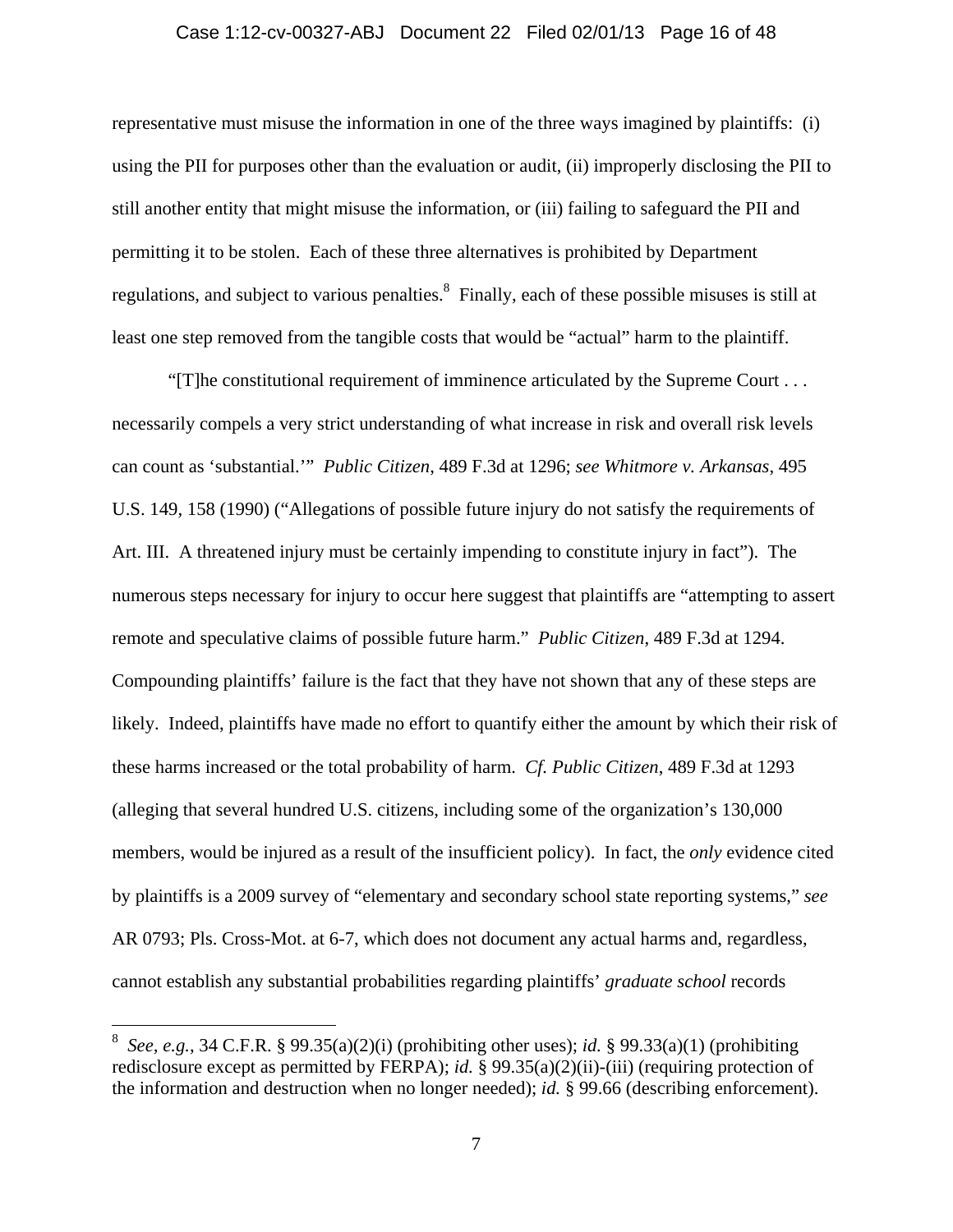### Case 1:12-cv-00327-ABJ Document 22 Filed 02/01/13 Page 16 of 48

representative must misuse the information in one of the three ways imagined by plaintiffs: (i) using the PII for purposes other than the evaluation or audit, (ii) improperly disclosing the PII to still another entity that might misuse the information, or (iii) failing to safeguard the PII and permitting it to be stolen. Each of these three alternatives is prohibited by Department regulations, and subject to various penalties.<sup>8</sup> Finally, each of these possible misuses is still at least one step removed from the tangible costs that would be "actual" harm to the plaintiff.

"[T]he constitutional requirement of imminence articulated by the Supreme Court . . . necessarily compels a very strict understanding of what increase in risk and overall risk levels can count as 'substantial.'" *Public Citizen*, 489 F.3d at 1296; *see Whitmore v. Arkansas*, 495 U.S. 149, 158 (1990) ("Allegations of possible future injury do not satisfy the requirements of Art. III. A threatened injury must be certainly impending to constitute injury in fact"). The numerous steps necessary for injury to occur here suggest that plaintiffs are "attempting to assert remote and speculative claims of possible future harm." *Public Citizen*, 489 F.3d at 1294. Compounding plaintiffs' failure is the fact that they have not shown that any of these steps are likely. Indeed, plaintiffs have made no effort to quantify either the amount by which their risk of these harms increased or the total probability of harm. *Cf. Public Citizen*, 489 F.3d at 1293 (alleging that several hundred U.S. citizens, including some of the organization's 130,000 members, would be injured as a result of the insufficient policy). In fact, the *only* evidence cited by plaintiffs is a 2009 survey of "elementary and secondary school state reporting systems," *see* AR 0793; Pls. Cross-Mot. at 6-7, which does not document any actual harms and, regardless, cannot establish any substantial probabilities regarding plaintiffs' *graduate school* records

<sup>8</sup> *See, e.g.*, 34 C.F.R. § 99.35(a)(2)(i) (prohibiting other uses); *id.* § 99.33(a)(1) (prohibiting redisclosure except as permitted by FERPA); *id.* § 99.35(a)(2)(ii)-(iii) (requiring protection of the information and destruction when no longer needed); *id.* § 99.66 (describing enforcement).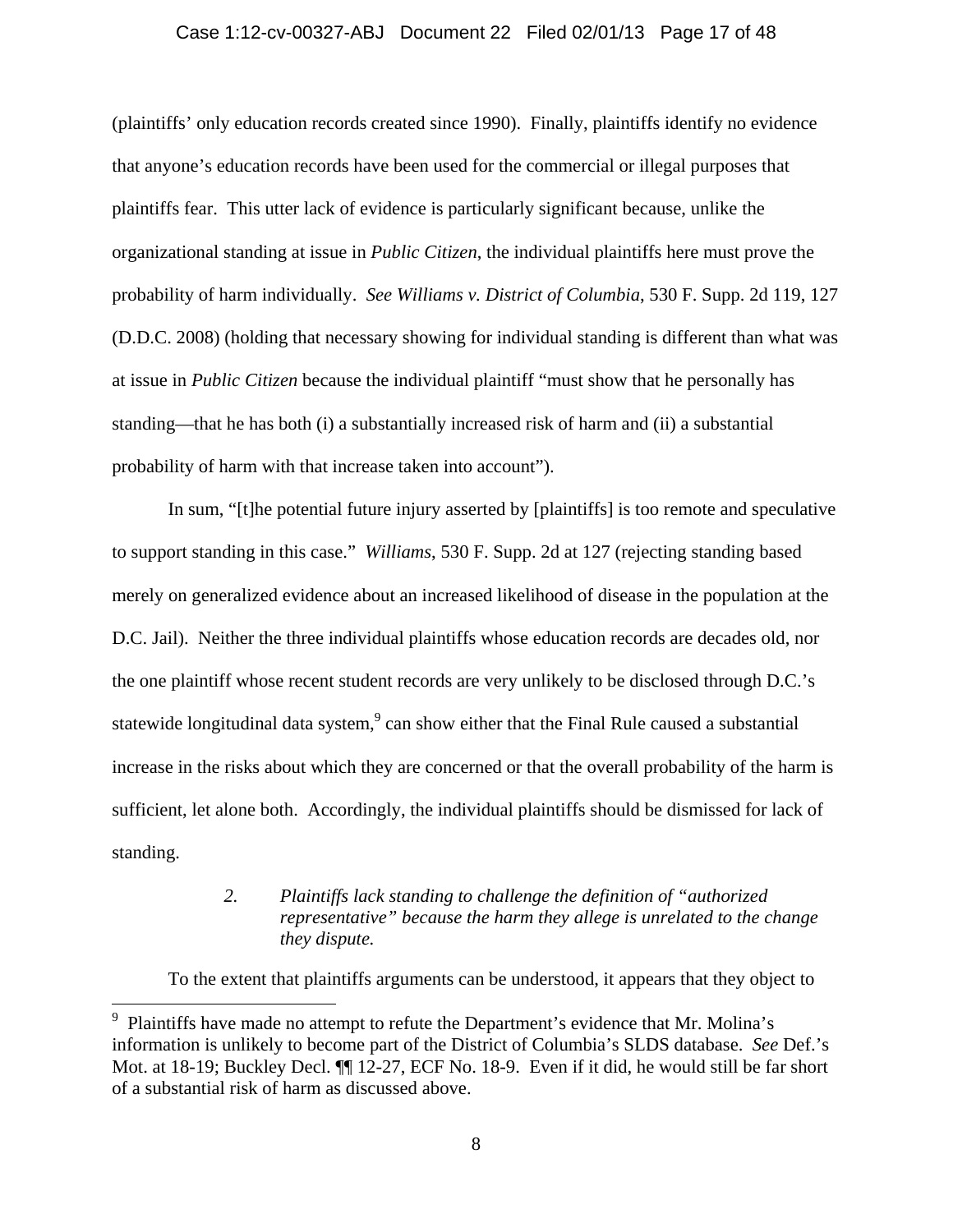#### Case 1:12-cv-00327-ABJ Document 22 Filed 02/01/13 Page 17 of 48

(plaintiffs' only education records created since 1990). Finally, plaintiffs identify no evidence that anyone's education records have been used for the commercial or illegal purposes that plaintiffs fear. This utter lack of evidence is particularly significant because, unlike the organizational standing at issue in *Public Citizen*, the individual plaintiffs here must prove the probability of harm individually. *See Williams v. District of Columbia*, 530 F. Supp. 2d 119, 127 (D.D.C. 2008) (holding that necessary showing for individual standing is different than what was at issue in *Public Citizen* because the individual plaintiff "must show that he personally has standing—that he has both (i) a substantially increased risk of harm and (ii) a substantial probability of harm with that increase taken into account").

In sum, "[t]he potential future injury asserted by [plaintiffs] is too remote and speculative to support standing in this case." *Williams*, 530 F. Supp. 2d at 127 (rejecting standing based merely on generalized evidence about an increased likelihood of disease in the population at the D.C. Jail). Neither the three individual plaintiffs whose education records are decades old, nor the one plaintiff whose recent student records are very unlikely to be disclosed through D.C.'s statewide longitudinal data system,  $\degree$  can show either that the Final Rule caused a substantial increase in the risks about which they are concerned or that the overall probability of the harm is sufficient, let alone both. Accordingly, the individual plaintiffs should be dismissed for lack of standing.

### *2. Plaintiffs lack standing to challenge the definition of "authorized representative" because the harm they allege is unrelated to the change they dispute.*

To the extent that plaintiffs arguments can be understood, it appears that they object to

<sup>9</sup> Plaintiffs have made no attempt to refute the Department's evidence that Mr. Molina's information is unlikely to become part of the District of Columbia's SLDS database. *See* Def.'s Mot. at 18-19; Buckley Decl. ¶¶ 12-27, ECF No. 18-9. Even if it did, he would still be far short of a substantial risk of harm as discussed above.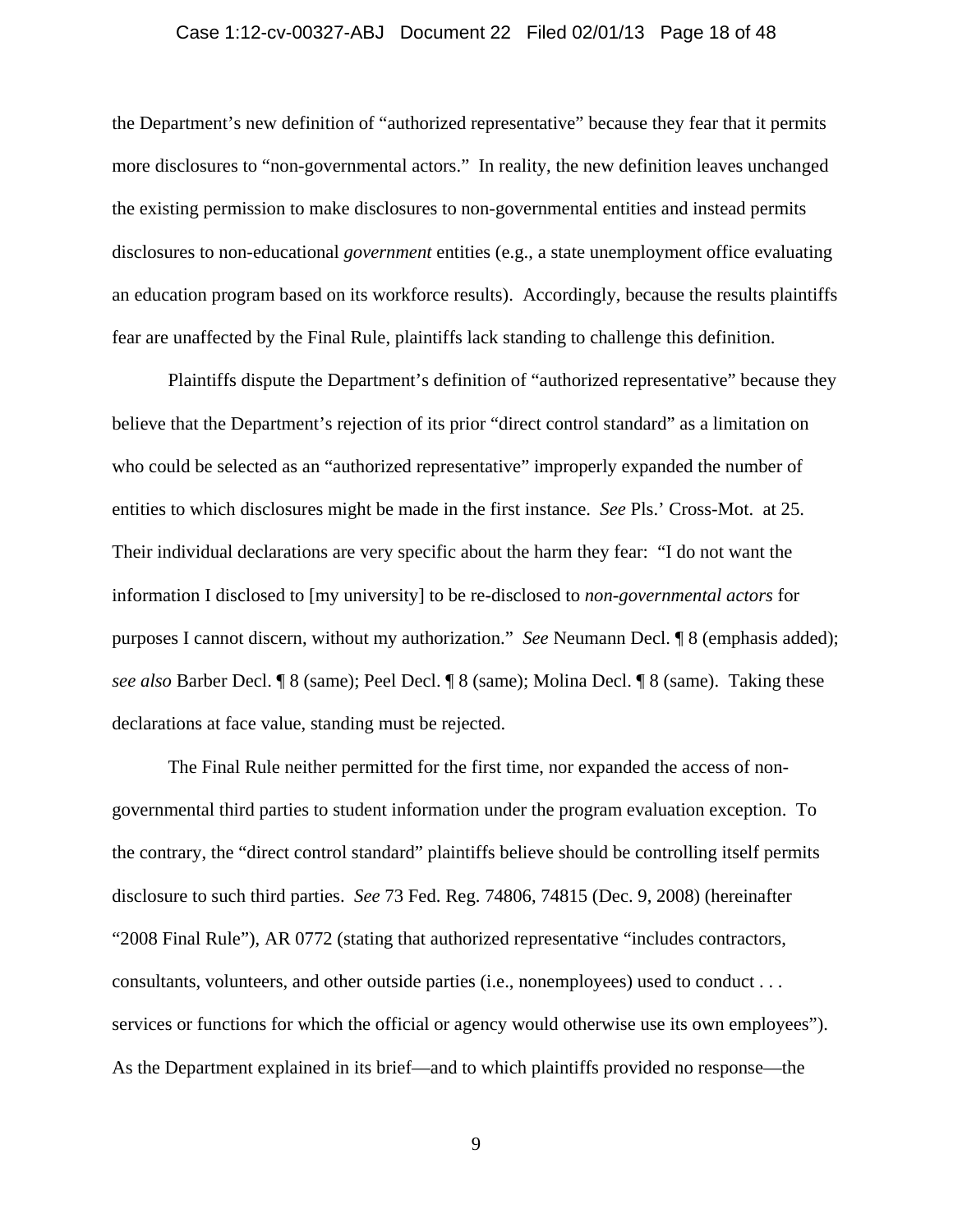### Case 1:12-cv-00327-ABJ Document 22 Filed 02/01/13 Page 18 of 48

the Department's new definition of "authorized representative" because they fear that it permits more disclosures to "non-governmental actors." In reality, the new definition leaves unchanged the existing permission to make disclosures to non-governmental entities and instead permits disclosures to non-educational *government* entities (e.g., a state unemployment office evaluating an education program based on its workforce results). Accordingly, because the results plaintiffs fear are unaffected by the Final Rule, plaintiffs lack standing to challenge this definition.

Plaintiffs dispute the Department's definition of "authorized representative" because they believe that the Department's rejection of its prior "direct control standard" as a limitation on who could be selected as an "authorized representative" improperly expanded the number of entities to which disclosures might be made in the first instance. *See* Pls.' Cross-Mot. at 25. Their individual declarations are very specific about the harm they fear: "I do not want the information I disclosed to [my university] to be re-disclosed to *non-governmental actors* for purposes I cannot discern, without my authorization." *See* Neumann Decl. ¶ 8 (emphasis added); *see also* Barber Decl. ¶ 8 (same); Peel Decl. ¶ 8 (same); Molina Decl. ¶ 8 (same). Taking these declarations at face value, standing must be rejected.

The Final Rule neither permitted for the first time, nor expanded the access of nongovernmental third parties to student information under the program evaluation exception. To the contrary, the "direct control standard" plaintiffs believe should be controlling itself permits disclosure to such third parties. *See* 73 Fed. Reg. 74806, 74815 (Dec. 9, 2008) (hereinafter "2008 Final Rule"), AR 0772 (stating that authorized representative "includes contractors, consultants, volunteers, and other outside parties (i.e., nonemployees) used to conduct . . . services or functions for which the official or agency would otherwise use its own employees"). As the Department explained in its brief—and to which plaintiffs provided no response—the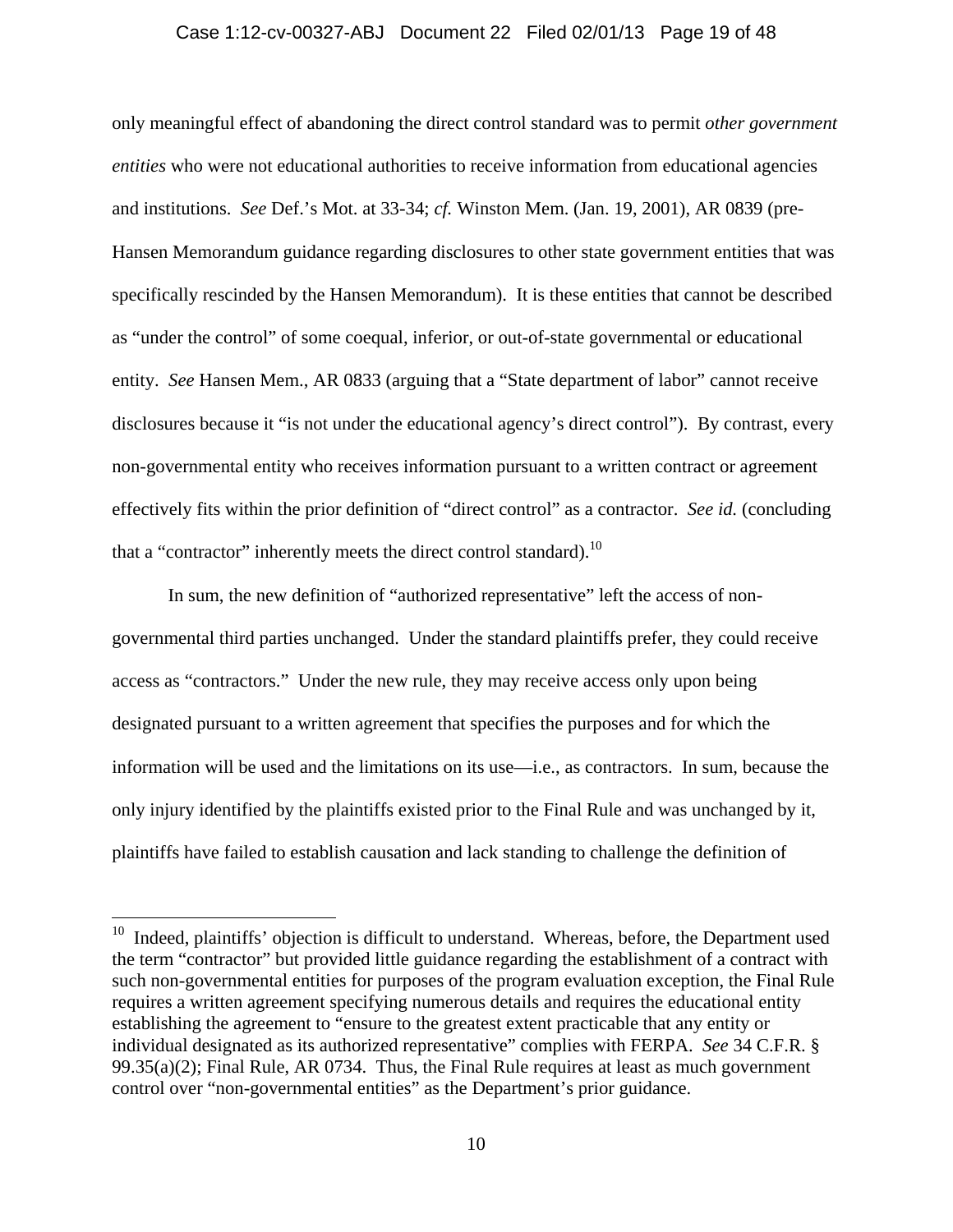#### Case 1:12-cv-00327-ABJ Document 22 Filed 02/01/13 Page 19 of 48

only meaningful effect of abandoning the direct control standard was to permit *other government entities* who were not educational authorities to receive information from educational agencies and institutions. *See* Def.'s Mot. at 33-34; *cf.* Winston Mem. (Jan. 19, 2001), AR 0839 (pre-Hansen Memorandum guidance regarding disclosures to other state government entities that was specifically rescinded by the Hansen Memorandum). It is these entities that cannot be described as "under the control" of some coequal, inferior, or out-of-state governmental or educational entity. *See* Hansen Mem., AR 0833 (arguing that a "State department of labor" cannot receive disclosures because it "is not under the educational agency's direct control"). By contrast, every non-governmental entity who receives information pursuant to a written contract or agreement effectively fits within the prior definition of "direct control" as a contractor. *See id.* (concluding that a "contractor" inherently meets the direct control standard).<sup>10</sup>

In sum, the new definition of "authorized representative" left the access of nongovernmental third parties unchanged. Under the standard plaintiffs prefer, they could receive access as "contractors." Under the new rule, they may receive access only upon being designated pursuant to a written agreement that specifies the purposes and for which the information will be used and the limitations on its use—i.e., as contractors. In sum, because the only injury identified by the plaintiffs existed prior to the Final Rule and was unchanged by it, plaintiffs have failed to establish causation and lack standing to challenge the definition of

 $10$  Indeed, plaintiffs' objection is difficult to understand. Whereas, before, the Department used the term "contractor" but provided little guidance regarding the establishment of a contract with such non-governmental entities for purposes of the program evaluation exception, the Final Rule requires a written agreement specifying numerous details and requires the educational entity establishing the agreement to "ensure to the greatest extent practicable that any entity or individual designated as its authorized representative" complies with FERPA. *See* 34 C.F.R. §  $99.35(a)(2)$ ; Final Rule, AR 0734. Thus, the Final Rule requires at least as much government control over "non-governmental entities" as the Department's prior guidance.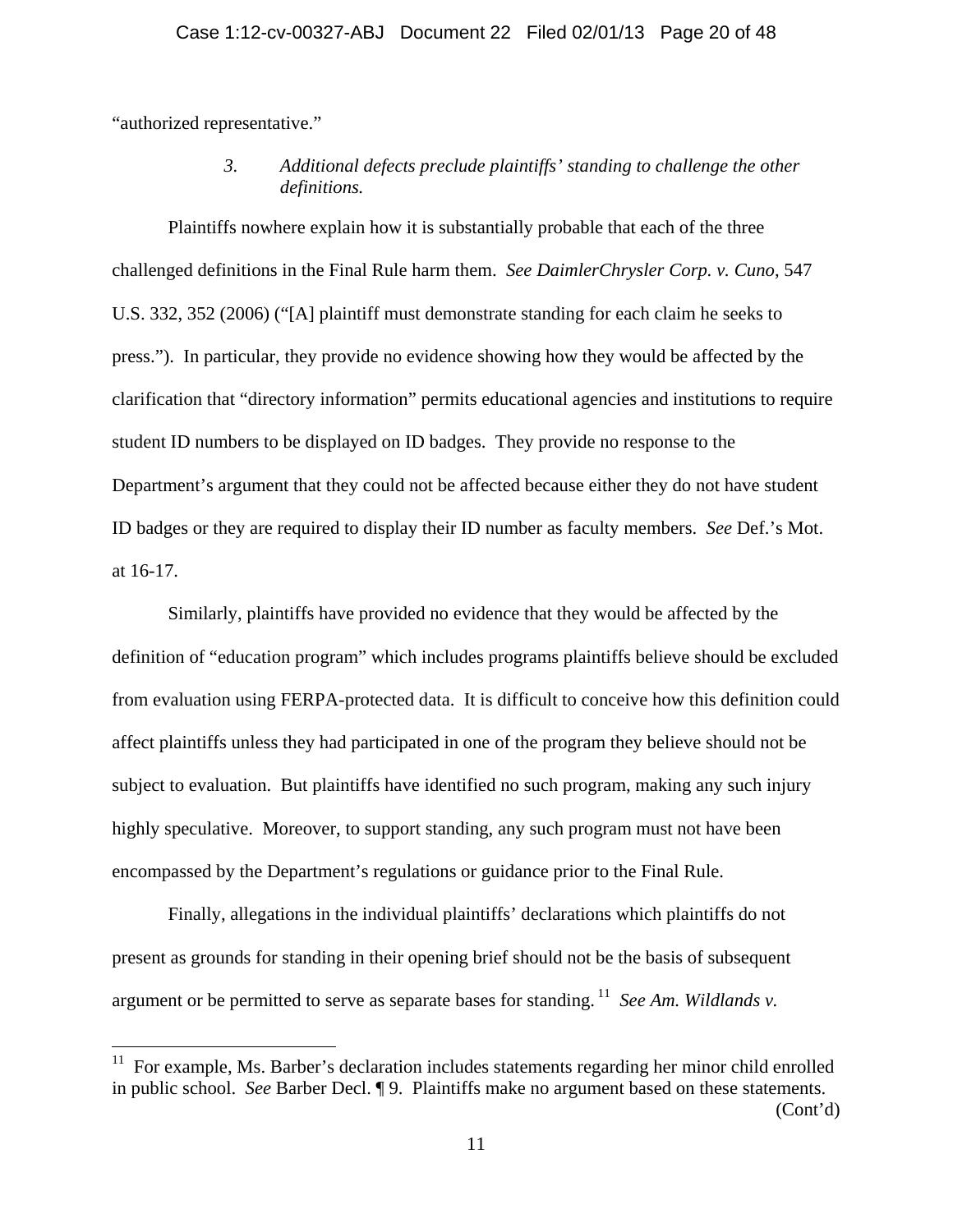"authorized representative."

 $\overline{a}$ 

*3. Additional defects preclude plaintiffs' standing to challenge the other definitions.* 

Plaintiffs nowhere explain how it is substantially probable that each of the three challenged definitions in the Final Rule harm them. *See DaimlerChrysler Corp. v. Cuno*, 547 U.S. 332, 352 (2006) ("[A] plaintiff must demonstrate standing for each claim he seeks to press."). In particular, they provide no evidence showing how they would be affected by the clarification that "directory information" permits educational agencies and institutions to require student ID numbers to be displayed on ID badges. They provide no response to the Department's argument that they could not be affected because either they do not have student ID badges or they are required to display their ID number as faculty members. *See* Def.'s Mot. at 16-17.

Similarly, plaintiffs have provided no evidence that they would be affected by the definition of "education program" which includes programs plaintiffs believe should be excluded from evaluation using FERPA-protected data. It is difficult to conceive how this definition could affect plaintiffs unless they had participated in one of the program they believe should not be subject to evaluation. But plaintiffs have identified no such program, making any such injury highly speculative. Moreover, to support standing, any such program must not have been encompassed by the Department's regulations or guidance prior to the Final Rule.

Finally, allegations in the individual plaintiffs' declarations which plaintiffs do not present as grounds for standing in their opening brief should not be the basis of subsequent argument or be permitted to serve as separate bases for standing.<sup>11</sup> *See Am. Wildlands v.* 

(Cont'd)

 $11$  For example, Ms. Barber's declaration includes statements regarding her minor child enrolled in public school. *See* Barber Decl. ¶ 9. Plaintiffs make no argument based on these statements.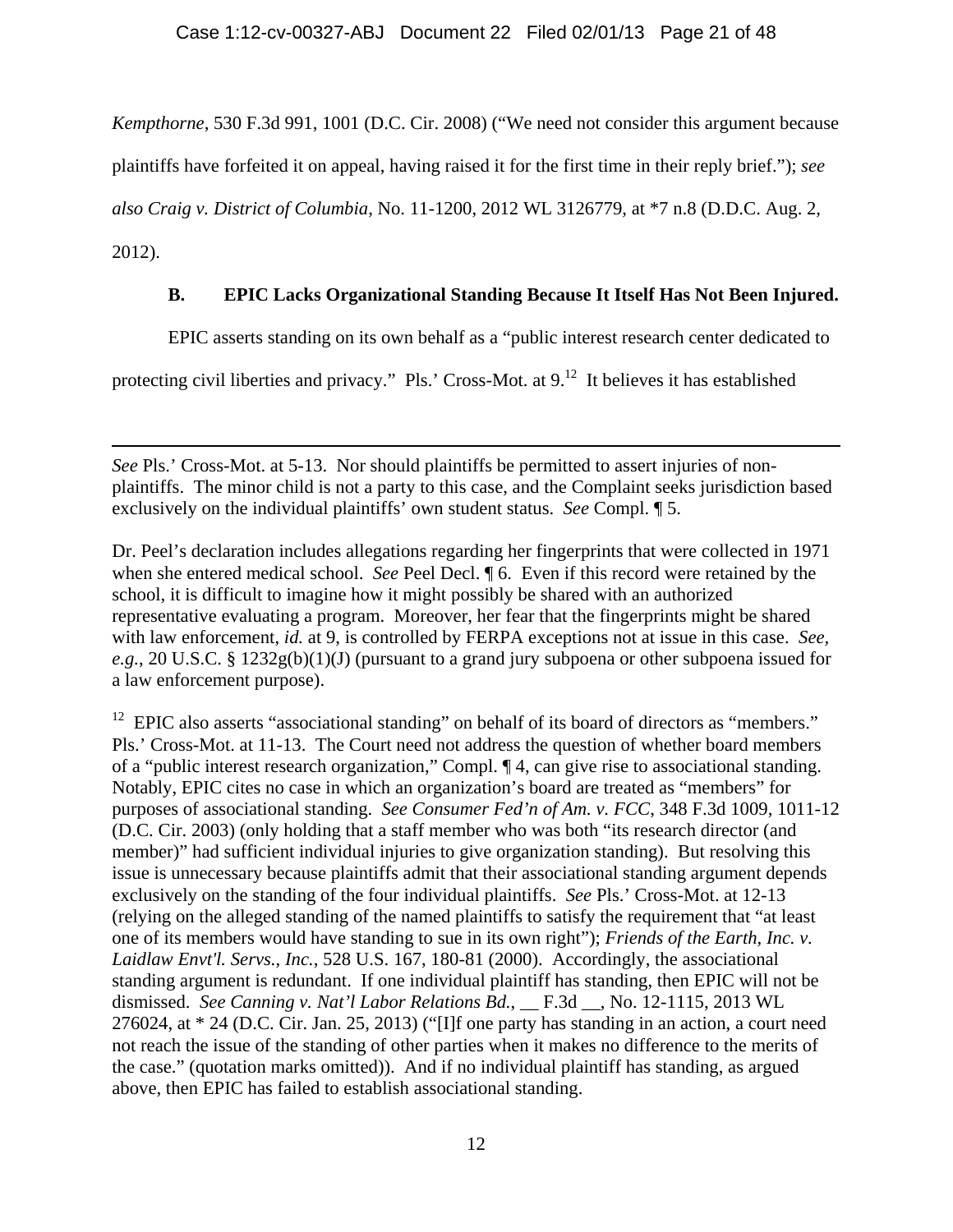*Kempthorne*, 530 F.3d 991, 1001 (D.C. Cir. 2008) ("We need not consider this argument because

plaintiffs have forfeited it on appeal, having raised it for the first time in their reply brief."); *see* 

*also Craig v. District of Columbia*, No. 11-1200, 2012 WL 3126779, at \*7 n.8 (D.D.C. Aug. 2,

2012).

## **B. EPIC Lacks Organizational Standing Because It Itself Has Not Been Injured.**

EPIC asserts standing on its own behalf as a "public interest research center dedicated to

protecting civil liberties and privacy." Pls.' Cross-Mot. at 9.<sup>12</sup> It believes it has established

 $\overline{a}$ *See* Pls.' Cross-Mot. at 5-13. Nor should plaintiffs be permitted to assert injuries of nonplaintiffs. The minor child is not a party to this case, and the Complaint seeks jurisdiction based exclusively on the individual plaintiffs' own student status. *See* Compl. ¶ 5.

Dr. Peel's declaration includes allegations regarding her fingerprints that were collected in 1971 when she entered medical school. *See* Peel Decl. ¶ 6. Even if this record were retained by the school, it is difficult to imagine how it might possibly be shared with an authorized representative evaluating a program. Moreover, her fear that the fingerprints might be shared with law enforcement, *id.* at 9, is controlled by FERPA exceptions not at issue in this case. *See, e.g.*, 20 U.S.C. § 1232g(b)(1)(J) (pursuant to a grand jury subpoena or other subpoena issued for a law enforcement purpose).

<sup>12</sup> EPIC also asserts "associational standing" on behalf of its board of directors as "members." Pls.' Cross-Mot. at 11-13. The Court need not address the question of whether board members of a "public interest research organization," Compl. ¶ 4, can give rise to associational standing. Notably, EPIC cites no case in which an organization's board are treated as "members" for purposes of associational standing. *See Consumer Fed'n of Am. v. FCC*, 348 F.3d 1009, 1011-12 (D.C. Cir. 2003) (only holding that a staff member who was both "its research director (and member)" had sufficient individual injuries to give organization standing). But resolving this issue is unnecessary because plaintiffs admit that their associational standing argument depends exclusively on the standing of the four individual plaintiffs. *See* Pls.' Cross-Mot. at 12-13 (relying on the alleged standing of the named plaintiffs to satisfy the requirement that "at least one of its members would have standing to sue in its own right"); *Friends of the Earth, Inc. v. Laidlaw Envt'l. Servs., Inc.*, 528 U.S. 167, 180-81 (2000). Accordingly, the associational standing argument is redundant. If one individual plaintiff has standing, then EPIC will not be dismissed. *See Canning v. Nat'l Labor Relations Bd.*, F.3d , No. 12-1115, 2013 WL 276024, at \* 24 (D.C. Cir. Jan. 25, 2013) ("[I]f one party has standing in an action, a court need not reach the issue of the standing of other parties when it makes no difference to the merits of the case." (quotation marks omitted)). And if no individual plaintiff has standing, as argued above, then EPIC has failed to establish associational standing.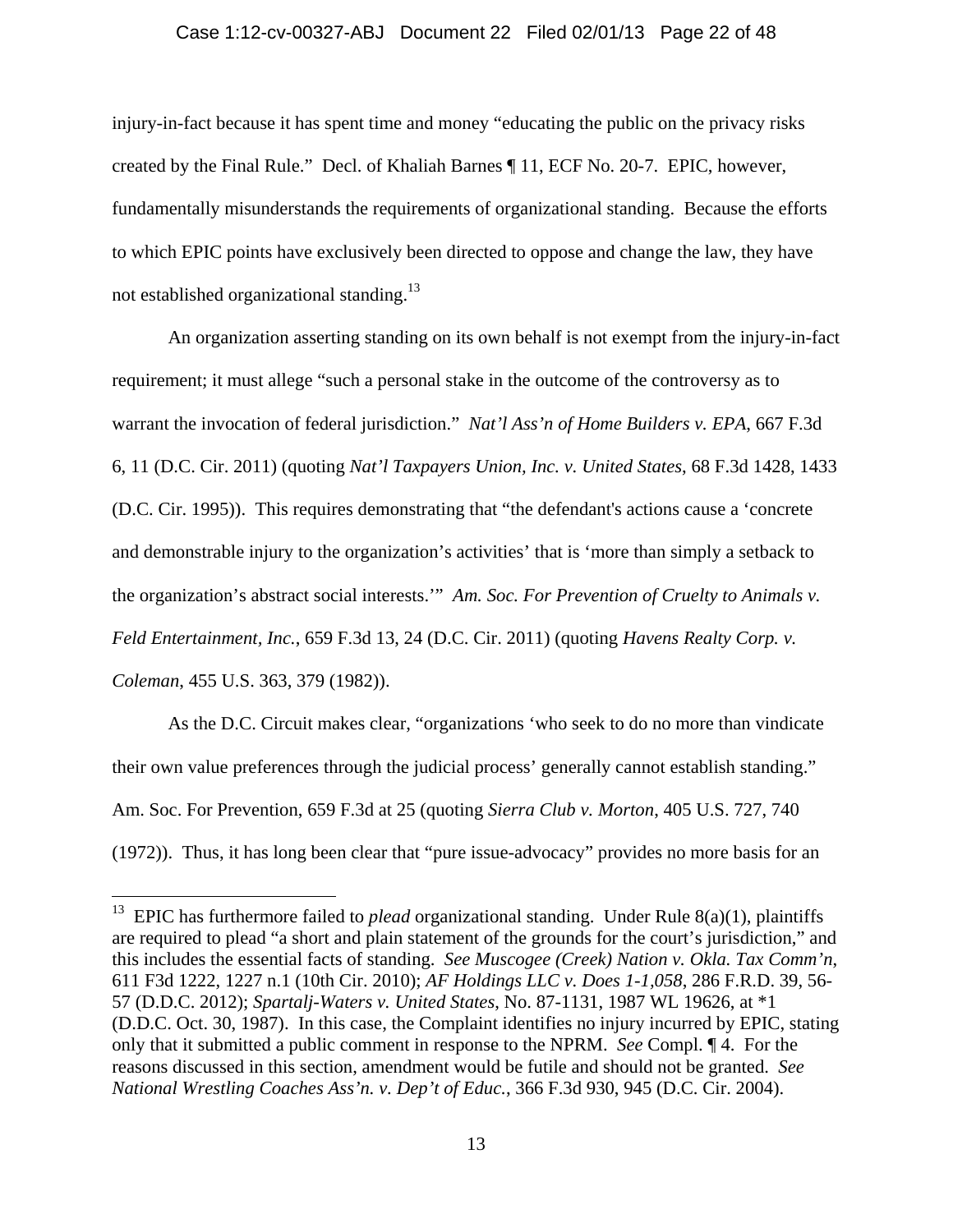### Case 1:12-cv-00327-ABJ Document 22 Filed 02/01/13 Page 22 of 48

injury-in-fact because it has spent time and money "educating the public on the privacy risks created by the Final Rule." Decl. of Khaliah Barnes ¶ 11, ECF No. 20-7. EPIC, however, fundamentally misunderstands the requirements of organizational standing. Because the efforts to which EPIC points have exclusively been directed to oppose and change the law, they have not established organizational standing.<sup>13</sup>

An organization asserting standing on its own behalf is not exempt from the injury-in-fact requirement; it must allege "such a personal stake in the outcome of the controversy as to warrant the invocation of federal jurisdiction." *Nat'l Ass'n of Home Builders v. EPA*, 667 F.3d 6, 11 (D.C. Cir. 2011) (quoting *Nat'l Taxpayers Union, Inc. v. United States*, 68 F.3d 1428, 1433 (D.C. Cir. 1995)). This requires demonstrating that "the defendant's actions cause a 'concrete and demonstrable injury to the organization's activities' that is 'more than simply a setback to the organization's abstract social interests.'" *Am. Soc. For Prevention of Cruelty to Animals v. Feld Entertainment, Inc.*, 659 F.3d 13, 24 (D.C. Cir. 2011) (quoting *Havens Realty Corp. v. Coleman*, 455 U.S. 363, 379 (1982)).

As the D.C. Circuit makes clear, "organizations 'who seek to do no more than vindicate their own value preferences through the judicial process' generally cannot establish standing." Am. Soc. For Prevention, 659 F.3d at 25 (quoting *Sierra Club v. Morton*, 405 U.S. 727, 740 (1972)). Thus, it has long been clear that "pure issue-advocacy" provides no more basis for an

<sup>&</sup>lt;sup>13</sup> EPIC has furthermore failed to *plead* organizational standing. Under Rule  $8(a)(1)$ , plaintiffs are required to plead "a short and plain statement of the grounds for the court's jurisdiction," and this includes the essential facts of standing. *See Muscogee (Creek) Nation v. Okla. Tax Comm'n*, 611 F3d 1222, 1227 n.1 (10th Cir. 2010); *AF Holdings LLC v. Does 1-1,058*, 286 F.R.D. 39, 56- 57 (D.D.C. 2012); *Spartalj-Waters v. United States*, No. 87-1131, 1987 WL 19626, at \*1 (D.D.C. Oct. 30, 1987). In this case, the Complaint identifies no injury incurred by EPIC, stating only that it submitted a public comment in response to the NPRM. *See* Compl. ¶ 4. For the reasons discussed in this section, amendment would be futile and should not be granted. *See National Wrestling Coaches Ass'n. v. Dep't of Educ.*, 366 F.3d 930, 945 (D.C. Cir. 2004).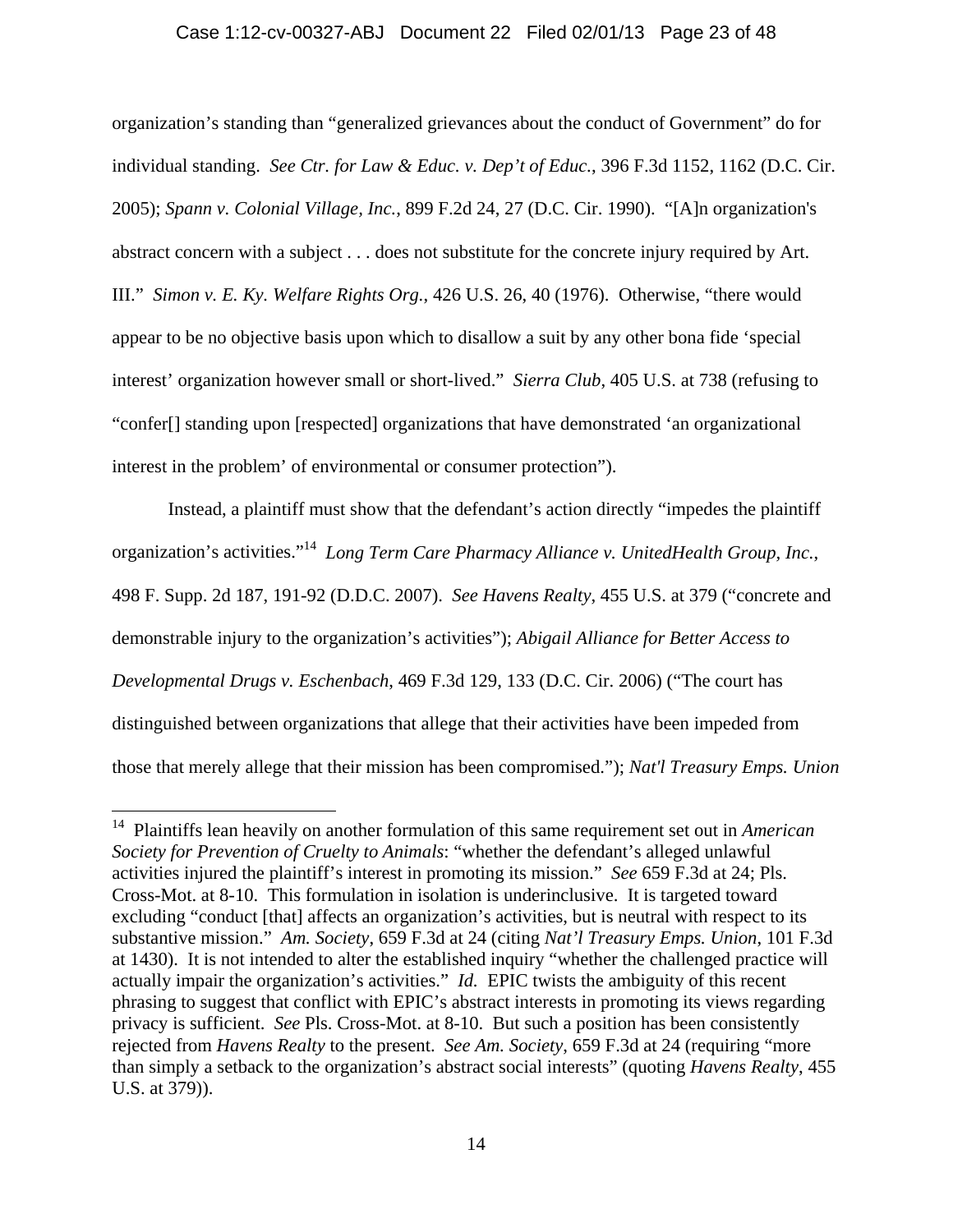### Case 1:12-cv-00327-ABJ Document 22 Filed 02/01/13 Page 23 of 48

organization's standing than "generalized grievances about the conduct of Government" do for individual standing. *See Ctr. for Law & Educ. v. Dep't of Educ.*, 396 F.3d 1152, 1162 (D.C. Cir. 2005); *Spann v. Colonial Village, Inc.*, 899 F.2d 24, 27 (D.C. Cir. 1990). "[A]n organization's abstract concern with a subject . . . does not substitute for the concrete injury required by Art. III." *Simon v. E. Ky. Welfare Rights Org.*, 426 U.S. 26, 40 (1976). Otherwise, "there would appear to be no objective basis upon which to disallow a suit by any other bona fide 'special interest' organization however small or short-lived." *Sierra Club*, 405 U.S. at 738 (refusing to "confer[] standing upon [respected] organizations that have demonstrated 'an organizational interest in the problem' of environmental or consumer protection").

Instead, a plaintiff must show that the defendant's action directly "impedes the plaintiff organization's activities."14 *Long Term Care Pharmacy Alliance v. UnitedHealth Group, Inc.*, 498 F. Supp. 2d 187, 191-92 (D.D.C. 2007). *See Havens Realty*, 455 U.S. at 379 ("concrete and demonstrable injury to the organization's activities"); *Abigail Alliance for Better Access to Developmental Drugs v. Eschenbach*, 469 F.3d 129, 133 (D.C. Cir. 2006) ("The court has distinguished between organizations that allege that their activities have been impeded from those that merely allege that their mission has been compromised."); *Nat'l Treasury Emps. Union* 

<sup>14</sup> Plaintiffs lean heavily on another formulation of this same requirement set out in *American Society for Prevention of Cruelty to Animals*: "whether the defendant's alleged unlawful activities injured the plaintiff's interest in promoting its mission." *See* 659 F.3d at 24; Pls. Cross-Mot. at 8-10. This formulation in isolation is underinclusive. It is targeted toward excluding "conduct [that] affects an organization's activities, but is neutral with respect to its substantive mission." *Am. Society*, 659 F.3d at 24 (citing *Nat'l Treasury Emps. Union*, 101 F.3d at 1430). It is not intended to alter the established inquiry "whether the challenged practice will actually impair the organization's activities." *Id.* EPIC twists the ambiguity of this recent phrasing to suggest that conflict with EPIC's abstract interests in promoting its views regarding privacy is sufficient. *See* Pls. Cross-Mot. at 8-10. But such a position has been consistently rejected from *Havens Realty* to the present. *See Am. Society*, 659 F.3d at 24 (requiring "more than simply a setback to the organization's abstract social interests" (quoting *Havens Realty*, 455 U.S. at 379)).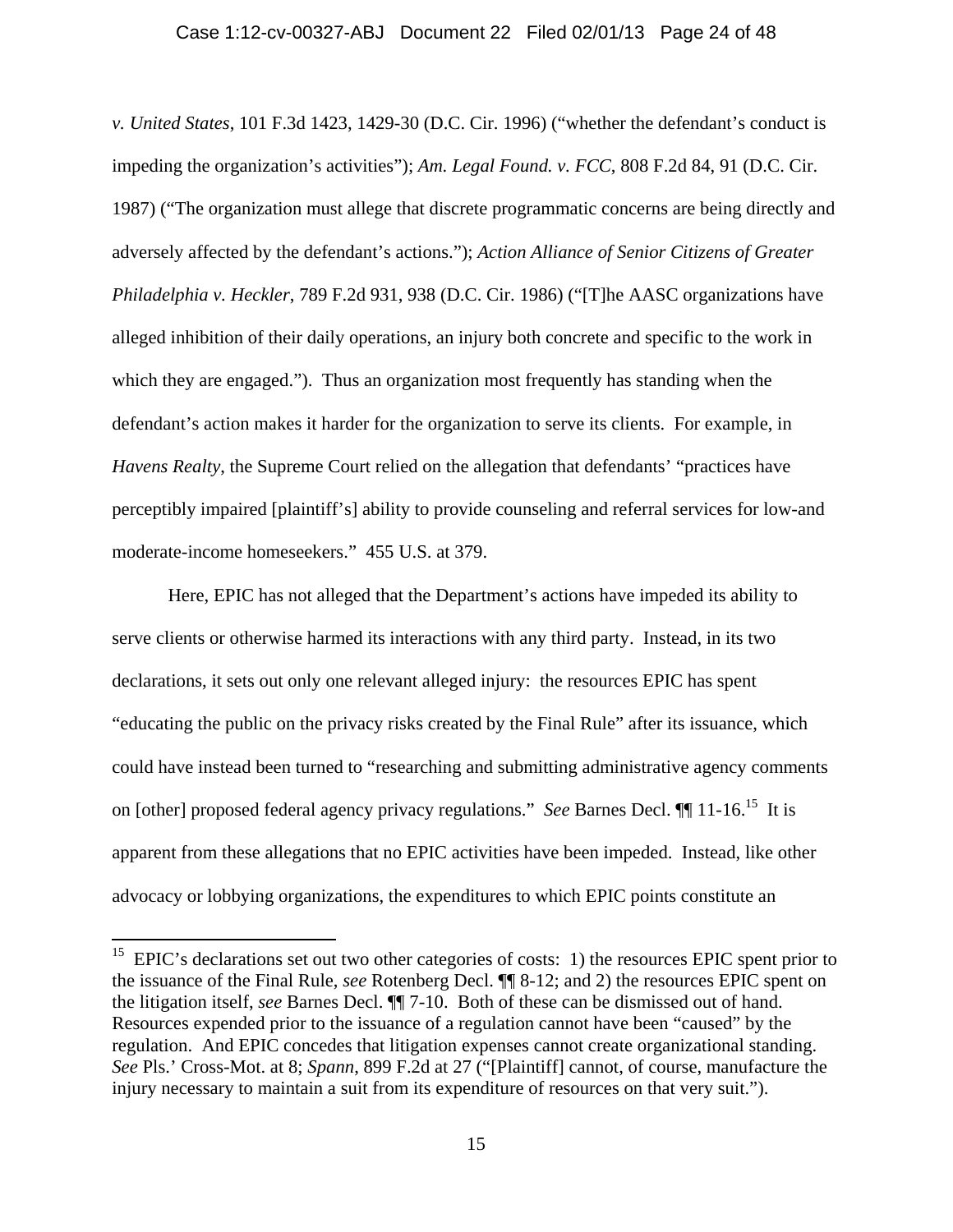#### Case 1:12-cv-00327-ABJ Document 22 Filed 02/01/13 Page 24 of 48

*v. United States*, 101 F.3d 1423, 1429-30 (D.C. Cir. 1996) ("whether the defendant's conduct is impeding the organization's activities"); *Am. Legal Found. v. FCC*, 808 F.2d 84, 91 (D.C. Cir. 1987) ("The organization must allege that discrete programmatic concerns are being directly and adversely affected by the defendant's actions."); *Action Alliance of Senior Citizens of Greater Philadelphia v. Heckler*, 789 F.2d 931, 938 (D.C. Cir. 1986) ("[T]he AASC organizations have alleged inhibition of their daily operations, an injury both concrete and specific to the work in which they are engaged."). Thus an organization most frequently has standing when the defendant's action makes it harder for the organization to serve its clients. For example, in *Havens Realty*, the Supreme Court relied on the allegation that defendants' "practices have perceptibly impaired [plaintiff's] ability to provide counseling and referral services for low-and moderate-income homeseekers." 455 U.S. at 379.

Here, EPIC has not alleged that the Department's actions have impeded its ability to serve clients or otherwise harmed its interactions with any third party. Instead, in its two declarations, it sets out only one relevant alleged injury: the resources EPIC has spent "educating the public on the privacy risks created by the Final Rule" after its issuance, which could have instead been turned to "researching and submitting administrative agency comments on [other] proposed federal agency privacy regulations." *See* Barnes Decl. ¶¶ 11-16.15 It is apparent from these allegations that no EPIC activities have been impeded. Instead, like other advocacy or lobbying organizations, the expenditures to which EPIC points constitute an

 $15$  EPIC's declarations set out two other categories of costs: 1) the resources EPIC spent prior to the issuance of the Final Rule, *see* Rotenberg Decl. ¶¶ 8-12; and 2) the resources EPIC spent on the litigation itself, *see* Barnes Decl. ¶¶ 7-10. Both of these can be dismissed out of hand. Resources expended prior to the issuance of a regulation cannot have been "caused" by the regulation. And EPIC concedes that litigation expenses cannot create organizational standing. *See* Pls.' Cross-Mot. at 8; *Spann*, 899 F.2d at 27 ("[Plaintiff] cannot, of course, manufacture the injury necessary to maintain a suit from its expenditure of resources on that very suit.").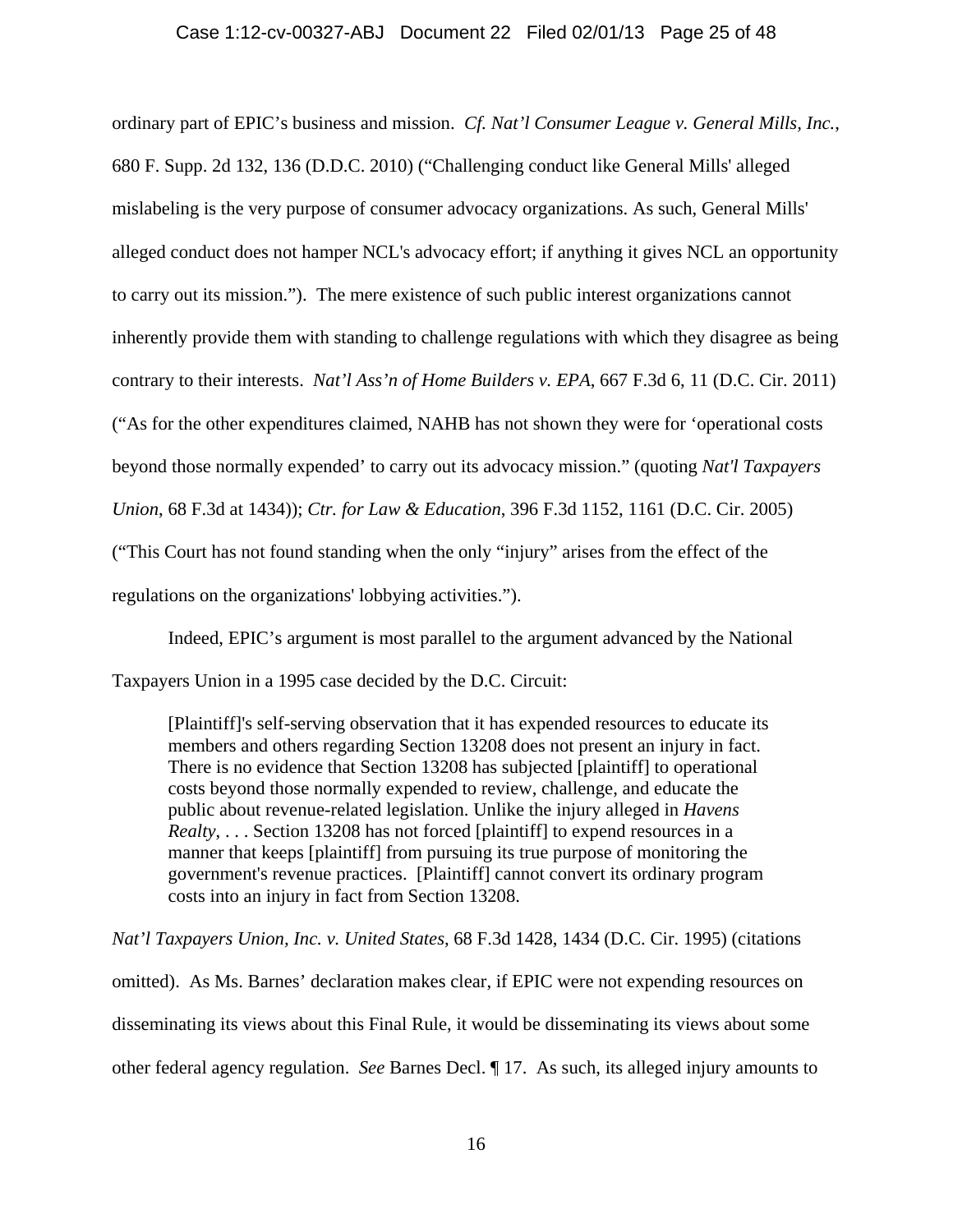### Case 1:12-cv-00327-ABJ Document 22 Filed 02/01/13 Page 25 of 48

ordinary part of EPIC's business and mission. *Cf. Nat'l Consumer League v. General Mills, Inc.*, 680 F. Supp. 2d 132, 136 (D.D.C. 2010) ("Challenging conduct like General Mills' alleged mislabeling is the very purpose of consumer advocacy organizations. As such, General Mills' alleged conduct does not hamper NCL's advocacy effort; if anything it gives NCL an opportunity to carry out its mission."). The mere existence of such public interest organizations cannot inherently provide them with standing to challenge regulations with which they disagree as being contrary to their interests. *Nat'l Ass'n of Home Builders v. EPA*, 667 F.3d 6, 11 (D.C. Cir. 2011) ("As for the other expenditures claimed, NAHB has not shown they were for 'operational costs beyond those normally expended' to carry out its advocacy mission." (quoting *Nat'l Taxpayers Union*, 68 F.3d at 1434)); *Ctr. for Law & Education*, 396 F.3d 1152, 1161 (D.C. Cir. 2005) ("This Court has not found standing when the only "injury" arises from the effect of the regulations on the organizations' lobbying activities.").

Indeed, EPIC's argument is most parallel to the argument advanced by the National Taxpayers Union in a 1995 case decided by the D.C. Circuit:

[Plaintiff]'s self-serving observation that it has expended resources to educate its members and others regarding Section 13208 does not present an injury in fact. There is no evidence that Section 13208 has subjected [plaintiff] to operational costs beyond those normally expended to review, challenge, and educate the public about revenue-related legislation. Unlike the injury alleged in *Havens Realty*, . . . Section 13208 has not forced [plaintiff] to expend resources in a manner that keeps [plaintiff] from pursuing its true purpose of monitoring the government's revenue practices. [Plaintiff] cannot convert its ordinary program costs into an injury in fact from Section 13208.

*Nat'l Taxpayers Union, Inc. v. United States*, 68 F.3d 1428, 1434 (D.C. Cir. 1995) (citations omitted). As Ms. Barnes' declaration makes clear, if EPIC were not expending resources on disseminating its views about this Final Rule, it would be disseminating its views about some other federal agency regulation. *See* Barnes Decl. ¶ 17. As such, its alleged injury amounts to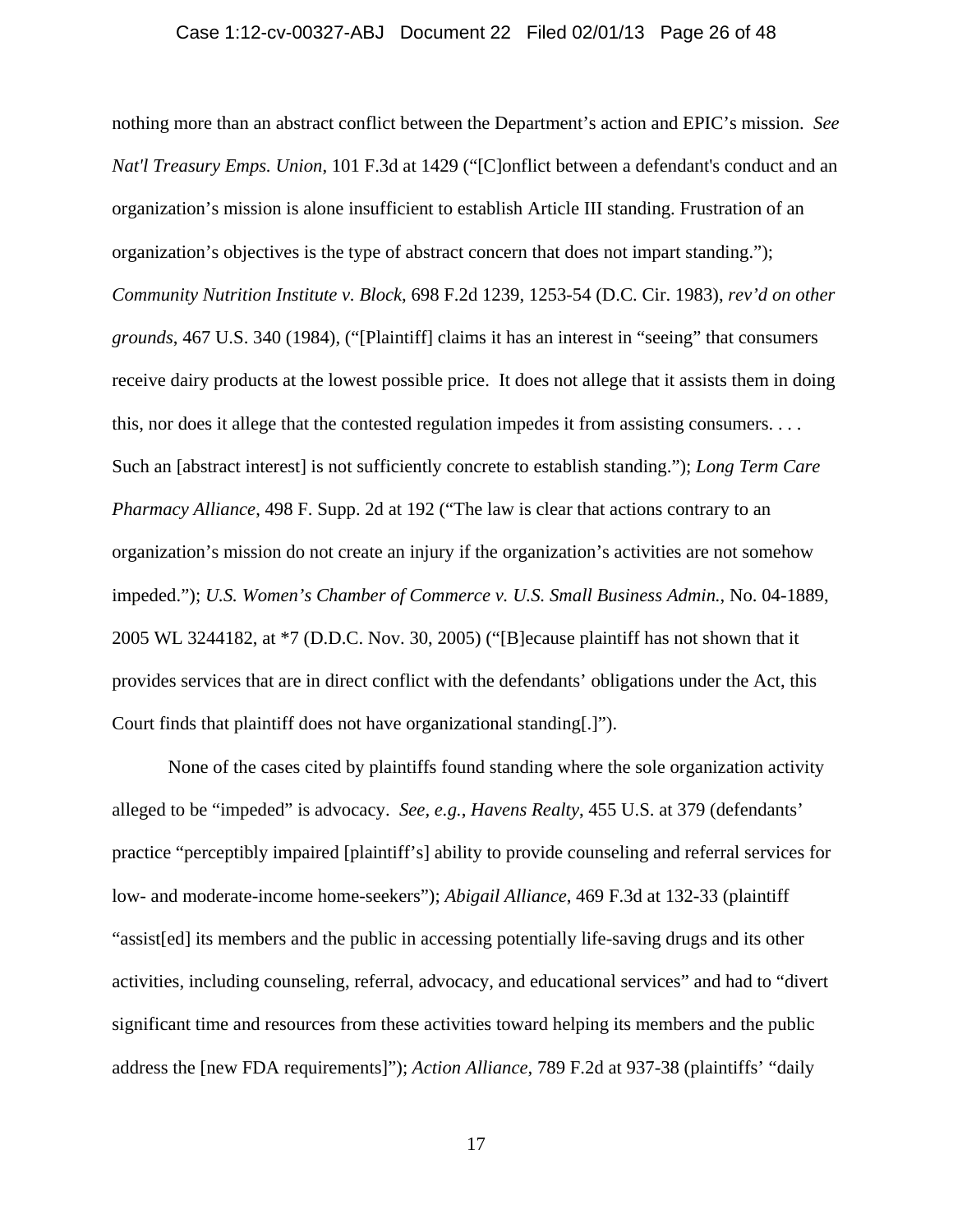#### Case 1:12-cv-00327-ABJ Document 22 Filed 02/01/13 Page 26 of 48

nothing more than an abstract conflict between the Department's action and EPIC's mission. *See Nat'l Treasury Emps. Union*, 101 F.3d at 1429 ("[C]onflict between a defendant's conduct and an organization's mission is alone insufficient to establish Article III standing. Frustration of an organization's objectives is the type of abstract concern that does not impart standing."); *Community Nutrition Institute v. Block*, 698 F.2d 1239, 1253-54 (D.C. Cir. 1983), *rev'd on other grounds*, 467 U.S. 340 (1984), ("[Plaintiff] claims it has an interest in "seeing" that consumers receive dairy products at the lowest possible price. It does not allege that it assists them in doing this, nor does it allege that the contested regulation impedes it from assisting consumers. . . . Such an [abstract interest] is not sufficiently concrete to establish standing."); *Long Term Care Pharmacy Alliance*, 498 F. Supp. 2d at 192 ("The law is clear that actions contrary to an organization's mission do not create an injury if the organization's activities are not somehow impeded."); *U.S. Women's Chamber of Commerce v. U.S. Small Business Admin.*, No. 04-1889, 2005 WL 3244182, at \*7 (D.D.C. Nov. 30, 2005) ("[B]ecause plaintiff has not shown that it provides services that are in direct conflict with the defendants' obligations under the Act, this Court finds that plaintiff does not have organizational standing[.]").

None of the cases cited by plaintiffs found standing where the sole organization activity alleged to be "impeded" is advocacy. *See, e.g.*, *Havens Realty*, 455 U.S. at 379 (defendants' practice "perceptibly impaired [plaintiff's] ability to provide counseling and referral services for low- and moderate-income home-seekers"); *Abigail Alliance*, 469 F.3d at 132-33 (plaintiff "assist[ed] its members and the public in accessing potentially life-saving drugs and its other activities, including counseling, referral, advocacy, and educational services" and had to "divert significant time and resources from these activities toward helping its members and the public address the [new FDA requirements]"); *Action Alliance*, 789 F.2d at 937-38 (plaintiffs' "daily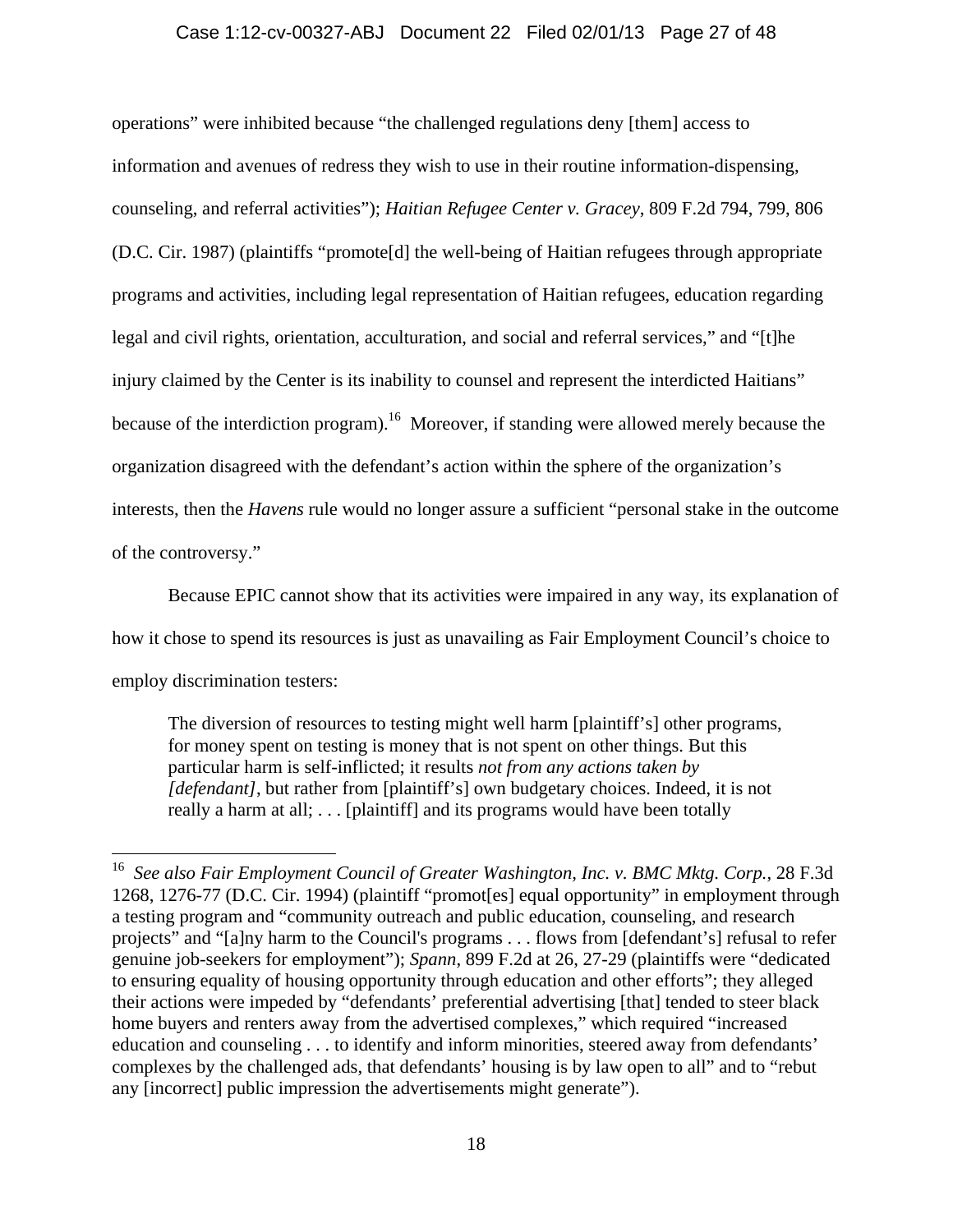### Case 1:12-cv-00327-ABJ Document 22 Filed 02/01/13 Page 27 of 48

operations" were inhibited because "the challenged regulations deny [them] access to information and avenues of redress they wish to use in their routine information-dispensing, counseling, and referral activities"); *Haitian Refugee Center v. Gracey*, 809 F.2d 794, 799, 806 (D.C. Cir. 1987) (plaintiffs "promote[d] the well-being of Haitian refugees through appropriate programs and activities, including legal representation of Haitian refugees, education regarding legal and civil rights, orientation, acculturation, and social and referral services," and "[t]he injury claimed by the Center is its inability to counsel and represent the interdicted Haitians" because of the interdiction program).<sup>16</sup> Moreover, if standing were allowed merely because the organization disagreed with the defendant's action within the sphere of the organization's interests, then the *Havens* rule would no longer assure a sufficient "personal stake in the outcome of the controversy."

Because EPIC cannot show that its activities were impaired in any way, its explanation of how it chose to spend its resources is just as unavailing as Fair Employment Council's choice to employ discrimination testers:

The diversion of resources to testing might well harm [plaintiff's] other programs, for money spent on testing is money that is not spent on other things. But this particular harm is self-inflicted; it results *not from any actions taken by [defendant]*, but rather from [plaintiff's] own budgetary choices. Indeed, it is not really a harm at all; . . . [plaintiff] and its programs would have been totally

<sup>16</sup> *See also Fair Employment Council of Greater Washington, Inc. v. BMC Mktg. Corp.*, 28 F.3d 1268, 1276-77 (D.C. Cir. 1994) (plaintiff "promot[es] equal opportunity" in employment through a testing program and "community outreach and public education, counseling, and research projects" and "[a]ny harm to the Council's programs . . . flows from [defendant's] refusal to refer genuine job-seekers for employment"); *Spann*, 899 F.2d at 26, 27-29 (plaintiffs were "dedicated to ensuring equality of housing opportunity through education and other efforts"; they alleged their actions were impeded by "defendants' preferential advertising [that] tended to steer black home buyers and renters away from the advertised complexes," which required "increased education and counseling . . . to identify and inform minorities, steered away from defendants' complexes by the challenged ads, that defendants' housing is by law open to all" and to "rebut any [incorrect] public impression the advertisements might generate").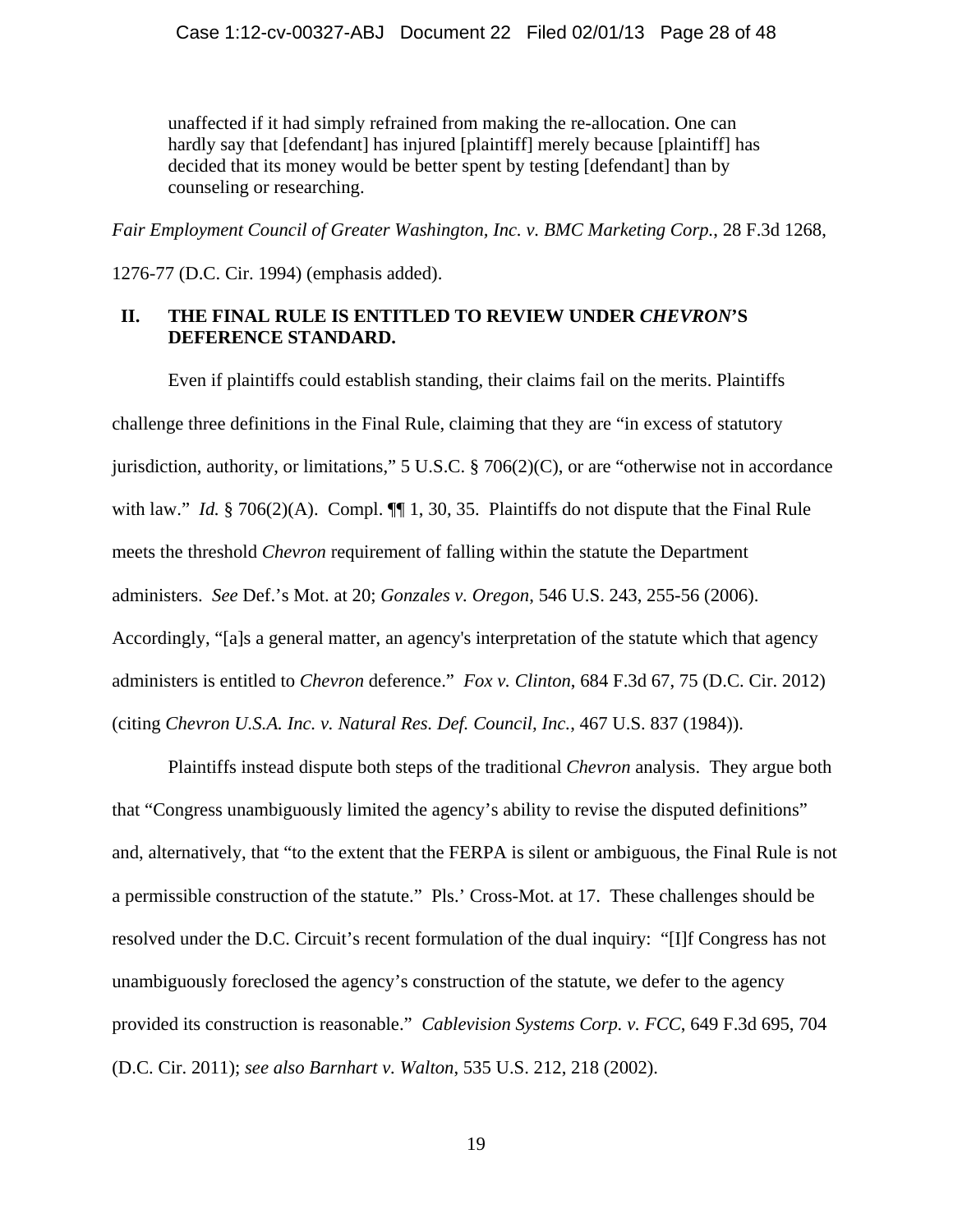unaffected if it had simply refrained from making the re-allocation. One can hardly say that [defendant] has injured [plaintiff] merely because [plaintiff] has decided that its money would be better spent by testing [defendant] than by counseling or researching.

*Fair Employment Council of Greater Washington, Inc. v. BMC Marketing Corp.*, 28 F.3d 1268,

1276-77 (D.C. Cir. 1994) (emphasis added).

### **II. THE FINAL RULE IS ENTITLED TO REVIEW UNDER** *CHEVRON***'S DEFERENCE STANDARD.**

Even if plaintiffs could establish standing, their claims fail on the merits. Plaintiffs challenge three definitions in the Final Rule, claiming that they are "in excess of statutory jurisdiction, authority, or limitations," 5 U.S.C. § 706(2)(C), or are "otherwise not in accordance with law." *Id.* § 706(2)(A). Compl.  $\P\P$  1, 30, 35. Plaintiffs do not dispute that the Final Rule meets the threshold *Chevron* requirement of falling within the statute the Department administers. *See* Def.'s Mot. at 20; *Gonzales v. Oregon*, 546 U.S. 243, 255-56 (2006). Accordingly, "[a]s a general matter, an agency's interpretation of the statute which that agency administers is entitled to *Chevron* deference." *Fox v. Clinton*, 684 F.3d 67, 75 (D.C. Cir. 2012) (citing *Chevron U.S.A. Inc. v. Natural Res. Def. Council, Inc.*, 467 U.S. 837 (1984)).

Plaintiffs instead dispute both steps of the traditional *Chevron* analysis. They argue both that "Congress unambiguously limited the agency's ability to revise the disputed definitions" and, alternatively, that "to the extent that the FERPA is silent or ambiguous, the Final Rule is not a permissible construction of the statute." Pls.' Cross-Mot. at 17. These challenges should be resolved under the D.C. Circuit's recent formulation of the dual inquiry: "[I]f Congress has not unambiguously foreclosed the agency's construction of the statute, we defer to the agency provided its construction is reasonable." *Cablevision Systems Corp. v. FCC*, 649 F.3d 695, 704 (D.C. Cir. 2011); *see also Barnhart v. Walton*, 535 U.S. 212, 218 (2002).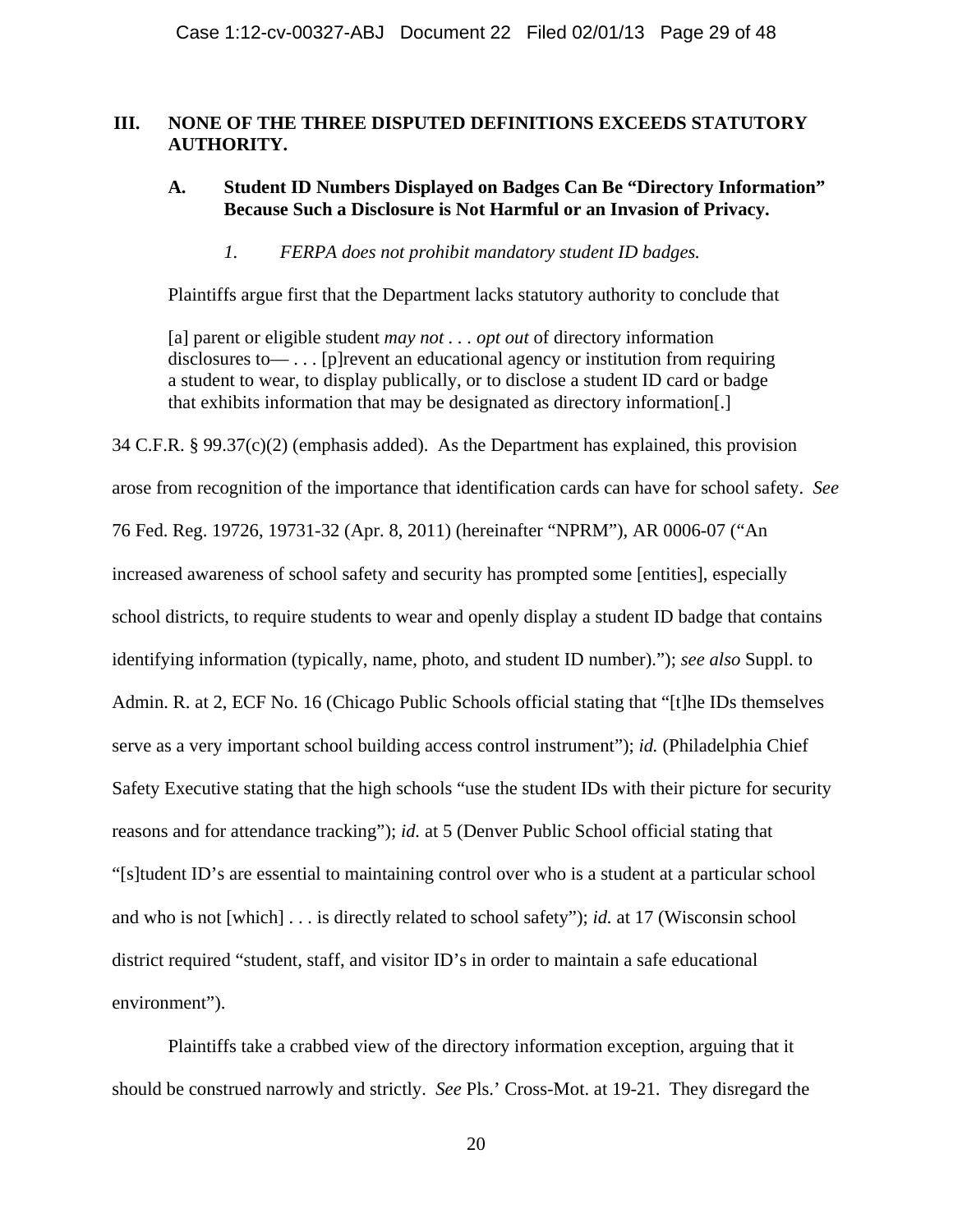### **III. NONE OF THE THREE DISPUTED DEFINITIONS EXCEEDS STATUTORY AUTHORITY.**

### **A. Student ID Numbers Displayed on Badges Can Be "Directory Information" Because Such a Disclosure is Not Harmful or an Invasion of Privacy.**

### *1. FERPA does not prohibit mandatory student ID badges.*

Plaintiffs argue first that the Department lacks statutory authority to conclude that

[a] parent or eligible student *may not . . . opt out* of directory information disclosures to— . . . [p]revent an educational agency or institution from requiring a student to wear, to display publically, or to disclose a student ID card or badge that exhibits information that may be designated as directory information[.]

34 C.F.R. § 99.37(c)(2) (emphasis added). As the Department has explained, this provision arose from recognition of the importance that identification cards can have for school safety. *See* 76 Fed. Reg. 19726, 19731-32 (Apr. 8, 2011) (hereinafter "NPRM"), AR 0006-07 ("An increased awareness of school safety and security has prompted some [entities], especially school districts, to require students to wear and openly display a student ID badge that contains identifying information (typically, name, photo, and student ID number)."); *see also* Suppl. to Admin. R. at 2, ECF No. 16 (Chicago Public Schools official stating that "[t]he IDs themselves serve as a very important school building access control instrument"); *id.* (Philadelphia Chief Safety Executive stating that the high schools "use the student IDs with their picture for security reasons and for attendance tracking"); *id.* at 5 (Denver Public School official stating that "[s]tudent ID's are essential to maintaining control over who is a student at a particular school and who is not [which] . . . is directly related to school safety"); *id.* at 17 (Wisconsin school district required "student, staff, and visitor ID's in order to maintain a safe educational environment").

 Plaintiffs take a crabbed view of the directory information exception, arguing that it should be construed narrowly and strictly. *See* Pls.' Cross-Mot. at 19-21. They disregard the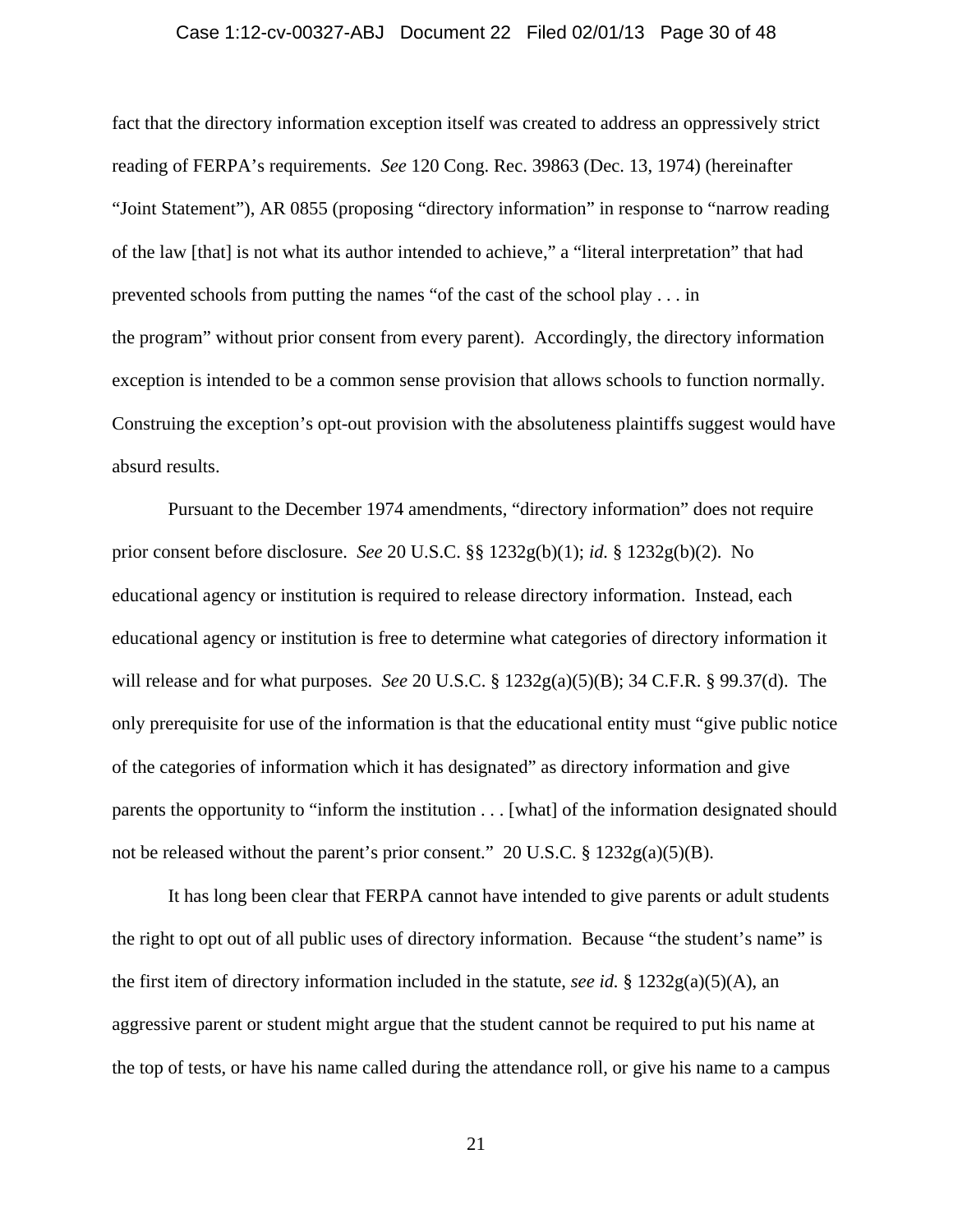#### Case 1:12-cv-00327-ABJ Document 22 Filed 02/01/13 Page 30 of 48

fact that the directory information exception itself was created to address an oppressively strict reading of FERPA's requirements. *See* 120 Cong. Rec. 39863 (Dec. 13, 1974) (hereinafter "Joint Statement"), AR 0855 (proposing "directory information" in response to "narrow reading of the law [that] is not what its author intended to achieve," a "literal interpretation" that had prevented schools from putting the names "of the cast of the school play . . . in the program" without prior consent from every parent). Accordingly, the directory information exception is intended to be a common sense provision that allows schools to function normally. Construing the exception's opt-out provision with the absoluteness plaintiffs suggest would have absurd results.

 Pursuant to the December 1974 amendments, "directory information" does not require prior consent before disclosure. *See* 20 U.S.C. §§ 1232g(b)(1); *id.* § 1232g(b)(2). No educational agency or institution is required to release directory information. Instead, each educational agency or institution is free to determine what categories of directory information it will release and for what purposes. *See* 20 U.S.C. § 1232g(a)(5)(B); 34 C.F.R. § 99.37(d). The only prerequisite for use of the information is that the educational entity must "give public notice of the categories of information which it has designated" as directory information and give parents the opportunity to "inform the institution . . . [what] of the information designated should not be released without the parent's prior consent." 20 U.S.C. § 1232g(a)(5)(B).

 It has long been clear that FERPA cannot have intended to give parents or adult students the right to opt out of all public uses of directory information. Because "the student's name" is the first item of directory information included in the statute, *see id.* §  $1232g(a)(5)(A)$ , an aggressive parent or student might argue that the student cannot be required to put his name at the top of tests, or have his name called during the attendance roll, or give his name to a campus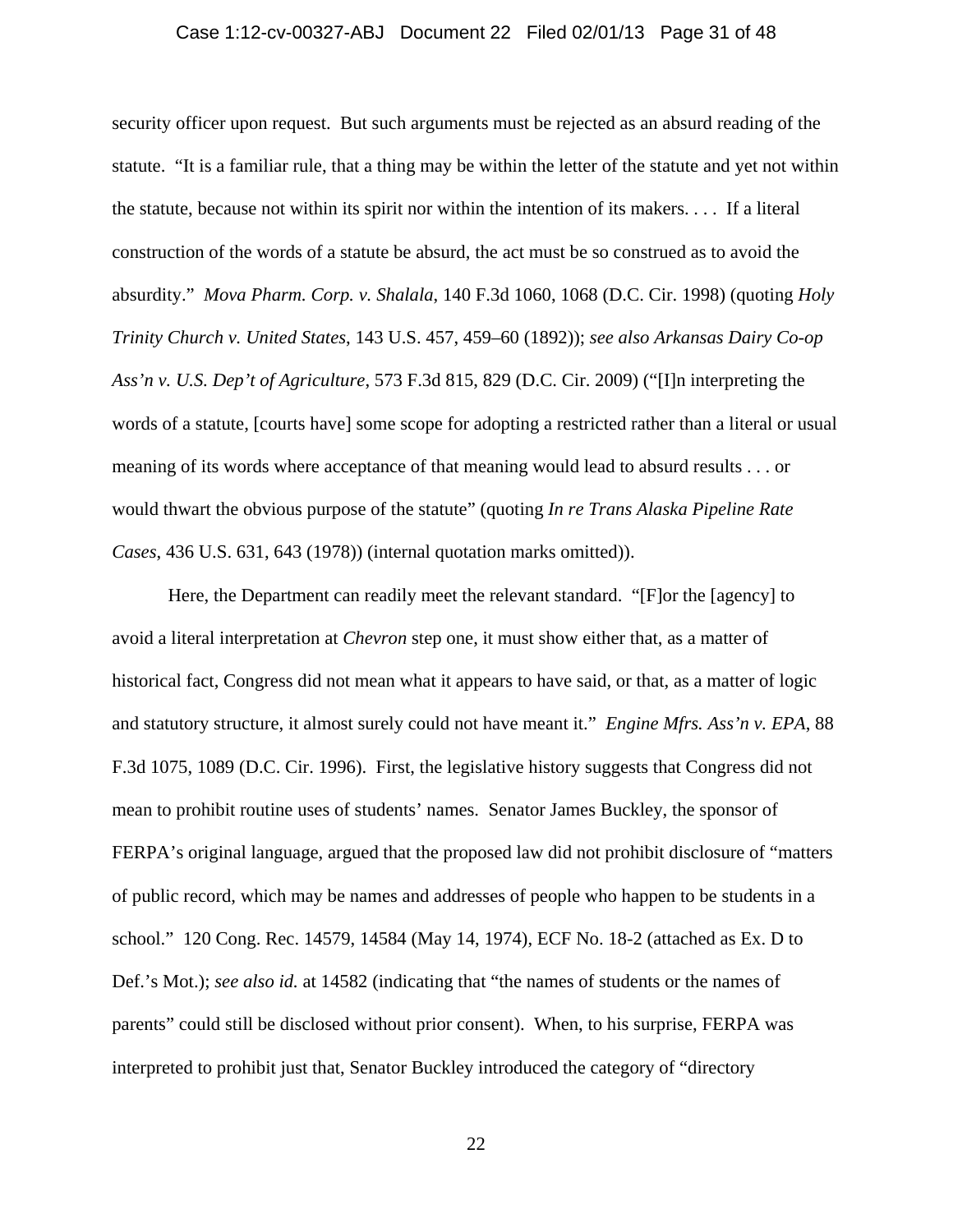### Case 1:12-cv-00327-ABJ Document 22 Filed 02/01/13 Page 31 of 48

security officer upon request. But such arguments must be rejected as an absurd reading of the statute. "It is a familiar rule, that a thing may be within the letter of the statute and yet not within the statute, because not within its spirit nor within the intention of its makers. . . . If a literal construction of the words of a statute be absurd, the act must be so construed as to avoid the absurdity." *Mova Pharm. Corp. v. Shalala*, 140 F.3d 1060, 1068 (D.C. Cir. 1998) (quoting *Holy Trinity Church v. United States*, 143 U.S. 457, 459–60 (1892)); *see also Arkansas Dairy Co-op Ass'n v. U.S. Dep't of Agriculture*, 573 F.3d 815, 829 (D.C. Cir. 2009) ("[I]n interpreting the words of a statute, [courts have] some scope for adopting a restricted rather than a literal or usual meaning of its words where acceptance of that meaning would lead to absurd results . . . or would thwart the obvious purpose of the statute" (quoting *In re Trans Alaska Pipeline Rate Cases*, 436 U.S. 631, 643 (1978)) (internal quotation marks omitted)).

 Here, the Department can readily meet the relevant standard. "[F]or the [agency] to avoid a literal interpretation at *Chevron* step one, it must show either that, as a matter of historical fact, Congress did not mean what it appears to have said, or that, as a matter of logic and statutory structure, it almost surely could not have meant it." *Engine Mfrs. Ass'n v. EPA*, 88 F.3d 1075, 1089 (D.C. Cir. 1996). First, the legislative history suggests that Congress did not mean to prohibit routine uses of students' names. Senator James Buckley, the sponsor of FERPA's original language, argued that the proposed law did not prohibit disclosure of "matters of public record, which may be names and addresses of people who happen to be students in a school." 120 Cong. Rec. 14579, 14584 (May 14, 1974), ECF No. 18-2 (attached as Ex. D to Def.'s Mot.); *see also id.* at 14582 (indicating that "the names of students or the names of parents" could still be disclosed without prior consent). When, to his surprise, FERPA was interpreted to prohibit just that, Senator Buckley introduced the category of "directory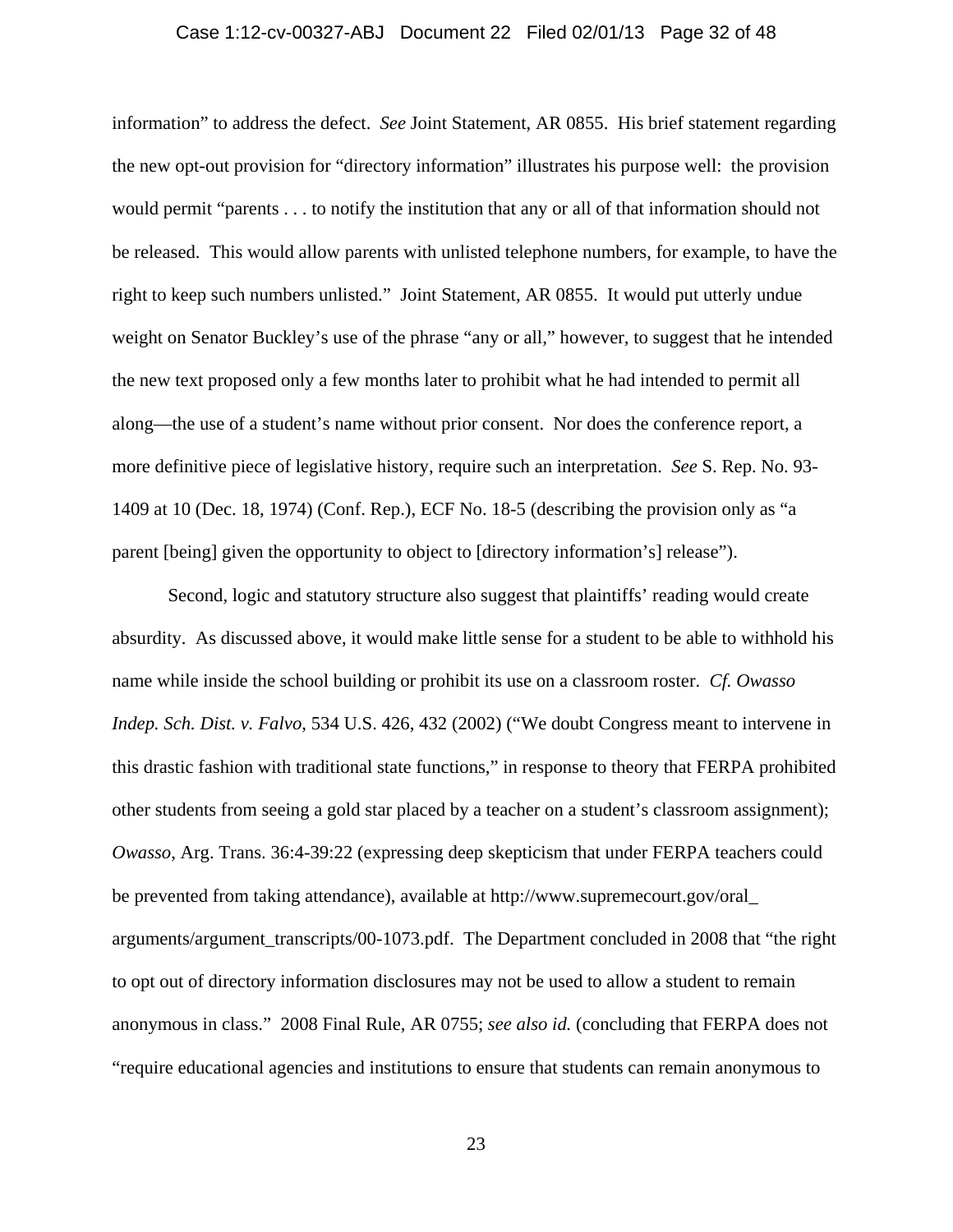## Case 1:12-cv-00327-ABJ Document 22 Filed 02/01/13 Page 32 of 48

information" to address the defect. *See* Joint Statement, AR 0855. His brief statement regarding the new opt-out provision for "directory information" illustrates his purpose well: the provision would permit "parents . . . to notify the institution that any or all of that information should not be released. This would allow parents with unlisted telephone numbers, for example, to have the right to keep such numbers unlisted." Joint Statement, AR 0855. It would put utterly undue weight on Senator Buckley's use of the phrase "any or all," however, to suggest that he intended the new text proposed only a few months later to prohibit what he had intended to permit all along—the use of a student's name without prior consent. Nor does the conference report, a more definitive piece of legislative history, require such an interpretation. *See* S. Rep. No. 93- 1409 at 10 (Dec. 18, 1974) (Conf. Rep.), ECF No. 18-5 (describing the provision only as "a parent [being] given the opportunity to object to [directory information's] release").

 Second, logic and statutory structure also suggest that plaintiffs' reading would create absurdity. As discussed above, it would make little sense for a student to be able to withhold his name while inside the school building or prohibit its use on a classroom roster. *Cf. Owasso Indep. Sch. Dist. v. Falvo*, 534 U.S. 426, 432 (2002) ("We doubt Congress meant to intervene in this drastic fashion with traditional state functions," in response to theory that FERPA prohibited other students from seeing a gold star placed by a teacher on a student's classroom assignment); *Owasso*, Arg. Trans. 36:4-39:22 (expressing deep skepticism that under FERPA teachers could be prevented from taking attendance), available at http://www.supremecourt.gov/oral\_ arguments/argument\_transcripts/00-1073.pdf. The Department concluded in 2008 that "the right to opt out of directory information disclosures may not be used to allow a student to remain anonymous in class." 2008 Final Rule, AR 0755; *see also id.* (concluding that FERPA does not "require educational agencies and institutions to ensure that students can remain anonymous to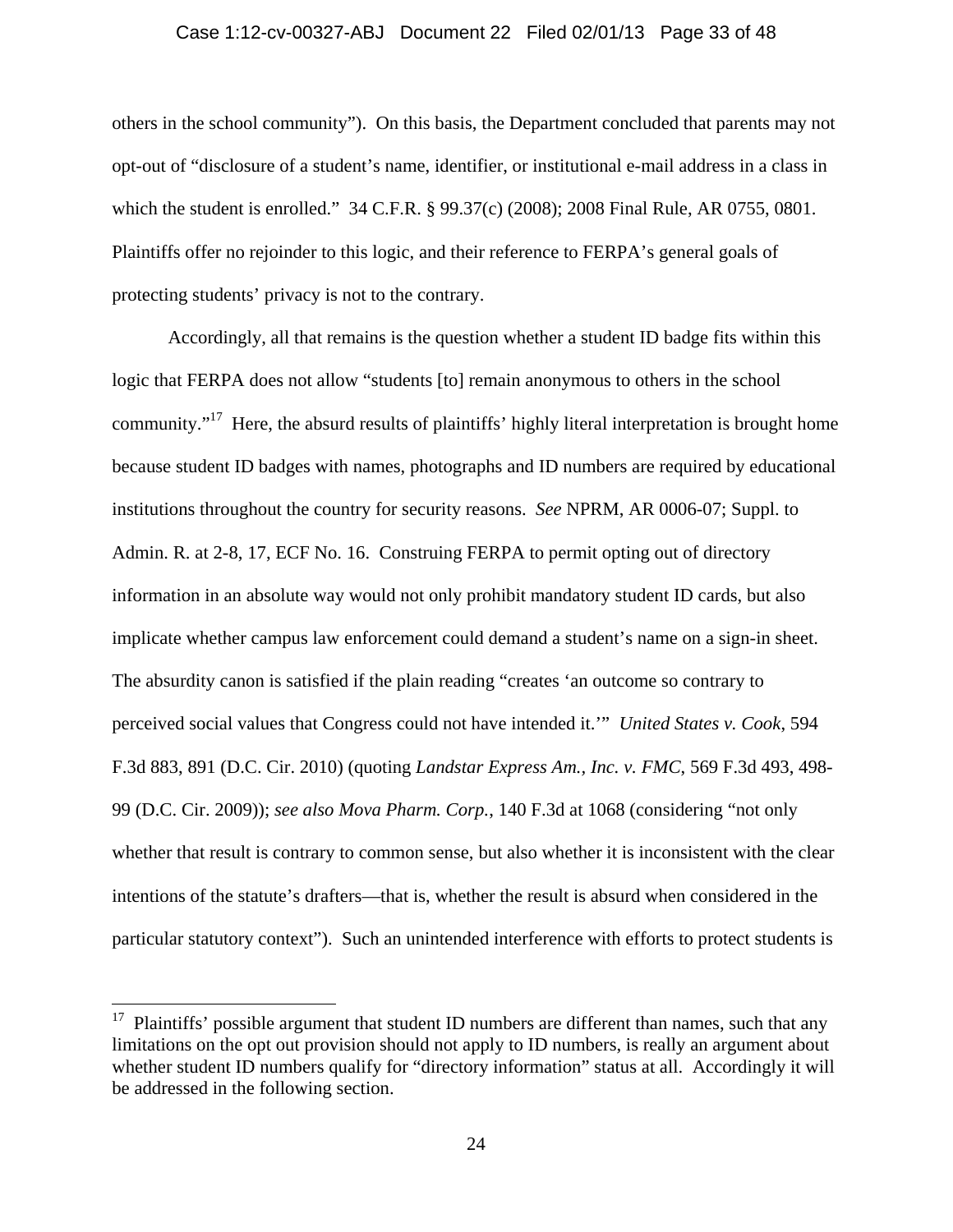### Case 1:12-cv-00327-ABJ Document 22 Filed 02/01/13 Page 33 of 48

others in the school community"). On this basis, the Department concluded that parents may not opt-out of "disclosure of a student's name, identifier, or institutional e-mail address in a class in which the student is enrolled." 34 C.F.R. § 99.37(c) (2008); 2008 Final Rule, AR 0755, 0801. Plaintiffs offer no rejoinder to this logic, and their reference to FERPA's general goals of protecting students' privacy is not to the contrary.

 Accordingly, all that remains is the question whether a student ID badge fits within this logic that FERPA does not allow "students [to] remain anonymous to others in the school community. $17$  Here, the absurd results of plaintiffs' highly literal interpretation is brought home because student ID badges with names, photographs and ID numbers are required by educational institutions throughout the country for security reasons. *See* NPRM, AR 0006-07; Suppl. to Admin. R. at 2-8, 17, ECF No. 16. Construing FERPA to permit opting out of directory information in an absolute way would not only prohibit mandatory student ID cards, but also implicate whether campus law enforcement could demand a student's name on a sign-in sheet. The absurdity canon is satisfied if the plain reading "creates 'an outcome so contrary to perceived social values that Congress could not have intended it.'" *United States v. Cook*, 594 F.3d 883, 891 (D.C. Cir. 2010) (quoting *Landstar Express Am., Inc. v. FMC*, 569 F.3d 493, 498- 99 (D.C. Cir. 2009)); *see also Mova Pharm. Corp.*, 140 F.3d at 1068 (considering "not only whether that result is contrary to common sense, but also whether it is inconsistent with the clear intentions of the statute's drafters—that is, whether the result is absurd when considered in the particular statutory context"). Such an unintended interference with efforts to protect students is

 $17$  Plaintiffs' possible argument that student ID numbers are different than names, such that any limitations on the opt out provision should not apply to ID numbers, is really an argument about whether student ID numbers qualify for "directory information" status at all. Accordingly it will be addressed in the following section.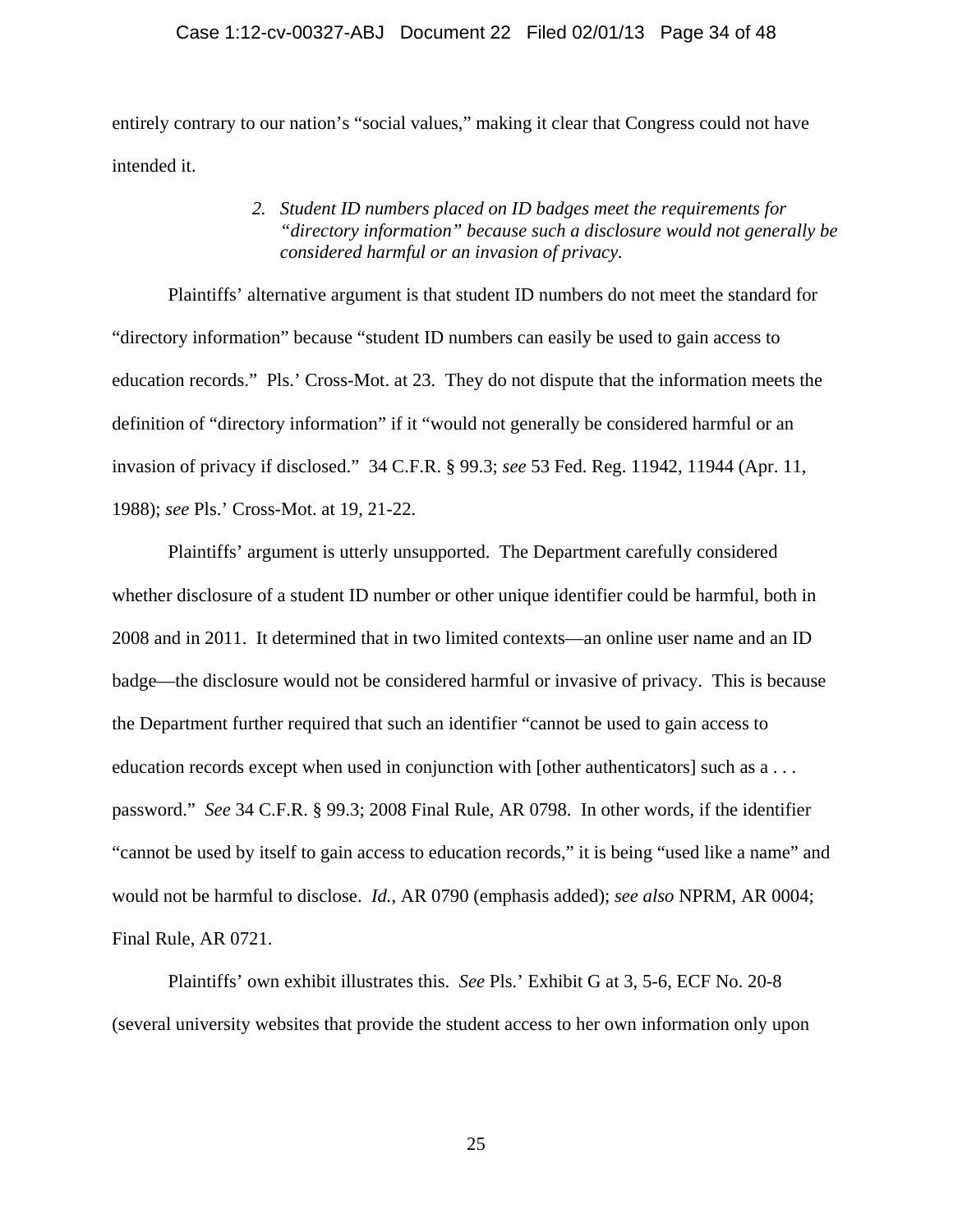entirely contrary to our nation's "social values," making it clear that Congress could not have intended it.

### *2. Student ID numbers placed on ID badges meet the requirements for "directory information" because such a disclosure would not generally be considered harmful or an invasion of privacy.*

Plaintiffs' alternative argument is that student ID numbers do not meet the standard for "directory information" because "student ID numbers can easily be used to gain access to education records." Pls.' Cross-Mot. at 23. They do not dispute that the information meets the definition of "directory information" if it "would not generally be considered harmful or an invasion of privacy if disclosed." 34 C.F.R. § 99.3; *see* 53 Fed. Reg. 11942, 11944 (Apr. 11, 1988); *see* Pls.' Cross-Mot. at 19, 21-22.

Plaintiffs' argument is utterly unsupported. The Department carefully considered whether disclosure of a student ID number or other unique identifier could be harmful, both in 2008 and in 2011. It determined that in two limited contexts—an online user name and an ID badge—the disclosure would not be considered harmful or invasive of privacy. This is because the Department further required that such an identifier "cannot be used to gain access to education records except when used in conjunction with [other authenticators] such as a . . . password." *See* 34 C.F.R. § 99.3; 2008 Final Rule, AR 0798. In other words, if the identifier "cannot be used by itself to gain access to education records," it is being "used like a name" and would not be harmful to disclose. *Id.*, AR 0790 (emphasis added); *see also* NPRM, AR 0004; Final Rule, AR 0721.

Plaintiffs' own exhibit illustrates this. *See* Pls.' Exhibit G at 3, 5-6, ECF No. 20-8 (several university websites that provide the student access to her own information only upon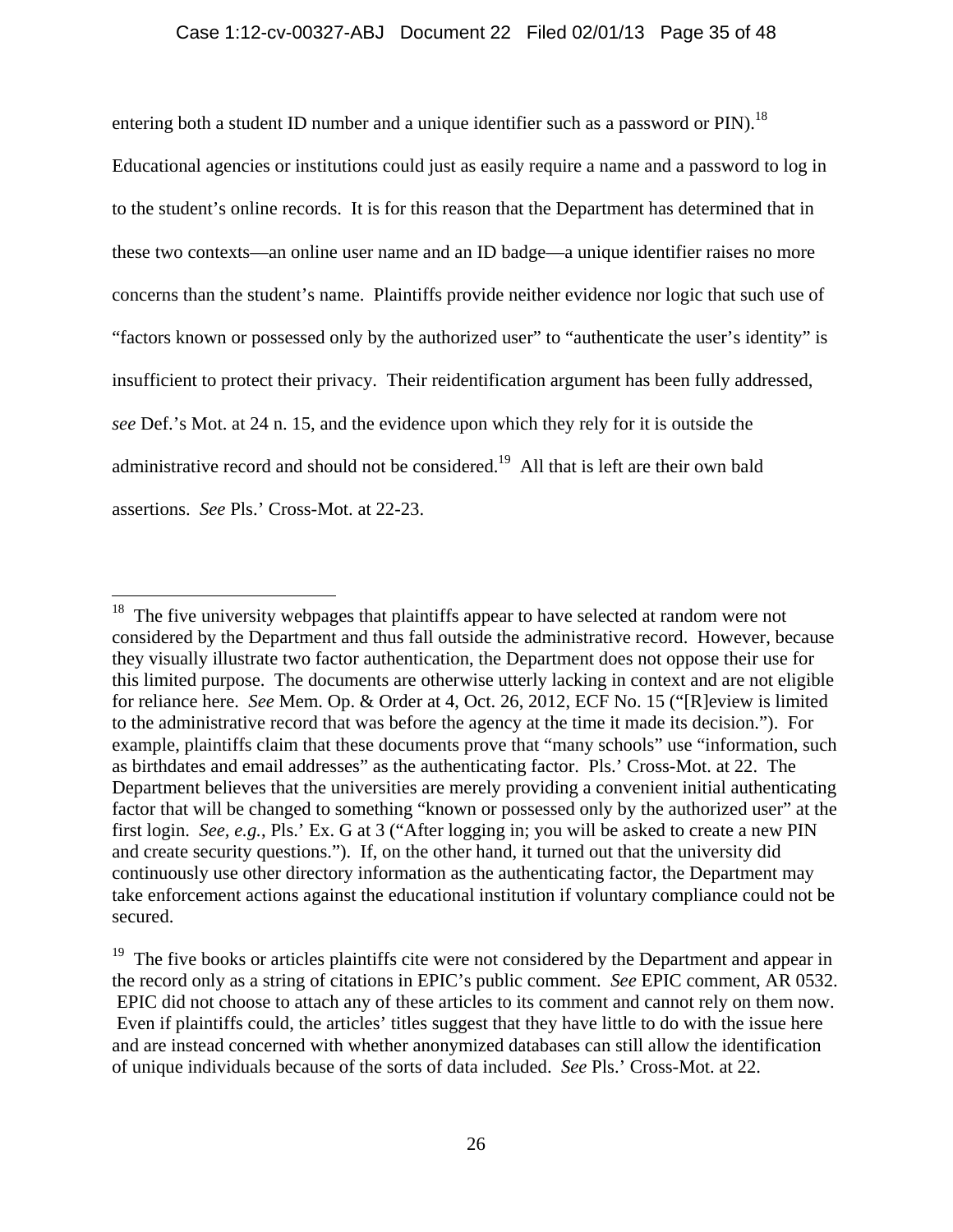### Case 1:12-cv-00327-ABJ Document 22 Filed 02/01/13 Page 35 of 48

entering both a student ID number and a unique identifier such as a password or  $PIN$ .<sup>18</sup>

Educational agencies or institutions could just as easily require a name and a password to log in to the student's online records. It is for this reason that the Department has determined that in these two contexts—an online user name and an ID badge—a unique identifier raises no more concerns than the student's name. Plaintiffs provide neither evidence nor logic that such use of "factors known or possessed only by the authorized user" to "authenticate the user's identity" is insufficient to protect their privacy. Their reidentification argument has been fully addressed, *see* Def.'s Mot. at 24 n. 15, and the evidence upon which they rely for it is outside the administrative record and should not be considered.<sup>19</sup> All that is left are their own bald assertions. *See* Pls.' Cross-Mot. at 22-23.

<sup>&</sup>lt;sup>18</sup> The five university webpages that plaintiffs appear to have selected at random were not considered by the Department and thus fall outside the administrative record. However, because they visually illustrate two factor authentication, the Department does not oppose their use for this limited purpose. The documents are otherwise utterly lacking in context and are not eligible for reliance here. *See* Mem. Op. & Order at 4, Oct. 26, 2012, ECF No. 15 ("[R]eview is limited to the administrative record that was before the agency at the time it made its decision."). For example, plaintiffs claim that these documents prove that "many schools" use "information, such as birthdates and email addresses" as the authenticating factor. Pls.' Cross-Mot. at 22. The Department believes that the universities are merely providing a convenient initial authenticating factor that will be changed to something "known or possessed only by the authorized user" at the first login. *See, e.g.*, Pls.' Ex. G at 3 ("After logging in; you will be asked to create a new PIN and create security questions."). If, on the other hand, it turned out that the university did continuously use other directory information as the authenticating factor, the Department may take enforcement actions against the educational institution if voluntary compliance could not be secured.

 $19$  The five books or articles plaintiffs cite were not considered by the Department and appear in the record only as a string of citations in EPIC's public comment. *See* EPIC comment, AR 0532. EPIC did not choose to attach any of these articles to its comment and cannot rely on them now. Even if plaintiffs could, the articles' titles suggest that they have little to do with the issue here and are instead concerned with whether anonymized databases can still allow the identification of unique individuals because of the sorts of data included. *See* Pls.' Cross-Mot. at 22.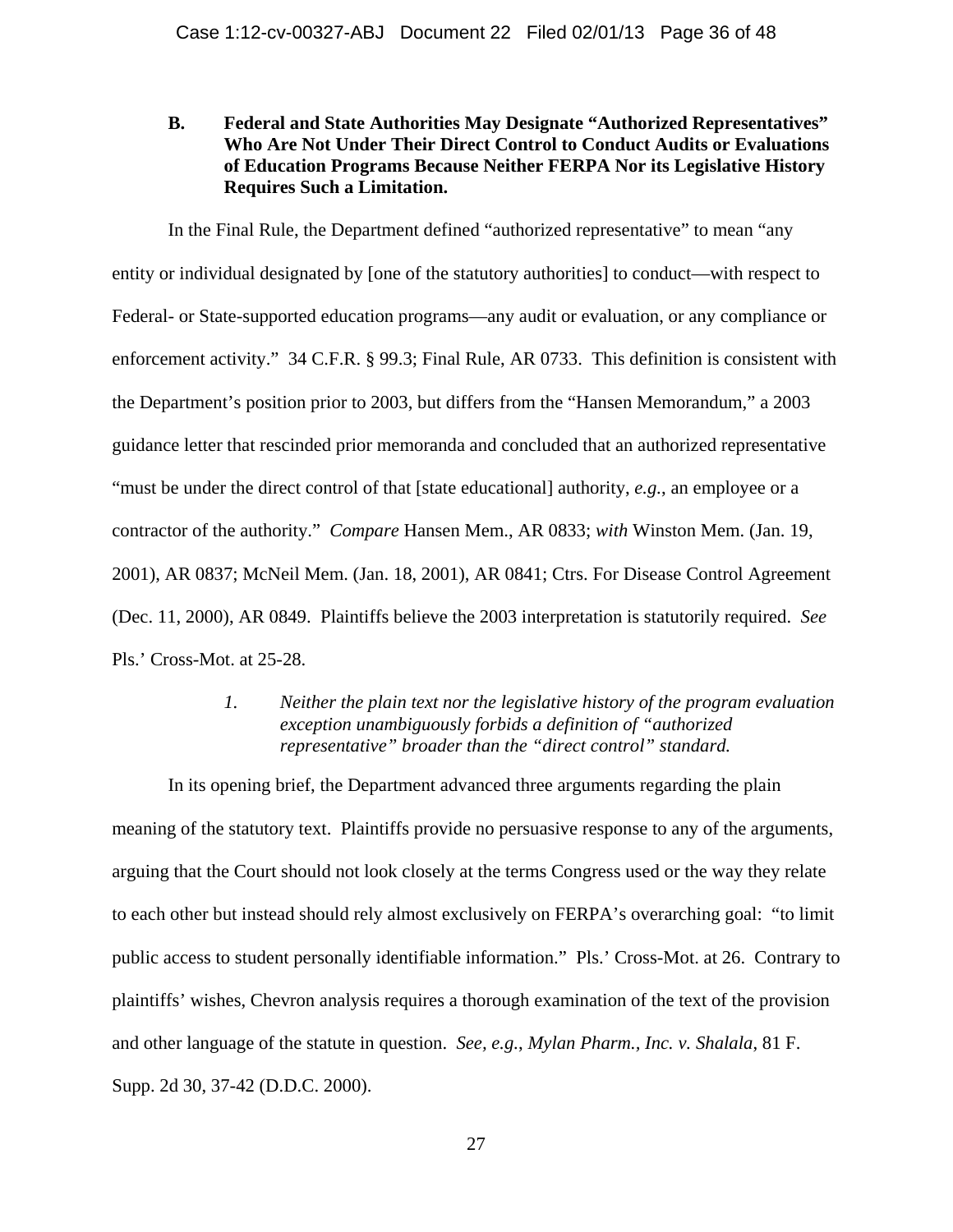### **B. Federal and State Authorities May Designate "Authorized Representatives" Who Are Not Under Their Direct Control to Conduct Audits or Evaluations of Education Programs Because Neither FERPA Nor its Legislative History Requires Such a Limitation.**

In the Final Rule, the Department defined "authorized representative" to mean "any entity or individual designated by [one of the statutory authorities] to conduct—with respect to Federal- or State-supported education programs—any audit or evaluation, or any compliance or enforcement activity." 34 C.F.R. § 99.3; Final Rule, AR 0733. This definition is consistent with the Department's position prior to 2003, but differs from the "Hansen Memorandum," a 2003 guidance letter that rescinded prior memoranda and concluded that an authorized representative "must be under the direct control of that [state educational] authority, *e.g.*, an employee or a contractor of the authority." *Compare* Hansen Mem., AR 0833; *with* Winston Mem. (Jan. 19, 2001), AR 0837; McNeil Mem. (Jan. 18, 2001), AR 0841; Ctrs. For Disease Control Agreement (Dec. 11, 2000), AR 0849. Plaintiffs believe the 2003 interpretation is statutorily required. *See*  Pls.' Cross-Mot. at 25-28.

### *1. Neither the plain text nor the legislative history of the program evaluation exception unambiguously forbids a definition of "authorized representative" broader than the "direct control" standard.*

In its opening brief, the Department advanced three arguments regarding the plain meaning of the statutory text. Plaintiffs provide no persuasive response to any of the arguments, arguing that the Court should not look closely at the terms Congress used or the way they relate to each other but instead should rely almost exclusively on FERPA's overarching goal: "to limit public access to student personally identifiable information." Pls.' Cross-Mot. at 26. Contrary to plaintiffs' wishes, Chevron analysis requires a thorough examination of the text of the provision and other language of the statute in question. *See, e.g.*, *Mylan Pharm., Inc. v. Shalala*, 81 F. Supp. 2d 30, 37-42 (D.D.C. 2000).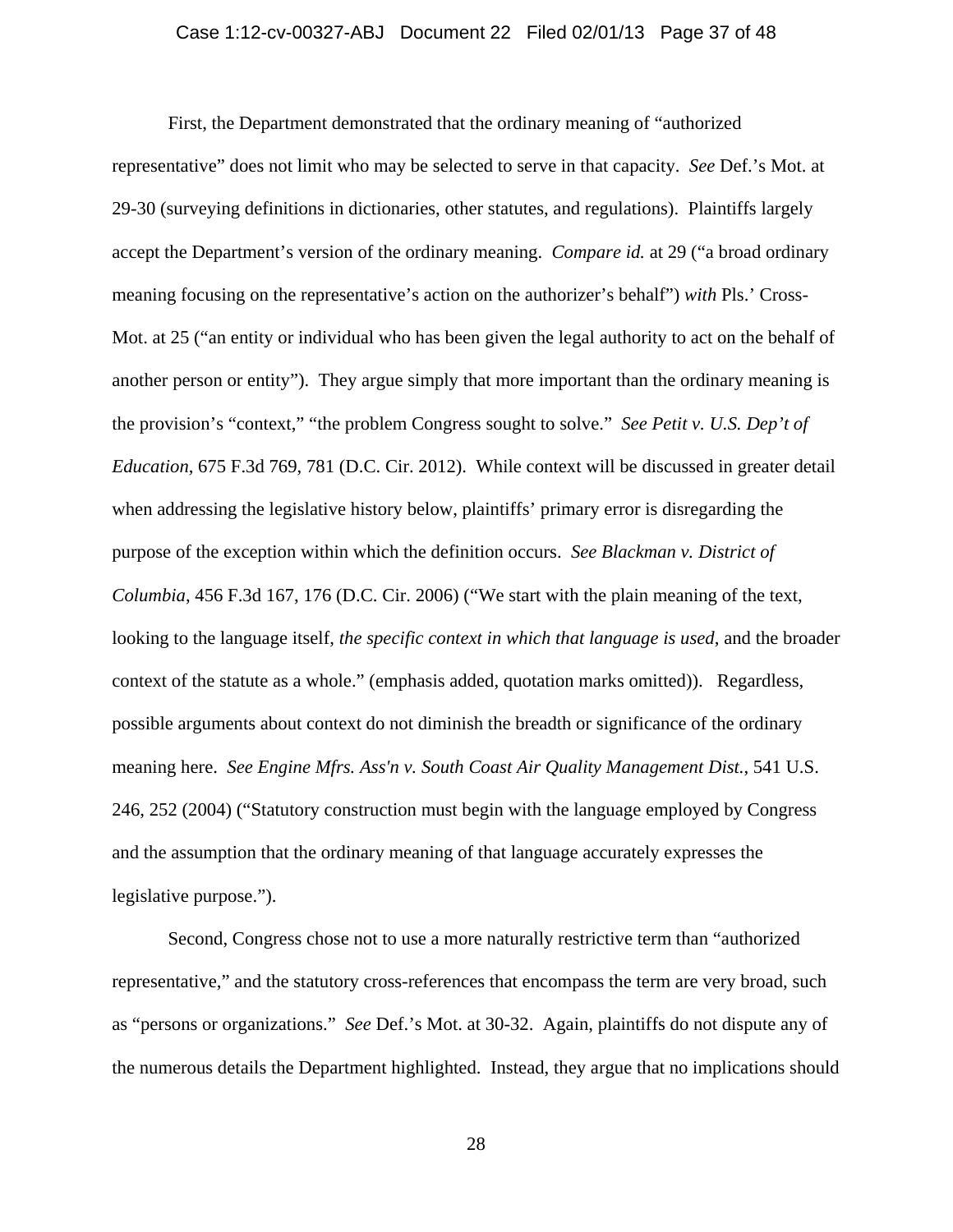## Case 1:12-cv-00327-ABJ Document 22 Filed 02/01/13 Page 37 of 48

First, the Department demonstrated that the ordinary meaning of "authorized representative" does not limit who may be selected to serve in that capacity. *See* Def.'s Mot. at 29-30 (surveying definitions in dictionaries, other statutes, and regulations). Plaintiffs largely accept the Department's version of the ordinary meaning. *Compare id.* at 29 ("a broad ordinary meaning focusing on the representative's action on the authorizer's behalf") *with* Pls.' Cross-Mot. at 25 ("an entity or individual who has been given the legal authority to act on the behalf of another person or entity"). They argue simply that more important than the ordinary meaning is the provision's "context," "the problem Congress sought to solve." *See Petit v. U.S. Dep't of Education*, 675 F.3d 769, 781 (D.C. Cir. 2012). While context will be discussed in greater detail when addressing the legislative history below, plaintiffs' primary error is disregarding the purpose of the exception within which the definition occurs. *See Blackman v. District of Columbia*, 456 F.3d 167, 176 (D.C. Cir. 2006) ("We start with the plain meaning of the text, looking to the language itself, *the specific context in which that language is used*, and the broader context of the statute as a whole." (emphasis added, quotation marks omitted)). Regardless, possible arguments about context do not diminish the breadth or significance of the ordinary meaning here. *See Engine Mfrs. Ass'n v. South Coast Air Quality Management Dist.*, 541 U.S. 246, 252 (2004) ("Statutory construction must begin with the language employed by Congress and the assumption that the ordinary meaning of that language accurately expresses the legislative purpose.").

Second, Congress chose not to use a more naturally restrictive term than "authorized representative," and the statutory cross-references that encompass the term are very broad, such as "persons or organizations." *See* Def.'s Mot. at 30-32. Again, plaintiffs do not dispute any of the numerous details the Department highlighted. Instead, they argue that no implications should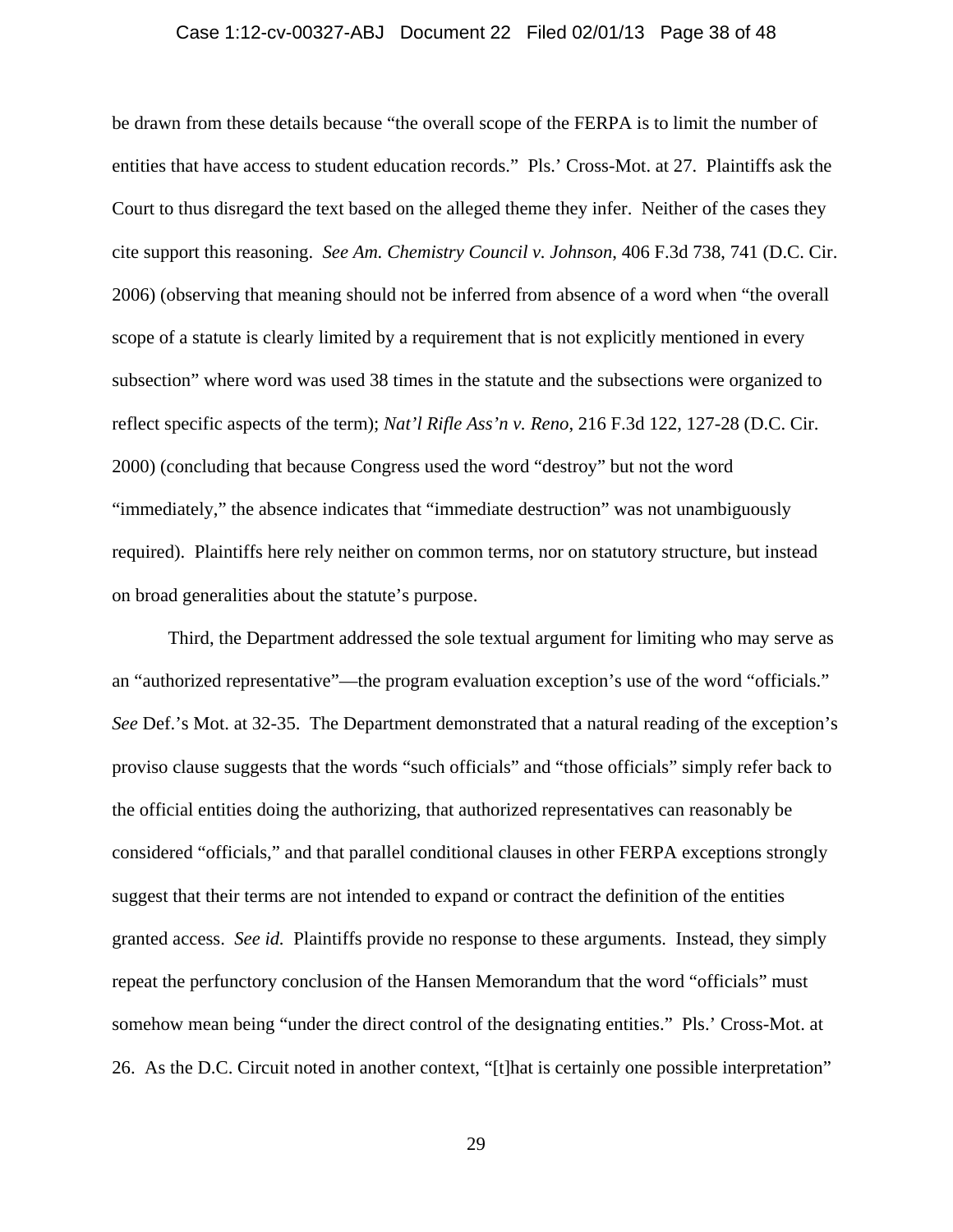## Case 1:12-cv-00327-ABJ Document 22 Filed 02/01/13 Page 38 of 48

be drawn from these details because "the overall scope of the FERPA is to limit the number of entities that have access to student education records." Pls.' Cross-Mot. at 27. Plaintiffs ask the Court to thus disregard the text based on the alleged theme they infer. Neither of the cases they cite support this reasoning. *See Am. Chemistry Council v. Johnson*, 406 F.3d 738, 741 (D.C. Cir. 2006) (observing that meaning should not be inferred from absence of a word when "the overall scope of a statute is clearly limited by a requirement that is not explicitly mentioned in every subsection" where word was used 38 times in the statute and the subsections were organized to reflect specific aspects of the term); *Nat'l Rifle Ass'n v. Reno*, 216 F.3d 122, 127-28 (D.C. Cir. 2000) (concluding that because Congress used the word "destroy" but not the word "immediately," the absence indicates that "immediate destruction" was not unambiguously required). Plaintiffs here rely neither on common terms, nor on statutory structure, but instead on broad generalities about the statute's purpose.

Third, the Department addressed the sole textual argument for limiting who may serve as an "authorized representative"—the program evaluation exception's use of the word "officials." *See* Def.'s Mot. at 32-35. The Department demonstrated that a natural reading of the exception's proviso clause suggests that the words "such officials" and "those officials" simply refer back to the official entities doing the authorizing, that authorized representatives can reasonably be considered "officials," and that parallel conditional clauses in other FERPA exceptions strongly suggest that their terms are not intended to expand or contract the definition of the entities granted access. *See id.* Plaintiffs provide no response to these arguments. Instead, they simply repeat the perfunctory conclusion of the Hansen Memorandum that the word "officials" must somehow mean being "under the direct control of the designating entities." Pls.' Cross-Mot. at 26. As the D.C. Circuit noted in another context, "[t]hat is certainly one possible interpretation"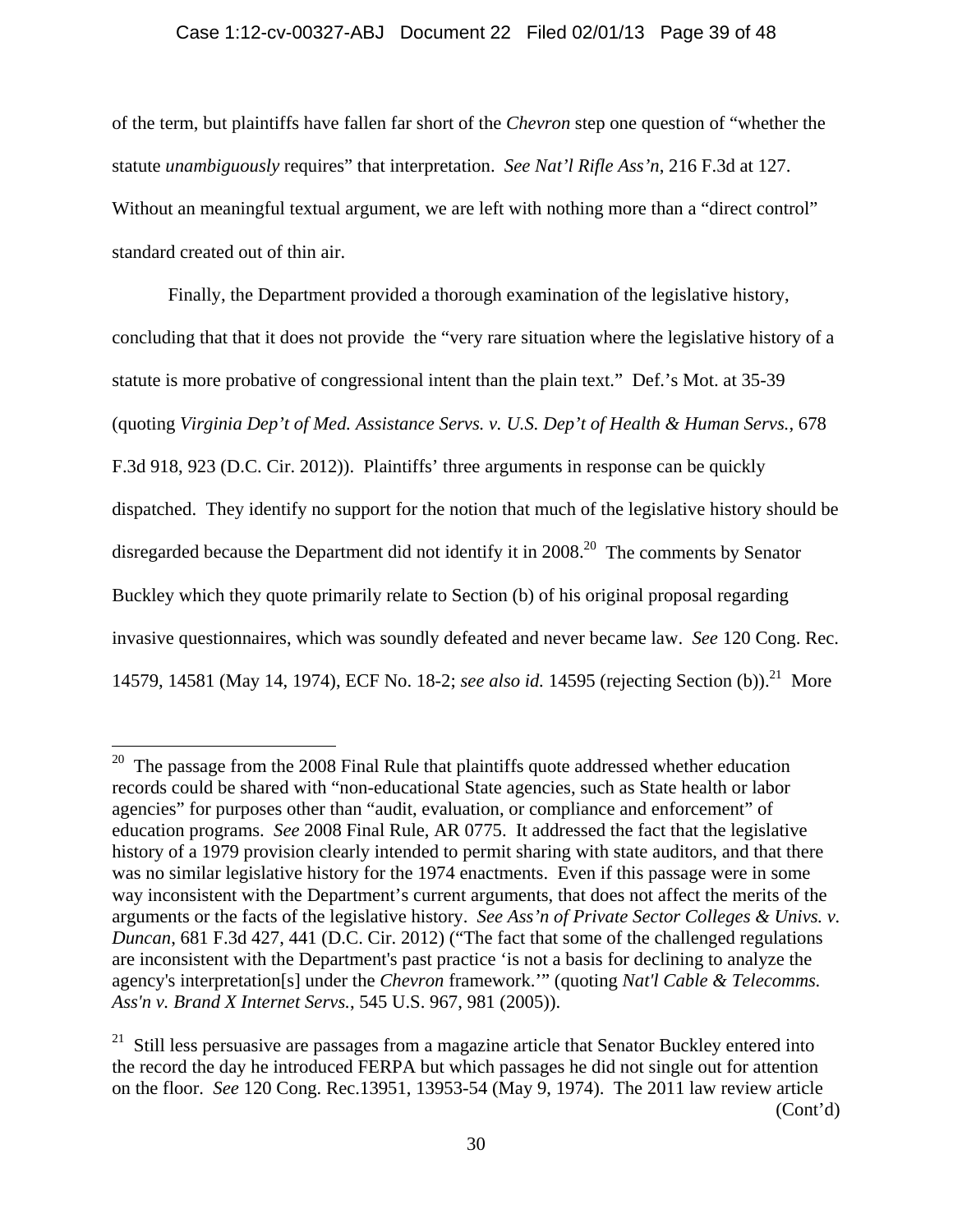### Case 1:12-cv-00327-ABJ Document 22 Filed 02/01/13 Page 39 of 48

of the term, but plaintiffs have fallen far short of the *Chevron* step one question of "whether the statute *unambiguously* requires" that interpretation. *See Nat'l Rifle Ass'n*, 216 F.3d at 127. Without an meaningful textual argument, we are left with nothing more than a "direct control" standard created out of thin air.

Finally, the Department provided a thorough examination of the legislative history, concluding that that it does not provide the "very rare situation where the legislative history of a statute is more probative of congressional intent than the plain text." Def.'s Mot. at 35-39 (quoting *Virginia Dep't of Med. Assistance Servs. v. U.S. Dep't of Health & Human Servs.*, 678 F.3d 918, 923 (D.C. Cir. 2012)). Plaintiffs' three arguments in response can be quickly dispatched. They identify no support for the notion that much of the legislative history should be disregarded because the Department did not identify it in 2008.<sup>20</sup> The comments by Senator Buckley which they quote primarily relate to Section (b) of his original proposal regarding invasive questionnaires, which was soundly defeated and never became law. *See* 120 Cong. Rec. 14579, 14581 (May 14, 1974), ECF No. 18-2; *see also id.* 14595 (rejecting Section (b)).<sup>21</sup> More

 $20$  The passage from the 2008 Final Rule that plaintiffs quote addressed whether education records could be shared with "non-educational State agencies, such as State health or labor agencies" for purposes other than "audit, evaluation, or compliance and enforcement" of education programs. *See* 2008 Final Rule, AR 0775. It addressed the fact that the legislative history of a 1979 provision clearly intended to permit sharing with state auditors, and that there was no similar legislative history for the 1974 enactments. Even if this passage were in some way inconsistent with the Department's current arguments, that does not affect the merits of the arguments or the facts of the legislative history. *See Ass'n of Private Sector Colleges & Univs. v. Duncan*, 681 F.3d 427, 441 (D.C. Cir. 2012) ("The fact that some of the challenged regulations are inconsistent with the Department's past practice 'is not a basis for declining to analyze the agency's interpretation[s] under the *Chevron* framework.'" (quoting *Nat'l Cable & Telecomms. Ass'n v. Brand X Internet Servs.*, 545 U.S. 967, 981 (2005)).

<sup>&</sup>lt;sup>21</sup> Still less persuasive are passages from a magazine article that Senator Buckley entered into the record the day he introduced FERPA but which passages he did not single out for attention on the floor. *See* 120 Cong. Rec.13951, 13953-54 (May 9, 1974). The 2011 law review article (Cont'd)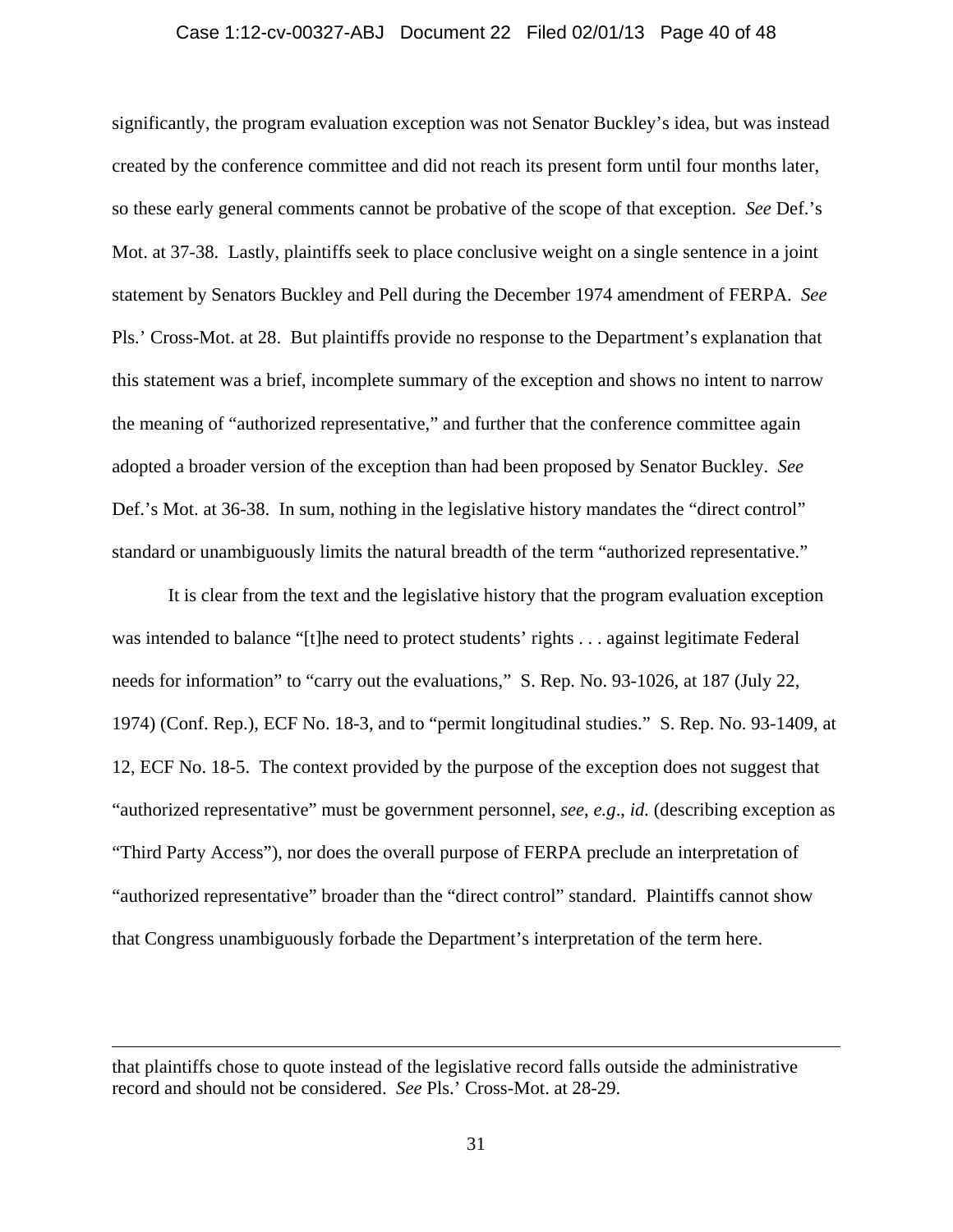### Case 1:12-cv-00327-ABJ Document 22 Filed 02/01/13 Page 40 of 48

significantly, the program evaluation exception was not Senator Buckley's idea, but was instead created by the conference committee and did not reach its present form until four months later, so these early general comments cannot be probative of the scope of that exception. *See* Def.'s Mot. at 37-38. Lastly, plaintiffs seek to place conclusive weight on a single sentence in a joint statement by Senators Buckley and Pell during the December 1974 amendment of FERPA. *See*  Pls.' Cross-Mot. at 28. But plaintiffs provide no response to the Department's explanation that this statement was a brief, incomplete summary of the exception and shows no intent to narrow the meaning of "authorized representative," and further that the conference committee again adopted a broader version of the exception than had been proposed by Senator Buckley. *See* Def.'s Mot. at 36-38. In sum, nothing in the legislative history mandates the "direct control" standard or unambiguously limits the natural breadth of the term "authorized representative."

It is clear from the text and the legislative history that the program evaluation exception was intended to balance "[t]he need to protect students' rights . . . against legitimate Federal needs for information" to "carry out the evaluations," S. Rep. No. 93-1026, at 187 (July 22, 1974) (Conf. Rep.), ECF No. 18-3, and to "permit longitudinal studies." S. Rep. No. 93-1409, at 12, ECF No. 18-5. The context provided by the purpose of the exception does not suggest that "authorized representative" must be government personnel, *see, e.g*., *id.* (describing exception as "Third Party Access"), nor does the overall purpose of FERPA preclude an interpretation of "authorized representative" broader than the "direct control" standard. Plaintiffs cannot show that Congress unambiguously forbade the Department's interpretation of the term here.

that plaintiffs chose to quote instead of the legislative record falls outside the administrative record and should not be considered. *See* Pls.' Cross-Mot. at 28-29.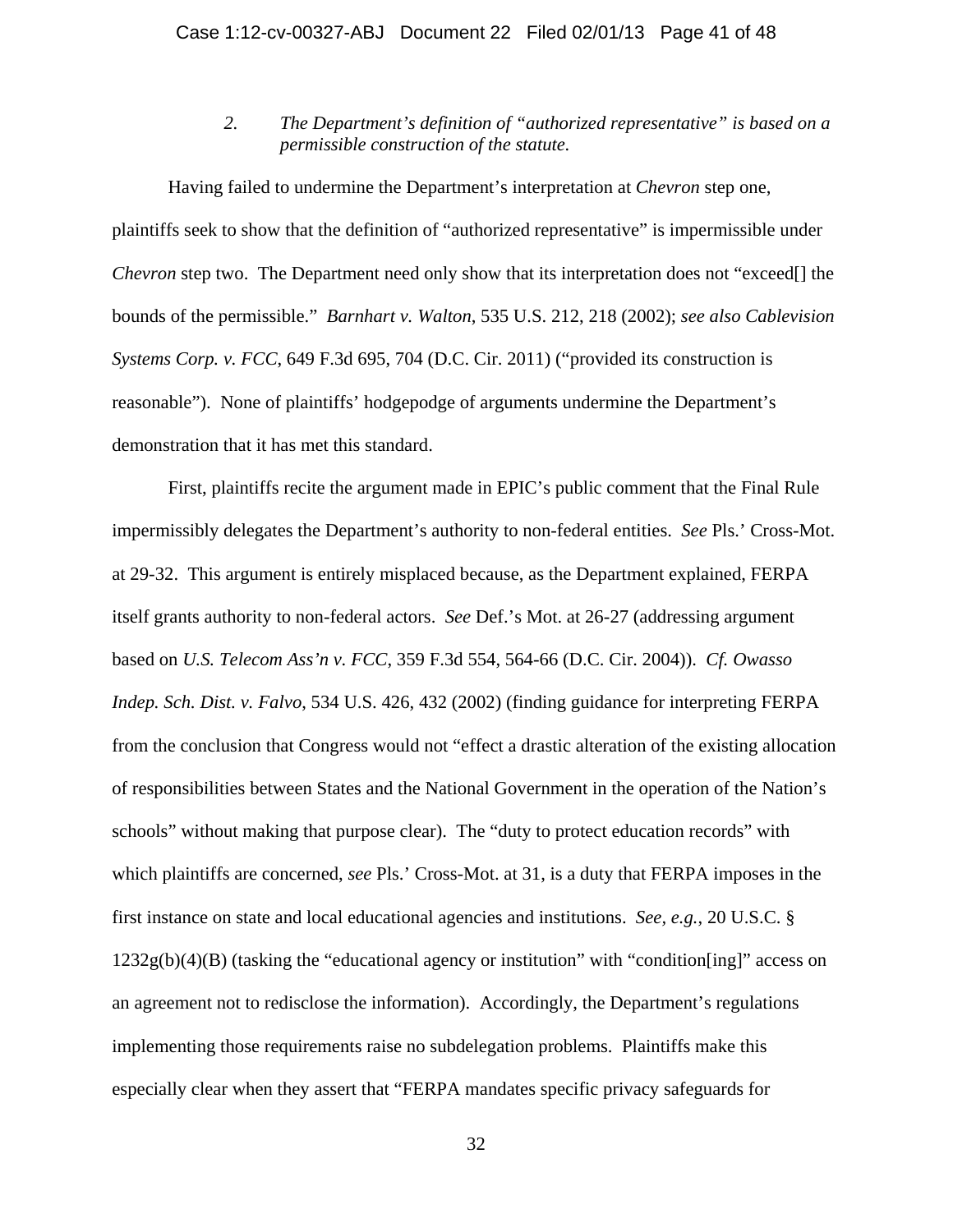*2. The Department's definition of "authorized representative" is based on a permissible construction of the statute.* 

Having failed to undermine the Department's interpretation at *Chevron* step one, plaintiffs seek to show that the definition of "authorized representative" is impermissible under *Chevron* step two. The Department need only show that its interpretation does not "exceed<sup>[]</sup> the bounds of the permissible." *Barnhart v. Walton*, 535 U.S. 212, 218 (2002); *see also Cablevision Systems Corp. v. FCC*, 649 F.3d 695, 704 (D.C. Cir. 2011) ("provided its construction is reasonable"). None of plaintiffs' hodgepodge of arguments undermine the Department's demonstration that it has met this standard.

First, plaintiffs recite the argument made in EPIC's public comment that the Final Rule impermissibly delegates the Department's authority to non-federal entities. *See* Pls.' Cross-Mot. at 29-32. This argument is entirely misplaced because, as the Department explained, FERPA itself grants authority to non-federal actors. *See* Def.'s Mot. at 26-27 (addressing argument based on *U.S. Telecom Ass'n v. FCC*, 359 F.3d 554, 564-66 (D.C. Cir. 2004)). *Cf. Owasso Indep. Sch. Dist. v. Falvo*, 534 U.S. 426, 432 (2002) (finding guidance for interpreting FERPA from the conclusion that Congress would not "effect a drastic alteration of the existing allocation of responsibilities between States and the National Government in the operation of the Nation's schools" without making that purpose clear). The "duty to protect education records" with which plaintiffs are concerned, *see* Pls.' Cross-Mot. at 31, is a duty that FERPA imposes in the first instance on state and local educational agencies and institutions. *See, e.g.*, 20 U.S.C. § 1232g(b)(4)(B) (tasking the "educational agency or institution" with "condition[ing]" access on an agreement not to redisclose the information). Accordingly, the Department's regulations implementing those requirements raise no subdelegation problems. Plaintiffs make this especially clear when they assert that "FERPA mandates specific privacy safeguards for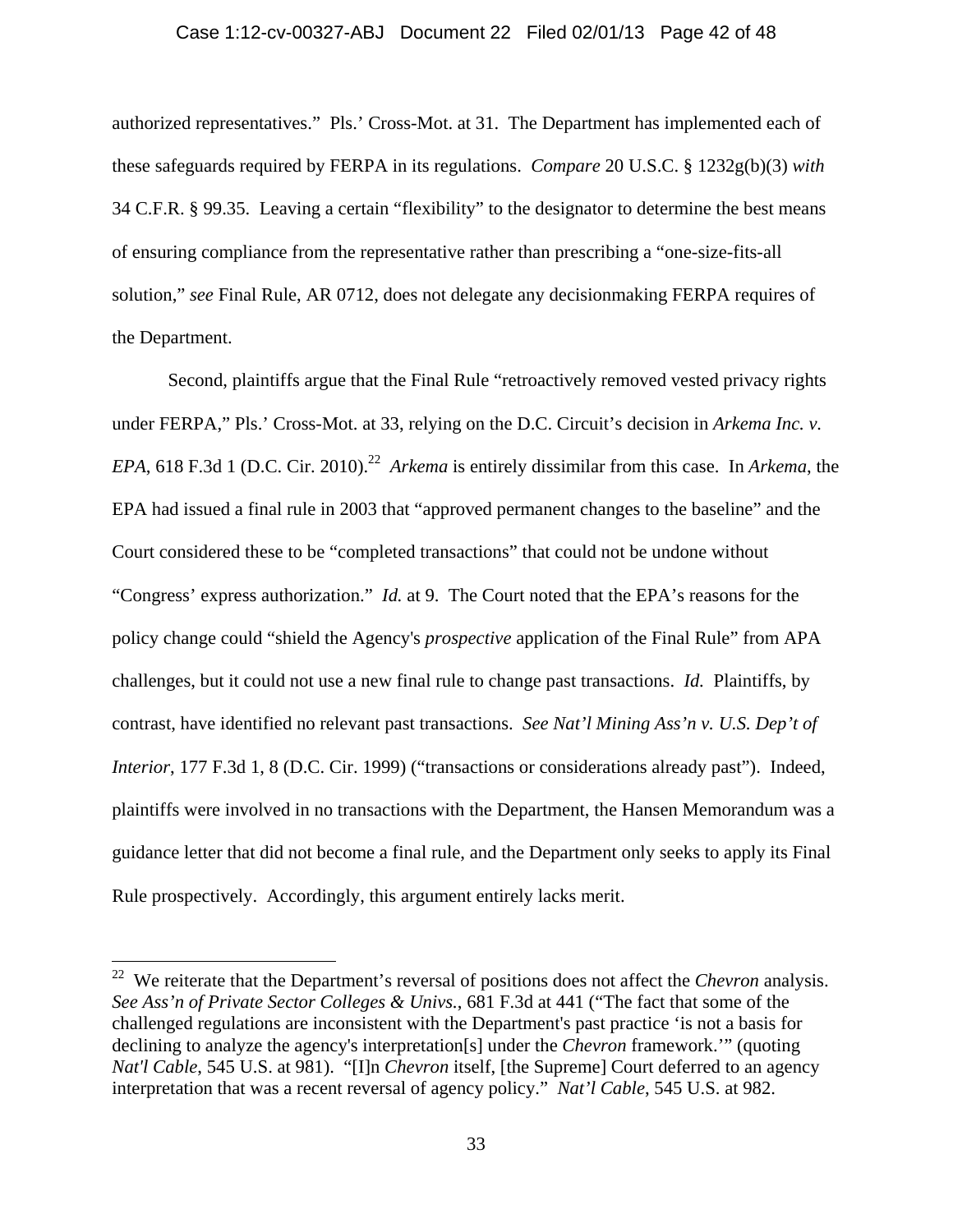#### Case 1:12-cv-00327-ABJ Document 22 Filed 02/01/13 Page 42 of 48

authorized representatives." Pls.' Cross-Mot. at 31. The Department has implemented each of these safeguards required by FERPA in its regulations. *Compare* 20 U.S.C. § 1232g(b)(3) *with* 34 C.F.R. § 99.35. Leaving a certain "flexibility" to the designator to determine the best means of ensuring compliance from the representative rather than prescribing a "one-size-fits-all solution," *see* Final Rule, AR 0712, does not delegate any decisionmaking FERPA requires of the Department.

Second, plaintiffs argue that the Final Rule "retroactively removed vested privacy rights under FERPA," Pls.' Cross-Mot. at 33, relying on the D.C. Circuit's decision in *Arkema Inc. v. EPA*, 618 F.3d 1 (D.C. Cir. 2010).<sup>22</sup> *Arkema* is entirely dissimilar from this case. In *Arkema*, the EPA had issued a final rule in 2003 that "approved permanent changes to the baseline" and the Court considered these to be "completed transactions" that could not be undone without "Congress' express authorization." *Id.* at 9. The Court noted that the EPA's reasons for the policy change could "shield the Agency's *prospective* application of the Final Rule" from APA challenges, but it could not use a new final rule to change past transactions. *Id.* Plaintiffs, by contrast, have identified no relevant past transactions. *See Nat'l Mining Ass'n v. U.S. Dep't of Interior*, 177 F.3d 1, 8 (D.C. Cir. 1999) ("transactions or considerations already past"). Indeed, plaintiffs were involved in no transactions with the Department, the Hansen Memorandum was a guidance letter that did not become a final rule, and the Department only seeks to apply its Final Rule prospectively. Accordingly, this argument entirely lacks merit.

<sup>22</sup> We reiterate that the Department's reversal of positions does not affect the *Chevron* analysis. *See Ass'n of Private Sector Colleges & Univs.*, 681 F.3d at 441 ("The fact that some of the challenged regulations are inconsistent with the Department's past practice 'is not a basis for declining to analyze the agency's interpretation[s] under the *Chevron* framework.'" (quoting *Nat'l Cable*, 545 U.S. at 981). "[I]n *Chevron* itself, [the Supreme] Court deferred to an agency interpretation that was a recent reversal of agency policy." *Nat'l Cable*, 545 U.S. at 982.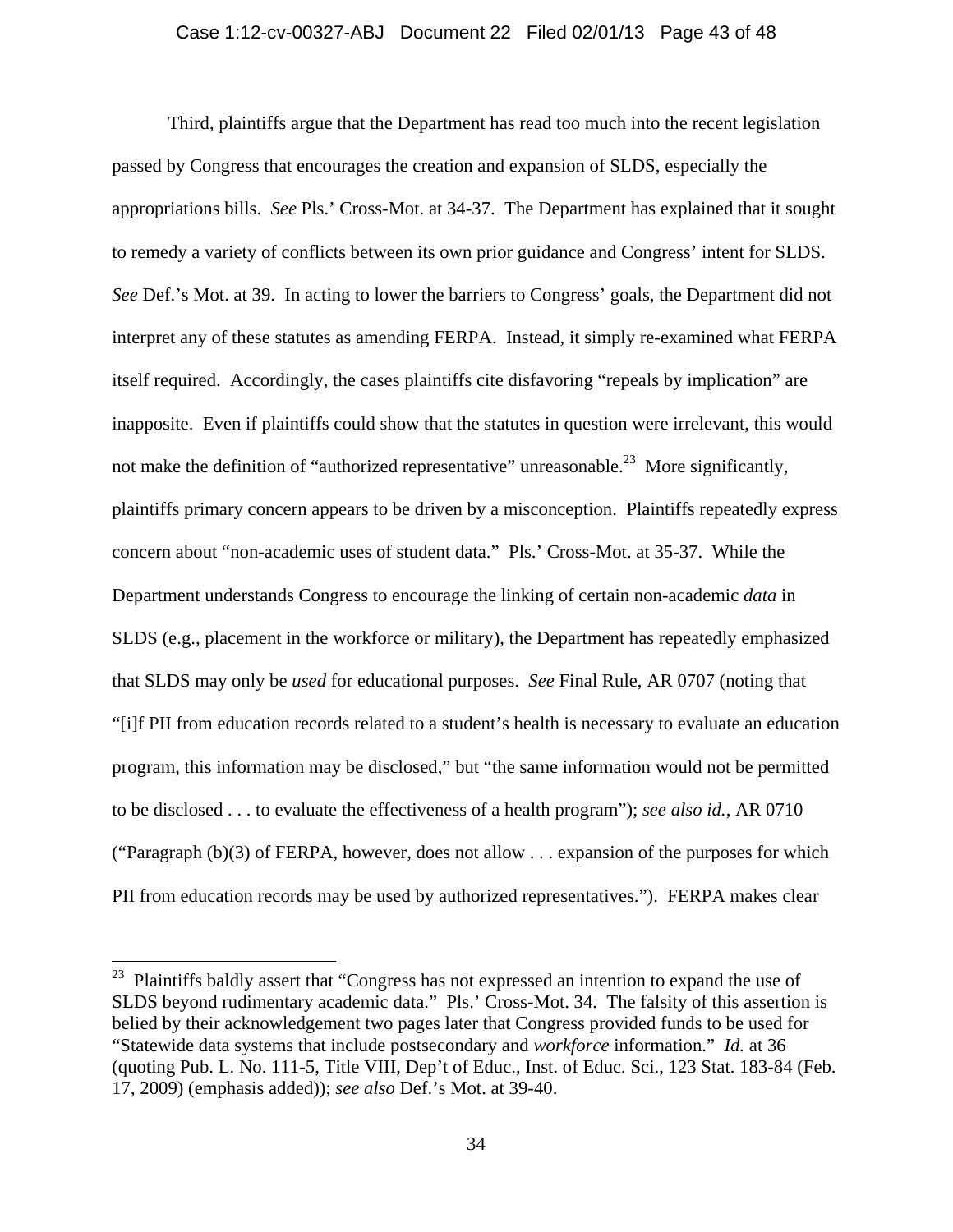#### Case 1:12-cv-00327-ABJ Document 22 Filed 02/01/13 Page 43 of 48

Third, plaintiffs argue that the Department has read too much into the recent legislation passed by Congress that encourages the creation and expansion of SLDS, especially the appropriations bills. *See* Pls.' Cross-Mot. at 34-37. The Department has explained that it sought to remedy a variety of conflicts between its own prior guidance and Congress' intent for SLDS. *See* Def.'s Mot. at 39. In acting to lower the barriers to Congress' goals, the Department did not interpret any of these statutes as amending FERPA. Instead, it simply re-examined what FERPA itself required. Accordingly, the cases plaintiffs cite disfavoring "repeals by implication" are inapposite. Even if plaintiffs could show that the statutes in question were irrelevant, this would not make the definition of "authorized representative" unreasonable.<sup>23</sup> More significantly, plaintiffs primary concern appears to be driven by a misconception. Plaintiffs repeatedly express concern about "non-academic uses of student data." Pls.' Cross-Mot. at 35-37. While the Department understands Congress to encourage the linking of certain non-academic *data* in SLDS (e.g., placement in the workforce or military), the Department has repeatedly emphasized that SLDS may only be *used* for educational purposes. *See* Final Rule, AR 0707 (noting that "[i]f PII from education records related to a student's health is necessary to evaluate an education program, this information may be disclosed," but "the same information would not be permitted to be disclosed . . . to evaluate the effectiveness of a health program"); *see also id.*, AR 0710 ("Paragraph  $(b)(3)$  of FERPA, however, does not allow ... expansion of the purposes for which PII from education records may be used by authorized representatives."). FERPA makes clear

 $2<sup>23</sup>$  Plaintiffs baldly assert that "Congress has not expressed an intention to expand the use of SLDS beyond rudimentary academic data." Pls.' Cross-Mot. 34. The falsity of this assertion is belied by their acknowledgement two pages later that Congress provided funds to be used for "Statewide data systems that include postsecondary and *workforce* information." *Id.* at 36 (quoting Pub. L. No. 111-5, Title VIII, Dep't of Educ., Inst. of Educ. Sci., 123 Stat. 183-84 (Feb. 17, 2009) (emphasis added)); *see also* Def.'s Mot. at 39-40.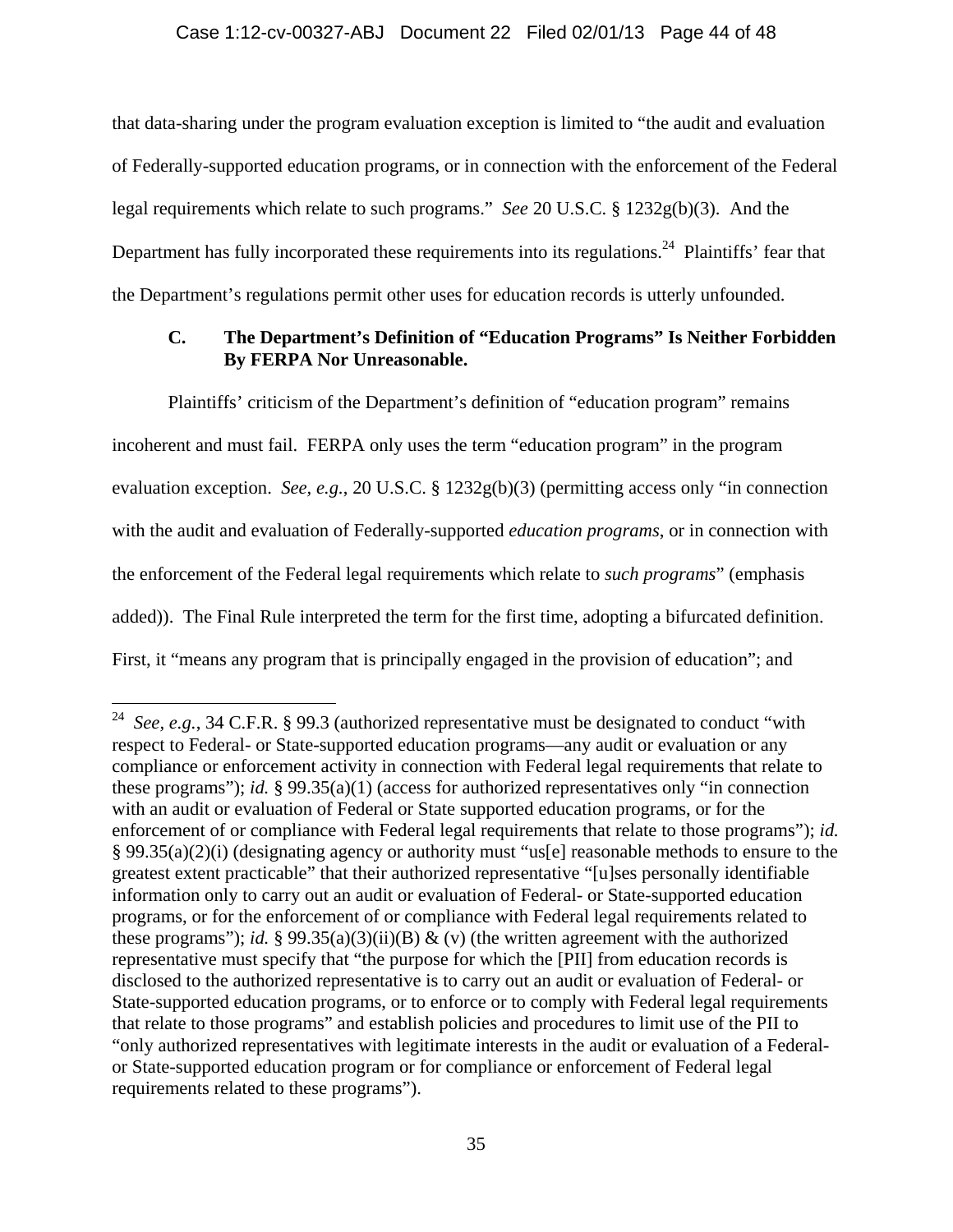### Case 1:12-cv-00327-ABJ Document 22 Filed 02/01/13 Page 44 of 48

that data-sharing under the program evaluation exception is limited to "the audit and evaluation of Federally-supported education programs, or in connection with the enforcement of the Federal legal requirements which relate to such programs." *See* 20 U.S.C. § 1232g(b)(3). And the Department has fully incorporated these requirements into its regulations.<sup>24</sup> Plaintiffs' fear that the Department's regulations permit other uses for education records is utterly unfounded.

### **C. The Department's Definition of "Education Programs" Is Neither Forbidden By FERPA Nor Unreasonable.**

Plaintiffs' criticism of the Department's definition of "education program" remains incoherent and must fail. FERPA only uses the term "education program" in the program evaluation exception. *See, e.g.*, 20 U.S.C. § 1232g(b)(3) (permitting access only "in connection with the audit and evaluation of Federally-supported *education programs*, or in connection with the enforcement of the Federal legal requirements which relate to *such programs*" (emphasis added)). The Final Rule interpreted the term for the first time, adopting a bifurcated definition. First, it "means any program that is principally engaged in the provision of education"; and

<sup>&</sup>lt;sup>24</sup> *See, e.g.*, 34 C.F.R. § 99.3 (authorized representative must be designated to conduct "with respect to Federal- or State-supported education programs—any audit or evaluation or any compliance or enforcement activity in connection with Federal legal requirements that relate to these programs"); *id.* § 99.35(a)(1) (access for authorized representatives only "in connection with an audit or evaluation of Federal or State supported education programs, or for the enforcement of or compliance with Federal legal requirements that relate to those programs"); *id.* § 99.35(a)(2)(i) (designating agency or authority must "us[e] reasonable methods to ensure to the greatest extent practicable" that their authorized representative "[u]ses personally identifiable information only to carry out an audit or evaluation of Federal- or State-supported education programs, or for the enforcement of or compliance with Federal legal requirements related to these programs"); *id.* § 99.35(a)(3)(ii)(B) & (v) (the written agreement with the authorized representative must specify that "the purpose for which the [PII] from education records is disclosed to the authorized representative is to carry out an audit or evaluation of Federal- or State-supported education programs, or to enforce or to comply with Federal legal requirements that relate to those programs" and establish policies and procedures to limit use of the PII to "only authorized representatives with legitimate interests in the audit or evaluation of a Federalor State-supported education program or for compliance or enforcement of Federal legal requirements related to these programs").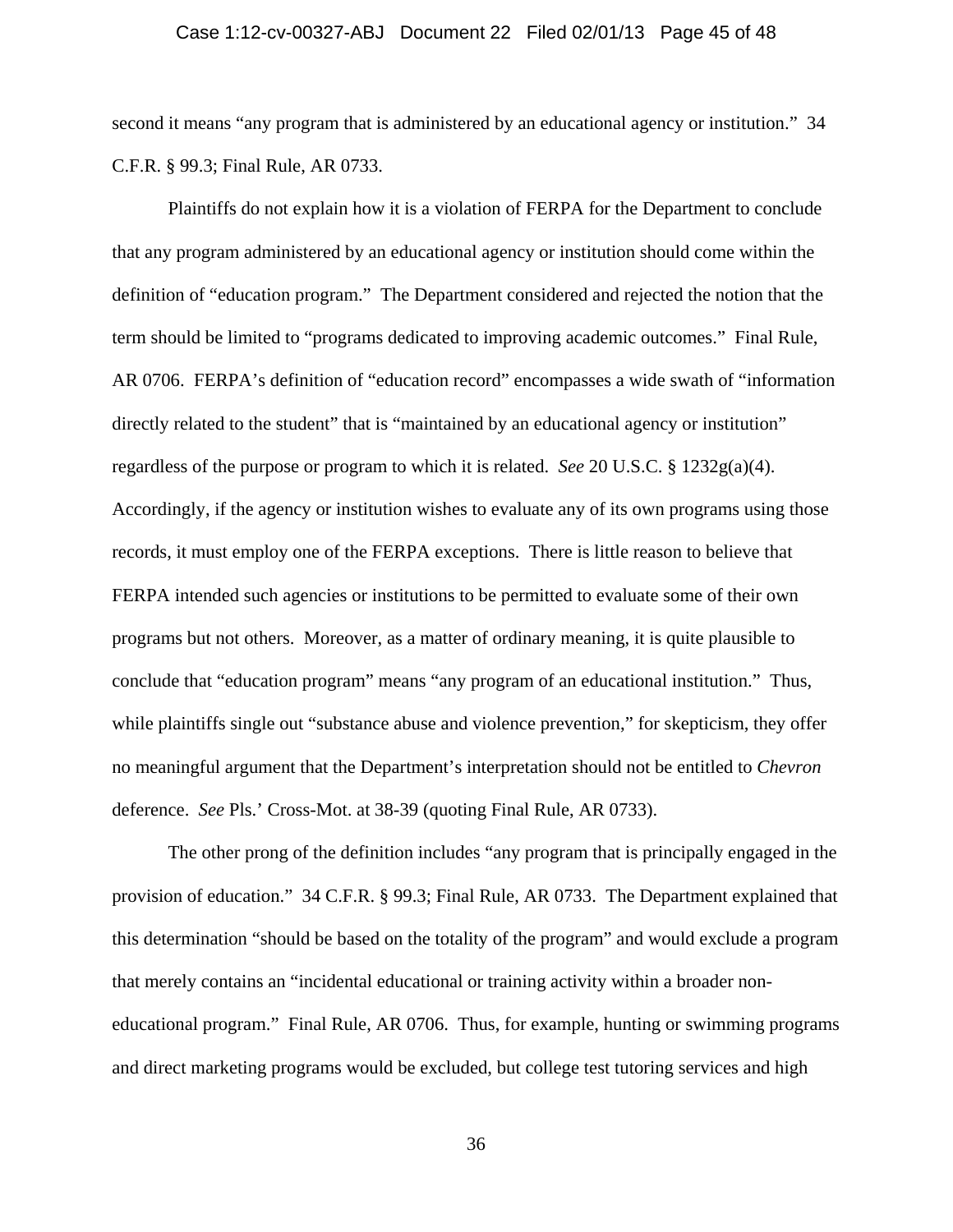#### Case 1:12-cv-00327-ABJ Document 22 Filed 02/01/13 Page 45 of 48

second it means "any program that is administered by an educational agency or institution." 34 C.F.R. § 99.3; Final Rule, AR 0733.

Plaintiffs do not explain how it is a violation of FERPA for the Department to conclude that any program administered by an educational agency or institution should come within the definition of "education program." The Department considered and rejected the notion that the term should be limited to "programs dedicated to improving academic outcomes." Final Rule, AR 0706. FERPA's definition of "education record" encompasses a wide swath of "information directly related to the student" that is "maintained by an educational agency or institution" regardless of the purpose or program to which it is related. *See* 20 U.S.C. § 1232g(a)(4). Accordingly, if the agency or institution wishes to evaluate any of its own programs using those records, it must employ one of the FERPA exceptions. There is little reason to believe that FERPA intended such agencies or institutions to be permitted to evaluate some of their own programs but not others. Moreover, as a matter of ordinary meaning, it is quite plausible to conclude that "education program" means "any program of an educational institution." Thus, while plaintiffs single out "substance abuse and violence prevention," for skepticism, they offer no meaningful argument that the Department's interpretation should not be entitled to *Chevron* deference. *See* Pls.' Cross-Mot. at 38-39 (quoting Final Rule, AR 0733).

The other prong of the definition includes "any program that is principally engaged in the provision of education." 34 C.F.R. § 99.3; Final Rule, AR 0733. The Department explained that this determination "should be based on the totality of the program" and would exclude a program that merely contains an "incidental educational or training activity within a broader noneducational program." Final Rule, AR 0706. Thus, for example, hunting or swimming programs and direct marketing programs would be excluded, but college test tutoring services and high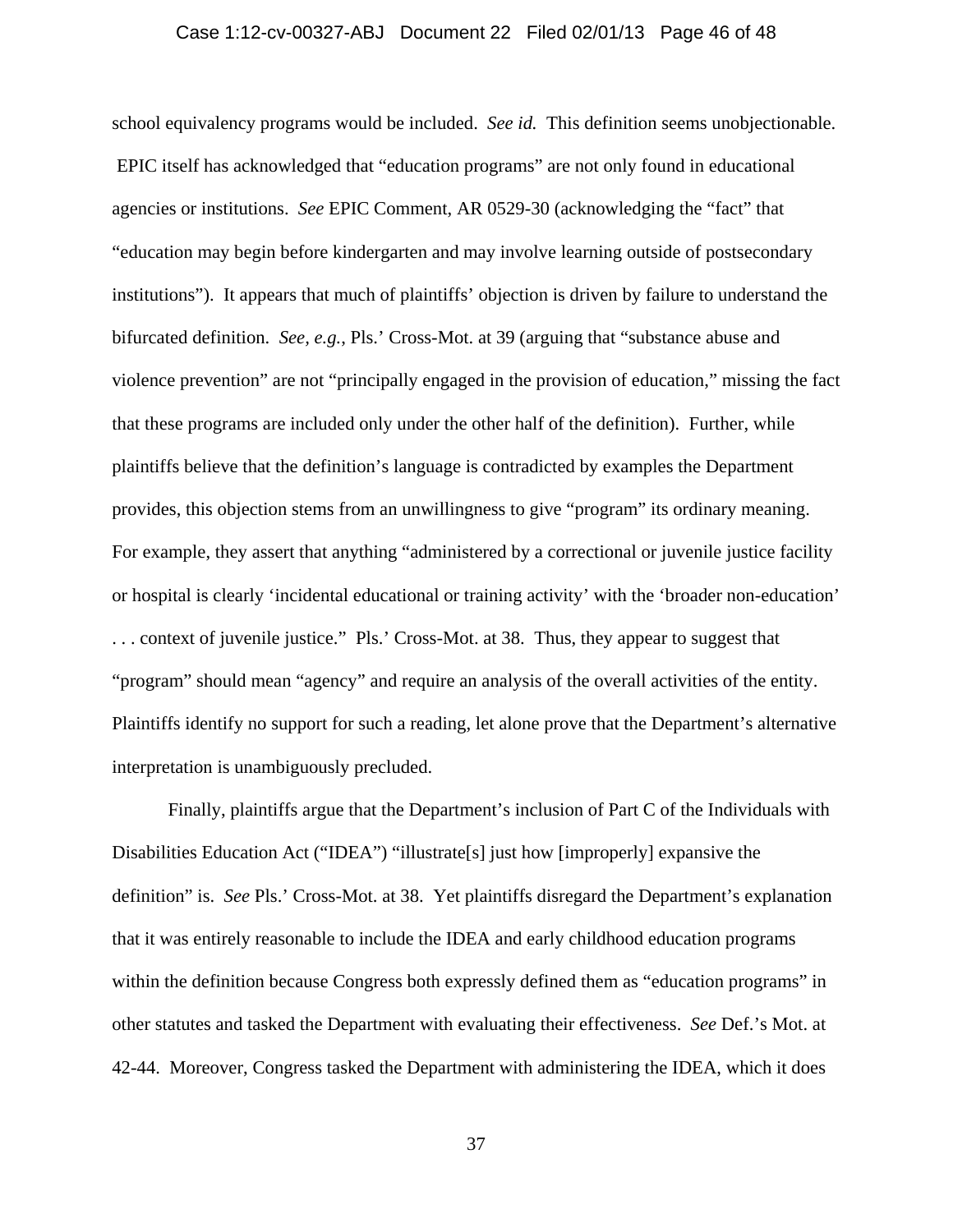### Case 1:12-cv-00327-ABJ Document 22 Filed 02/01/13 Page 46 of 48

school equivalency programs would be included. *See id.* This definition seems unobjectionable. EPIC itself has acknowledged that "education programs" are not only found in educational agencies or institutions. *See* EPIC Comment, AR 0529-30 (acknowledging the "fact" that "education may begin before kindergarten and may involve learning outside of postsecondary institutions"). It appears that much of plaintiffs' objection is driven by failure to understand the bifurcated definition. *See, e.g.*, Pls.' Cross-Mot. at 39 (arguing that "substance abuse and violence prevention" are not "principally engaged in the provision of education," missing the fact that these programs are included only under the other half of the definition). Further, while plaintiffs believe that the definition's language is contradicted by examples the Department provides, this objection stems from an unwillingness to give "program" its ordinary meaning. For example, they assert that anything "administered by a correctional or juvenile justice facility or hospital is clearly 'incidental educational or training activity' with the 'broader non-education' . . . context of juvenile justice." Pls.' Cross-Mot. at 38. Thus, they appear to suggest that "program" should mean "agency" and require an analysis of the overall activities of the entity. Plaintiffs identify no support for such a reading, let alone prove that the Department's alternative interpretation is unambiguously precluded.

Finally, plaintiffs argue that the Department's inclusion of Part C of the Individuals with Disabilities Education Act ("IDEA") "illustrate<sup>[5]</sup> just how [improperly] expansive the definition" is. *See* Pls.' Cross-Mot. at 38. Yet plaintiffs disregard the Department's explanation that it was entirely reasonable to include the IDEA and early childhood education programs within the definition because Congress both expressly defined them as "education programs" in other statutes and tasked the Department with evaluating their effectiveness. *See* Def.'s Mot. at 42-44. Moreover, Congress tasked the Department with administering the IDEA, which it does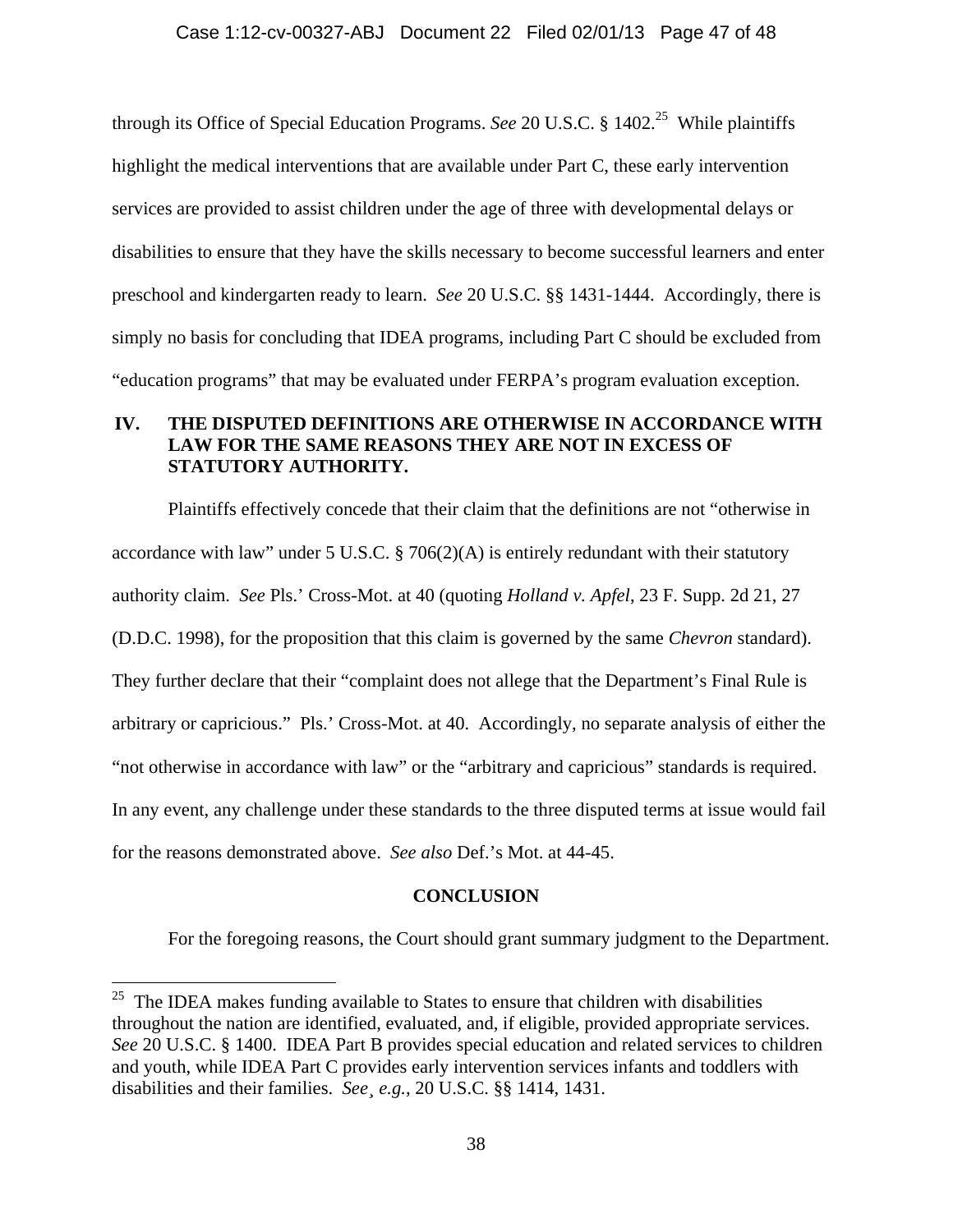through its Office of Special Education Programs. *See* 20 U.S.C. § 1402.<sup>25</sup> While plaintiffs highlight the medical interventions that are available under Part C, these early intervention services are provided to assist children under the age of three with developmental delays or disabilities to ensure that they have the skills necessary to become successful learners and enter preschool and kindergarten ready to learn. *See* 20 U.S.C. §§ 1431-1444. Accordingly, there is simply no basis for concluding that IDEA programs, including Part C should be excluded from "education programs" that may be evaluated under FERPA's program evaluation exception.

### **IV. THE DISPUTED DEFINITIONS ARE OTHERWISE IN ACCORDANCE WITH LAW FOR THE SAME REASONS THEY ARE NOT IN EXCESS OF STATUTORY AUTHORITY.**

Plaintiffs effectively concede that their claim that the definitions are not "otherwise in accordance with law" under 5 U.S.C. § 706(2)(A) is entirely redundant with their statutory authority claim. *See* Pls.' Cross-Mot. at 40 (quoting *Holland v. Apfel*, 23 F. Supp. 2d 21, 27 (D.D.C. 1998), for the proposition that this claim is governed by the same *Chevron* standard). They further declare that their "complaint does not allege that the Department's Final Rule is arbitrary or capricious." Pls.' Cross-Mot. at 40. Accordingly, no separate analysis of either the "not otherwise in accordance with law" or the "arbitrary and capricious" standards is required. In any event, any challenge under these standards to the three disputed terms at issue would fail for the reasons demonstrated above. *See also* Def.'s Mot. at 44-45.

### **CONCLUSION**

For the foregoing reasons, the Court should grant summary judgment to the Department.

 $25$  The IDEA makes funding available to States to ensure that children with disabilities throughout the nation are identified, evaluated, and, if eligible, provided appropriate services. *See* 20 U.S.C. § 1400. IDEA Part B provides special education and related services to children and youth, while IDEA Part C provides early intervention services infants and toddlers with disabilities and their families. *See¸ e.g.*, 20 U.S.C. §§ 1414, 1431.